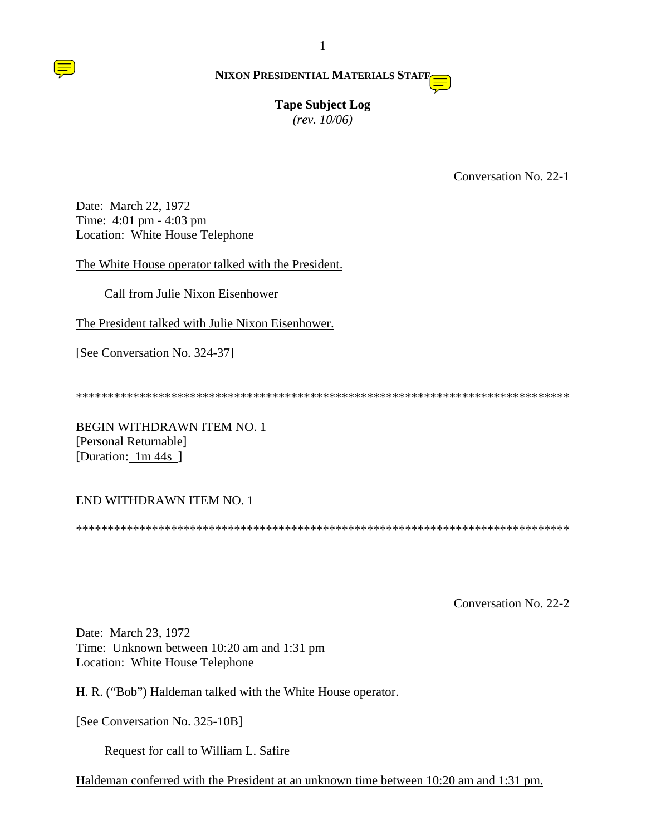# **Tape Subject Log** *(rev. 10/06)*

Conversation No. 22-1

Date: March 22, 1972 Time: 4:01 pm - 4:03 pm Location: White House Telephone

The White House operator talked with the President.

Call from Julie Nixon Eisenhower

The President talked with Julie Nixon Eisenhower.

[See Conversation No. 324-37]

\*\*\*\*\*\*\*\*\*\*\*\*\*\*\*\*\*\*\*\*\*\*\*\*\*\*\*\*\*\*\*\*\*\*\*\*\*\*\*\*\*\*\*\*\*\*\*\*\*\*\*\*\*\*\*\*\*\*\*\*\*\*\*\*\*\*\*\*\*\*\*\*\*\*\*\*\*\*

BEGIN WITHDRAWN ITEM NO. 1 [Personal Returnable] [Duration: 1m 44s ]

# END WITHDRAWN ITEM NO. 1

\*\*\*\*\*\*\*\*\*\*\*\*\*\*\*\*\*\*\*\*\*\*\*\*\*\*\*\*\*\*\*\*\*\*\*\*\*\*\*\*\*\*\*\*\*\*\*\*\*\*\*\*\*\*\*\*\*\*\*\*\*\*\*\*\*\*\*\*\*\*\*\*\*\*\*\*\*\*

Conversation No. 22-2

Date: March 23, 1972 Time: Unknown between 10:20 am and 1:31 pm Location: White House Telephone

H. R. ("Bob") Haldeman talked with the White House operator.

[See Conversation No. 325-10B]

Request for call to William L. Safire

Haldeman conferred with the President at an unknown time between 10:20 am and 1:31 pm.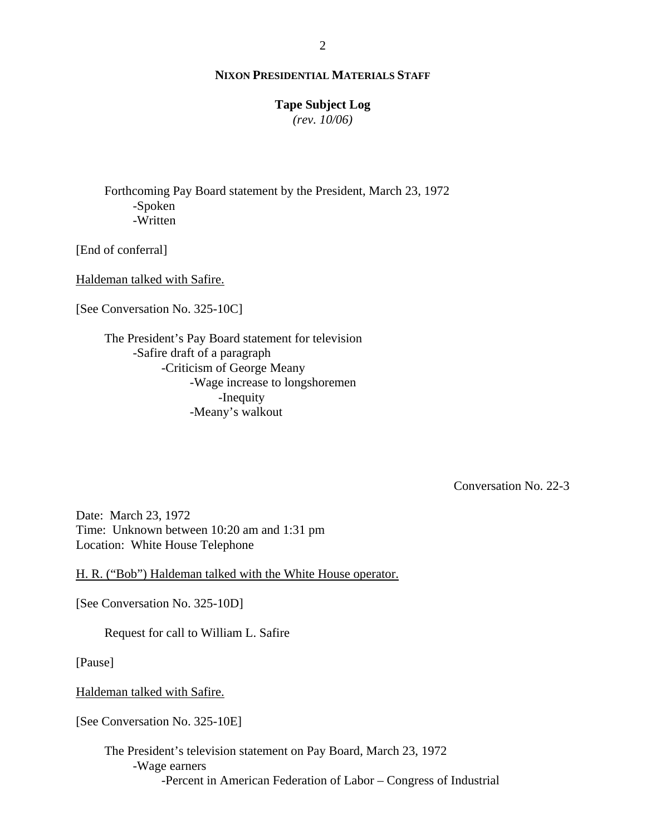#### **Tape Subject Log**

*(rev. 10/06)*

Forthcoming Pay Board statement by the President, March 23, 1972 -Spoken -Written

[End of conferral]

Haldeman talked with Safire.

[See Conversation No. 325-10C]

The President's Pay Board statement for television -Safire draft of a paragraph -Criticism of George Meany -Wage increase to longshoremen -Inequity -Meany's walkout

Conversation No. 22-3

Date: March 23, 1972 Time: Unknown between 10:20 am and 1:31 pm Location: White House Telephone

H. R. ("Bob") Haldeman talked with the White House operator.

[See Conversation No. 325-10D]

Request for call to William L. Safire

[Pause]

Haldeman talked with Safire.

[See Conversation No. 325-10E]

The President's television statement on Pay Board, March 23, 1972 -Wage earners -Percent in American Federation of Labor – Congress of Industrial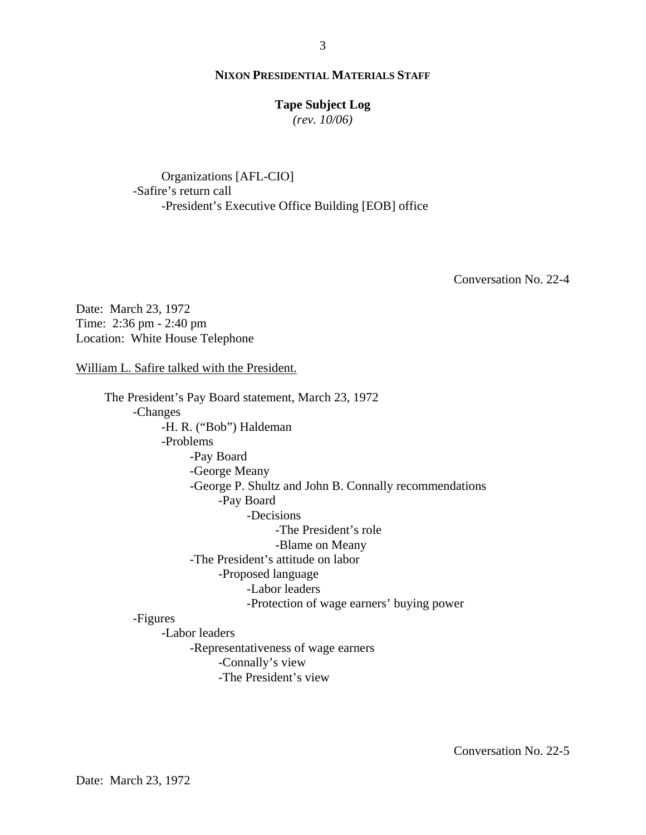#### **Tape Subject Log**

*(rev. 10/06)*

Organizations [AFL-CIO] -Safire's return call -President's Executive Office Building [EOB] office

Conversation No. 22-4

Date: March 23, 1972 Time: 2:36 pm - 2:40 pm Location: White House Telephone

William L. Safire talked with the President.

The President's Pay Board statement, March 23, 1972 -Changes -H. R. ("Bob") Haldeman -Problems -Pay Board -George Meany -George P. Shultz and John B. Connally recommendations -Pay Board -Decisions -The President's role -Blame on Meany -The President's attitude on labor -Proposed language -Labor leaders -Protection of wage earners' buying power -Figures -Labor leaders -Representativeness of wage earners

-Connally's view

-The President's view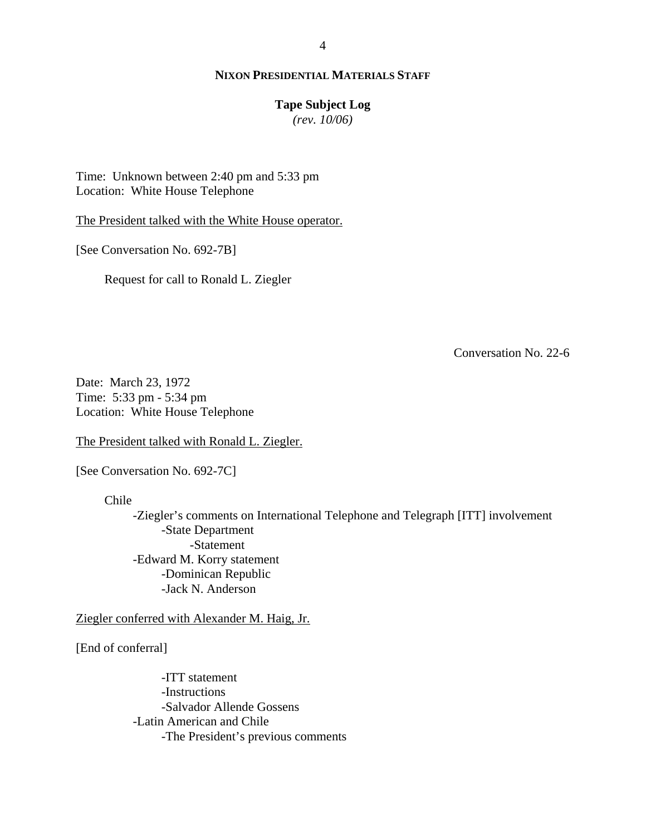## **Tape Subject Log**

*(rev. 10/06)*

Time: Unknown between 2:40 pm and 5:33 pm Location: White House Telephone

The President talked with the White House operator.

[See Conversation No. 692-7B]

Request for call to Ronald L. Ziegler

Conversation No. 22-6

Date: March 23, 1972 Time: 5:33 pm - 5:34 pm Location: White House Telephone

The President talked with Ronald L. Ziegler.

[See Conversation No. 692-7C]

Chile

-Ziegler's comments on International Telephone and Telegraph [ITT] involvement -State Department -Statement -Edward M. Korry statement -Dominican Republic -Jack N. Anderson

Ziegler conferred with Alexander M. Haig, Jr.

[End of conferral]

-ITT statement -Instructions -Salvador Allende Gossens -Latin American and Chile -The President's previous comments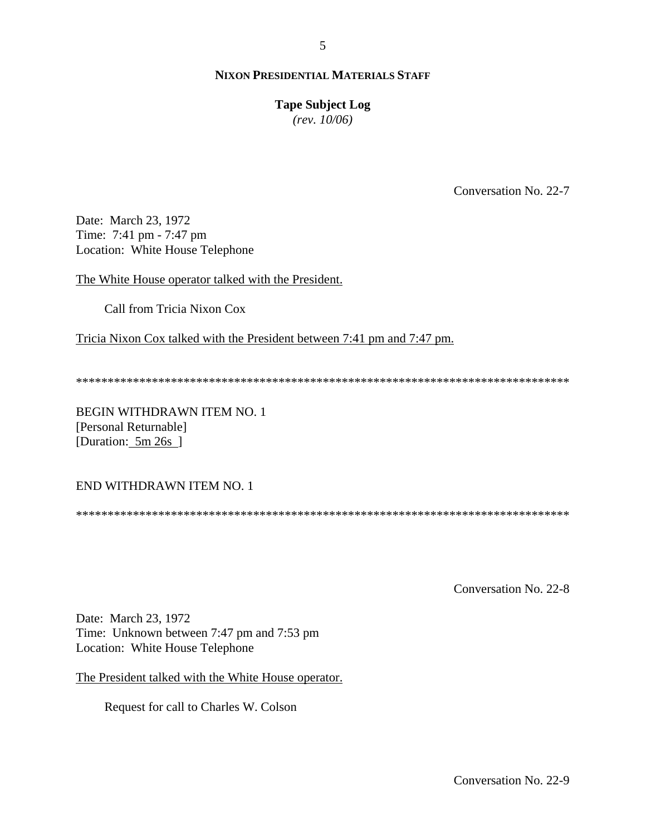## **Tape Subject Log**

*(rev. 10/06)*

Conversation No. 22-7

Date: March 23, 1972 Time: 7:41 pm - 7:47 pm Location: White House Telephone

The White House operator talked with the President.

Call from Tricia Nixon Cox

Tricia Nixon Cox talked with the President between 7:41 pm and 7:47 pm.

\*\*\*\*\*\*\*\*\*\*\*\*\*\*\*\*\*\*\*\*\*\*\*\*\*\*\*\*\*\*\*\*\*\*\*\*\*\*\*\*\*\*\*\*\*\*\*\*\*\*\*\*\*\*\*\*\*\*\*\*\*\*\*\*\*\*\*\*\*\*\*\*\*\*\*\*\*\*

BEGIN WITHDRAWN ITEM NO. 1 [Personal Returnable] [Duration: 5m 26s ]

#### END WITHDRAWN ITEM NO. 1

\*\*\*\*\*\*\*\*\*\*\*\*\*\*\*\*\*\*\*\*\*\*\*\*\*\*\*\*\*\*\*\*\*\*\*\*\*\*\*\*\*\*\*\*\*\*\*\*\*\*\*\*\*\*\*\*\*\*\*\*\*\*\*\*\*\*\*\*\*\*\*\*\*\*\*\*\*\*

Conversation No. 22-8

Date: March 23, 1972 Time: Unknown between 7:47 pm and 7:53 pm Location: White House Telephone

The President talked with the White House operator.

Request for call to Charles W. Colson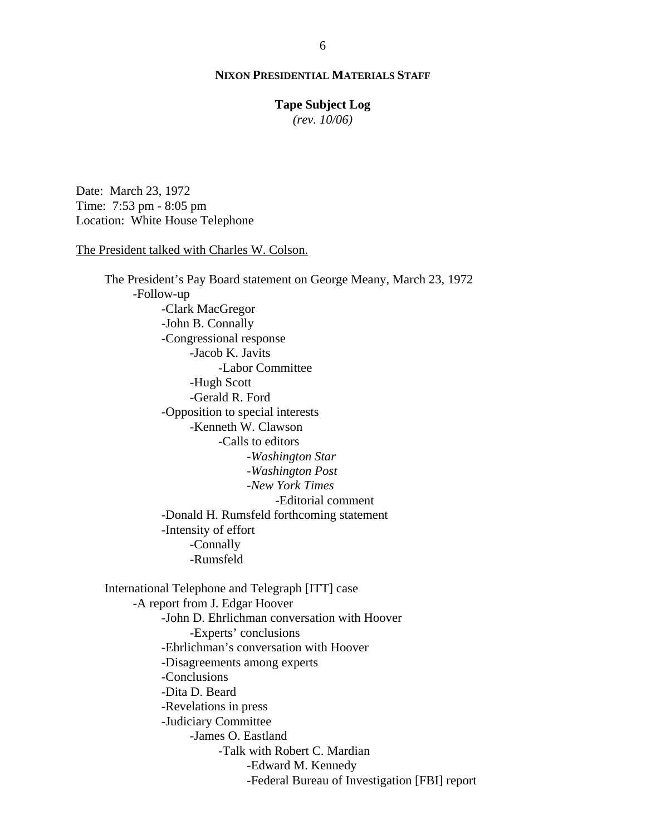#### **Tape Subject Log**

*(rev. 10/06)*

Date: March 23, 1972 Time: 7:53 pm - 8:05 pm Location: White House Telephone

#### The President talked with Charles W. Colson.

The President's Pay Board statement on George Meany, March 23, 1972 -Follow-up -Clark MacGregor -John B. Connally -Congressional response -Jacob K. Javits -Labor Committee -Hugh Scott -Gerald R. Ford -Opposition to special interests -Kenneth W. Clawson -Calls to editors -*Washington Star -Washington Post -New York Times* -Editorial comment -Donald H. Rumsfeld forthcoming statement -Intensity of effort -Connally -Rumsfeld International Telephone and Telegraph [ITT] case -A report from J. Edgar Hoover -John D. Ehrlichman conversation with Hoover -Experts' conclusions -Ehrlichman's conversation with Hoover -Disagreements among experts -Conclusions -Dita D. Beard -Revelations in press -Judiciary Committee -James O. Eastland -Talk with Robert C. Mardian -Edward M. Kennedy -Federal Bureau of Investigation [FBI] report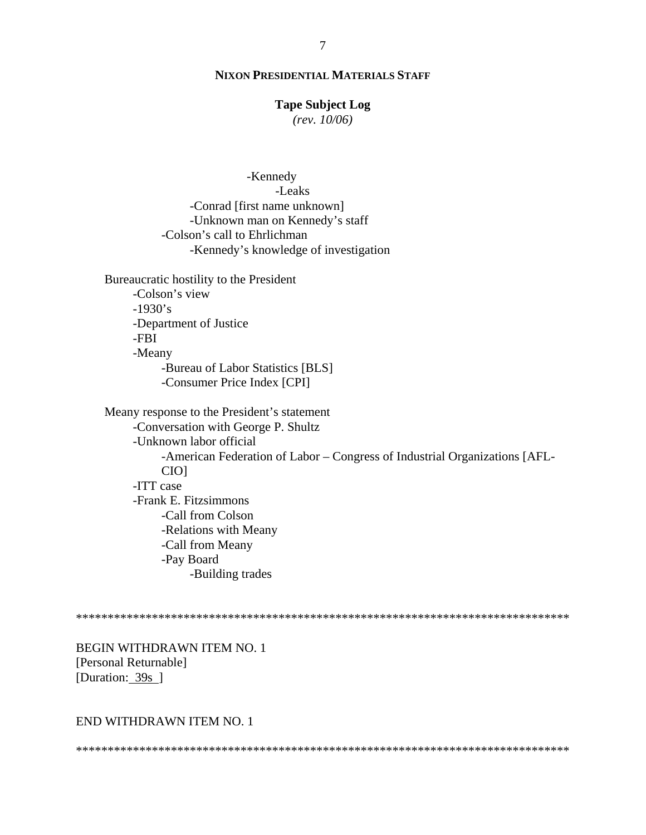#### **Tape Subject Log**

*(rev. 10/06)*

-Kennedy -Leaks -Conrad [first name unknown] -Unknown man on Kennedy's staff -Colson's call to Ehrlichman -Kennedy's knowledge of investigation Bureaucratic hostility to the President -Colson's view  $-1930's$ -Department of Justice -FBI -Meany -Bureau of Labor Statistics [BLS] -Consumer Price Index [CPI] Meany response to the President's statement -Conversation with George P. Shultz -Unknown labor official

-American Federation of Labor – Congress of Industrial Organizations [AFL-CIO] -ITT case -Frank E. Fitzsimmons -Call from Colson -Relations with Meany -Call from Meany -Pay Board -Building trades

\*\*\*\*\*\*\*\*\*\*\*\*\*\*\*\*\*\*\*\*\*\*\*\*\*\*\*\*\*\*\*\*\*\*\*\*\*\*\*\*\*\*\*\*\*\*\*\*\*\*\*\*\*\*\*\*\*\*\*\*\*\*\*\*\*\*\*\*\*\*\*\*\*\*\*\*\*\*

BEGIN WITHDRAWN ITEM NO. 1 [Personal Returnable] [Duration: 39s]

#### END WITHDRAWN ITEM NO. 1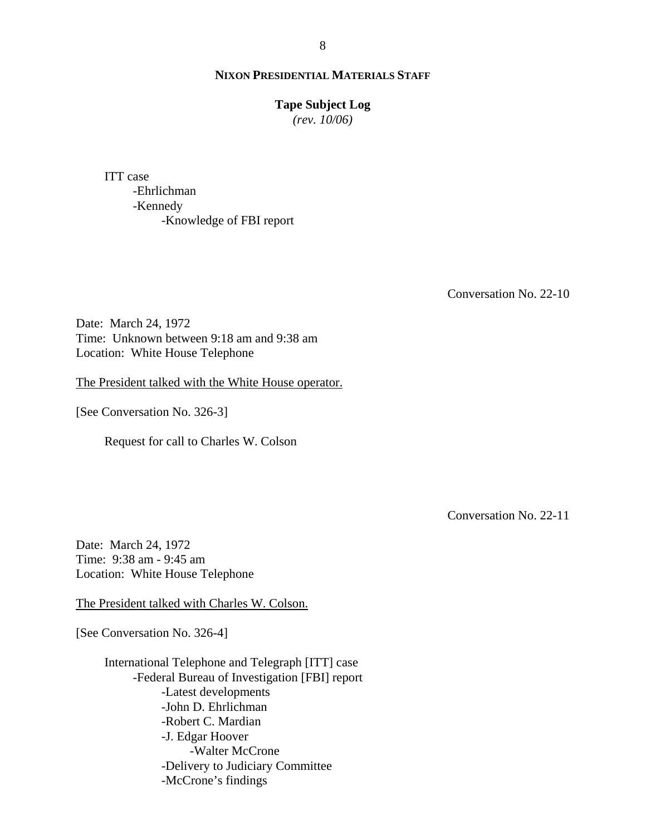#### **Tape Subject Log**

*(rev. 10/06)*

ITT case -Ehrlichman -Kennedy -Knowledge of FBI report

Conversation No. 22-10

Date: March 24, 1972 Time: Unknown between 9:18 am and 9:38 am Location: White House Telephone

The President talked with the White House operator.

[See Conversation No. 326-3]

Request for call to Charles W. Colson

Conversation No. 22-11

Date: March 24, 1972 Time: 9:38 am - 9:45 am Location: White House Telephone

The President talked with Charles W. Colson.

[See Conversation No. 326-4]

International Telephone and Telegraph [ITT] case -Federal Bureau of Investigation [FBI] report -Latest developments -John D. Ehrlichman -Robert C. Mardian -J. Edgar Hoover -Walter McCrone -Delivery to Judiciary Committee -McCrone's findings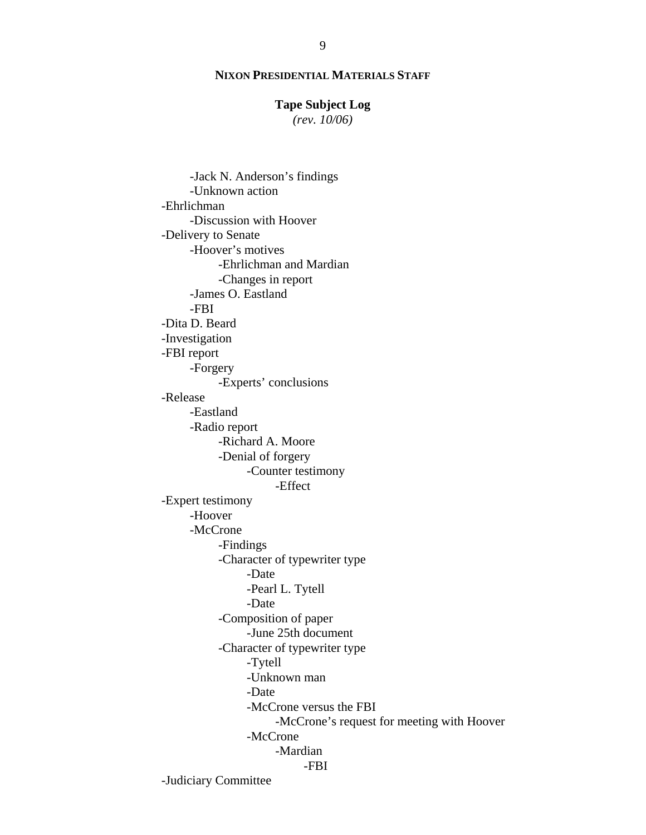## **Tape Subject Log**

*(rev. 10/06)*

 -Jack N. Anderson's findings -Unknown action -Ehrlichman -Discussion with Hoover -Delivery to Senate -Hoover's motives -Ehrlichman and Mardian -Changes in report -James O. Eastland -FBI -Dita D. Beard -Investigation -FBI report -Forgery -Experts' conclusions -Release -Eastland -Radio report -Richard A. Moore -Denial of forgery -Counter testimony -Effect -Expert testimony -Hoover -McCrone -Findings -Character of typewriter type -Date -Pearl L. Tytell -Date -Composition of paper -June 25th document -Character of typewriter type -Tytell -Unknown man -Date -McCrone versus the FBI -McCrone's request for meeting with Hoover -McCrone -Mardian -FBI -Judiciary Committee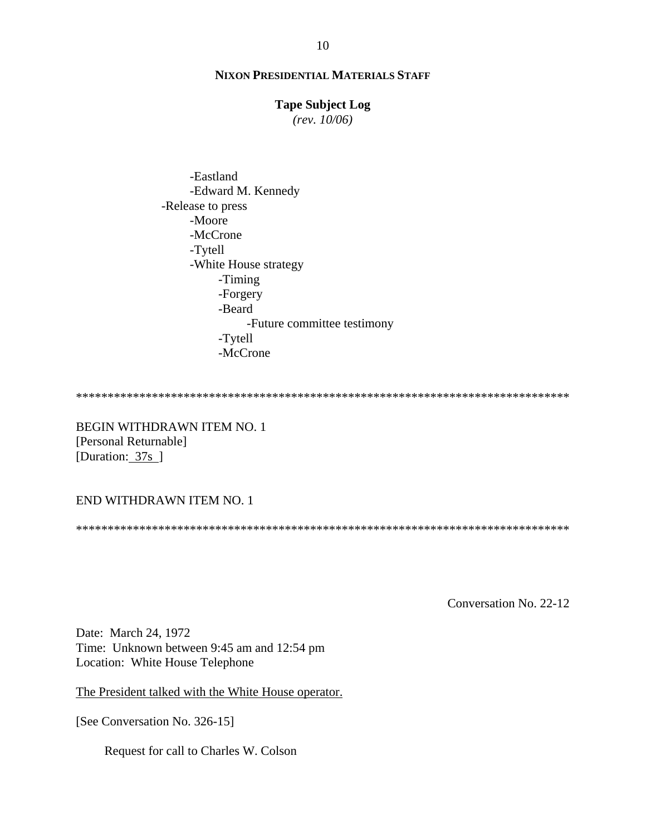## **Tape Subject Log**

*(rev. 10/06)*

 -Eastland -Edward M. Kennedy -Release to press -Moore -McCrone -Tytell -White House strategy -Timing -Forgery -Beard -Future committee testimony -Tytell -McCrone

\*\*\*\*\*\*\*\*\*\*\*\*\*\*\*\*\*\*\*\*\*\*\*\*\*\*\*\*\*\*\*\*\*\*\*\*\*\*\*\*\*\*\*\*\*\*\*\*\*\*\*\*\*\*\*\*\*\*\*\*\*\*\*\*\*\*\*\*\*\*\*\*\*\*\*\*\*\*

BEGIN WITHDRAWN ITEM NO. 1 [Personal Returnable] [Duration: 37s ]

# END WITHDRAWN ITEM NO. 1

\*\*\*\*\*\*\*\*\*\*\*\*\*\*\*\*\*\*\*\*\*\*\*\*\*\*\*\*\*\*\*\*\*\*\*\*\*\*\*\*\*\*\*\*\*\*\*\*\*\*\*\*\*\*\*\*\*\*\*\*\*\*\*\*\*\*\*\*\*\*\*\*\*\*\*\*\*\*

Conversation No. 22-12

Date: March 24, 1972 Time: Unknown between 9:45 am and 12:54 pm Location: White House Telephone

The President talked with the White House operator.

[See Conversation No. 326-15]

Request for call to Charles W. Colson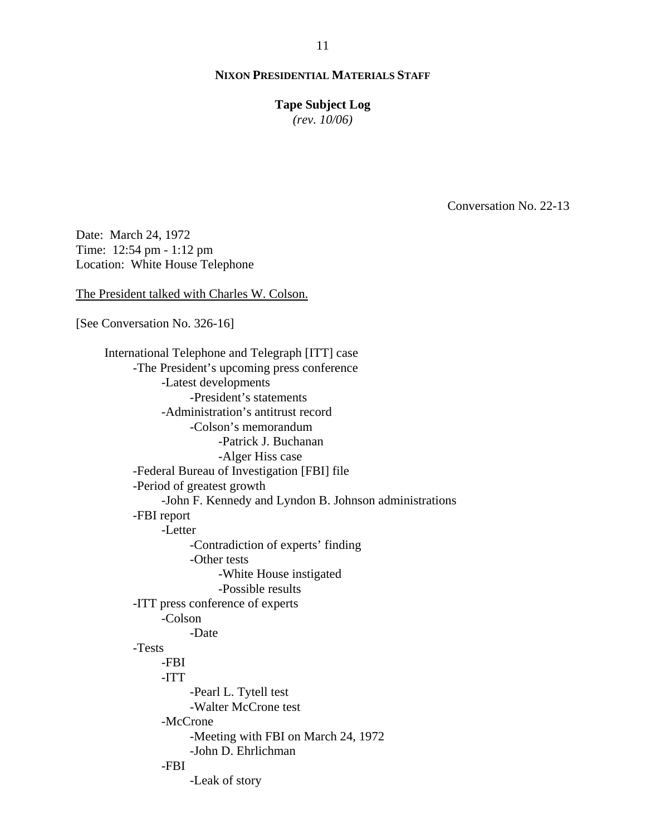#### **Tape Subject Log**

*(rev. 10/06)*

Conversation No. 22-13

Date: March 24, 1972 Time: 12:54 pm - 1:12 pm Location: White House Telephone

The President talked with Charles W. Colson.

[See Conversation No. 326-16]

International Telephone and Telegraph [ITT] case -The President's upcoming press conference -Latest developments -President's statements -Administration's antitrust record -Colson's memorandum -Patrick J. Buchanan -Alger Hiss case -Federal Bureau of Investigation [FBI] file -Period of greatest growth -John F. Kennedy and Lyndon B. Johnson administrations -FBI report -Letter -Contradiction of experts' finding -Other tests -White House instigated -Possible results -ITT press conference of experts -Colson -Date -Tests -FBI -ITT -Pearl L. Tytell test -Walter McCrone test -McCrone -Meeting with FBI on March 24, 1972 -John D. Ehrlichman -FBI -Leak of story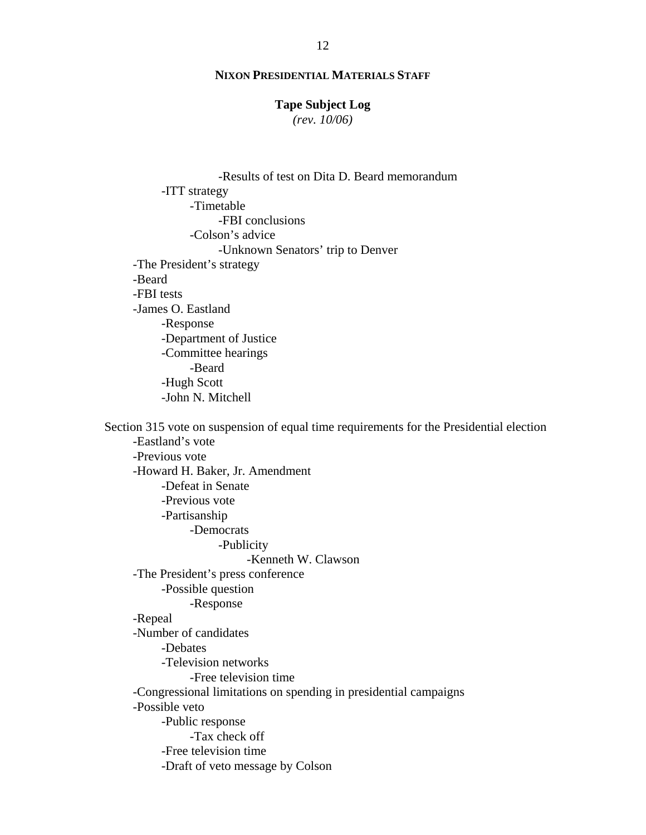#### **Tape Subject Log**

*(rev. 10/06)*

-Results of test on Dita D. Beard memorandum -ITT strategy -Timetable -FBI conclusions -Colson's advice -Unknown Senators' trip to Denver -The President's strategy -Beard -FBI tests -James O. Eastland -Response -Department of Justice -Committee hearings -Beard -Hugh Scott -John N. Mitchell Section 315 vote on suspension of equal time requirements for the Presidential election -Eastland's vote -Previous vote -Howard H. Baker, Jr. Amendment -Defeat in Senate -Previous vote -Partisanship -Democrats -Publicity -Kenneth W. Clawson -The President's press conference -Possible question -Response -Repeal -Number of candidates -Debates -Television networks -Free television time -Congressional limitations on spending in presidential campaigns -Possible veto -Public response -Tax check off -Free television time -Draft of veto message by Colson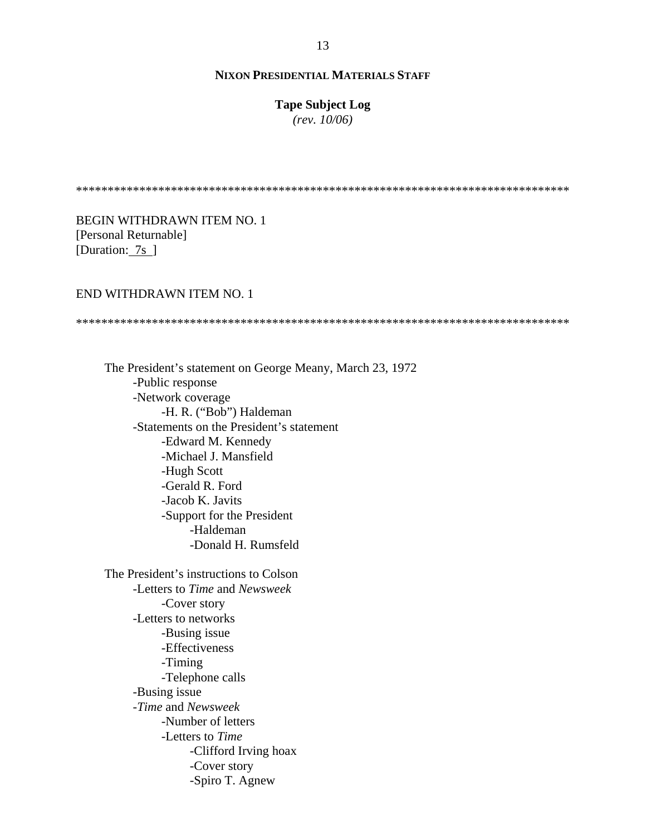# **Tape Subject Log**

*(rev. 10/06)*

\*\*\*\*\*\*\*\*\*\*\*\*\*\*\*\*\*\*\*\*\*\*\*\*\*\*\*\*\*\*\*\*\*\*\*\*\*\*\*\*\*\*\*\*\*\*\*\*\*\*\*\*\*\*\*\*\*\*\*\*\*\*\*\*\*\*\*\*\*\*\*\*\*\*\*\*\*\*

BEGIN WITHDRAWN ITEM NO. 1 [Personal Returnable] [Duration: 7s ]

#### END WITHDRAWN ITEM NO. 1

\*\*\*\*\*\*\*\*\*\*\*\*\*\*\*\*\*\*\*\*\*\*\*\*\*\*\*\*\*\*\*\*\*\*\*\*\*\*\*\*\*\*\*\*\*\*\*\*\*\*\*\*\*\*\*\*\*\*\*\*\*\*\*\*\*\*\*\*\*\*\*\*\*\*\*\*\*\*

The President's statement on George Meany, March 23, 1972 -Public response -Network coverage -H. R. ("Bob") Haldeman -Statements on the President's statement -Edward M. Kennedy -Michael J. Mansfield -Hugh Scott -Gerald R. Ford -Jacob K. Javits -Support for the President -Haldeman -Donald H. Rumsfeld

The President's instructions to Colson -Letters to *Time* and *Newsweek* -Cover story -Letters to networks -Busing issue -Effectiveness -Timing -Telephone calls -Busing issue -*Time* and *Newsweek* -Number of letters -Letters to *Time* -Clifford Irving hoax -Cover story -Spiro T. Agnew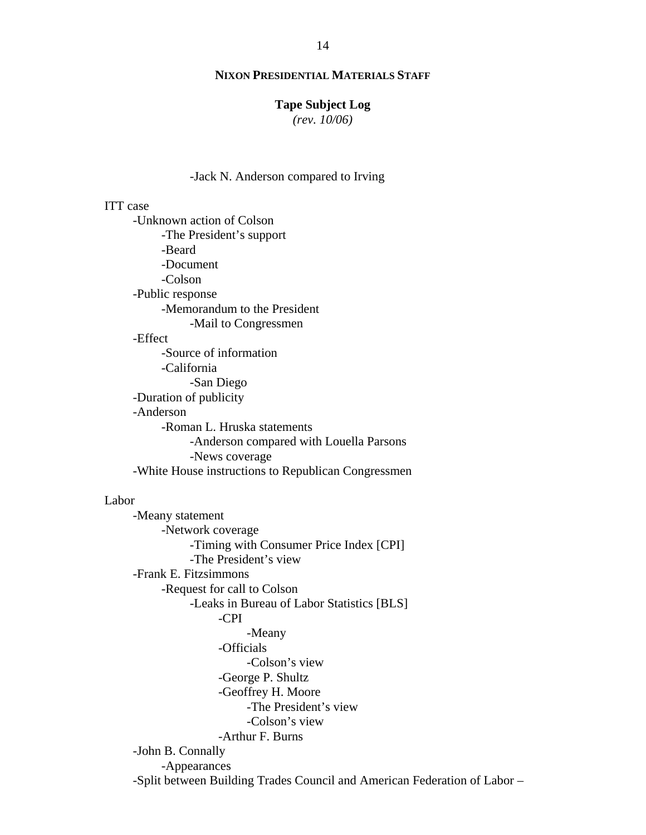#### **Tape Subject Log**

*(rev. 10/06)*

#### -Jack N. Anderson compared to Irving

# ITT case

-Unknown action of Colson -The President's support -Beard -Document -Colson -Public response -Memorandum to the President -Mail to Congressmen -Effect -Source of information -California -San Diego -Duration of publicity -Anderson -Roman L. Hruska statements -Anderson compared with Louella Parsons -News coverage -White House instructions to Republican Congressmen

#### Labor

-Meany statement -Network coverage -Timing with Consumer Price Index [CPI] -The President's view -Frank E. Fitzsimmons -Request for call to Colson -Leaks in Bureau of Labor Statistics [BLS] -CPI -Meany -Officials -Colson's view -George P. Shultz -Geoffrey H. Moore -The President's view -Colson's view -Arthur F. Burns -John B. Connally -Appearances -Split between Building Trades Council and American Federation of Labor –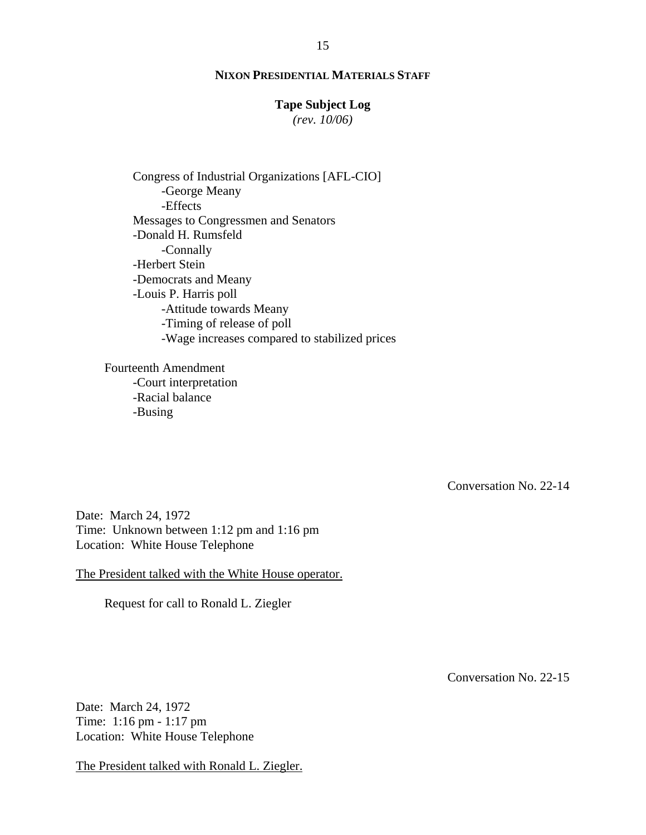# **Tape Subject Log**

*(rev. 10/06)*

Congress of Industrial Organizations [AFL-CIO] -George Meany -Effects Messages to Congressmen and Senators -Donald H. Rumsfeld -Connally -Herbert Stein -Democrats and Meany -Louis P. Harris poll -Attitude towards Meany -Timing of release of poll -Wage increases compared to stabilized prices

Fourteenth Amendment -Court interpretation -Racial balance -Busing

Conversation No. 22-14

Date: March 24, 1972 Time: Unknown between 1:12 pm and 1:16 pm Location: White House Telephone

The President talked with the White House operator.

Request for call to Ronald L. Ziegler

Conversation No. 22-15

Date: March 24, 1972 Time: 1:16 pm - 1:17 pm Location: White House Telephone

The President talked with Ronald L. Ziegler.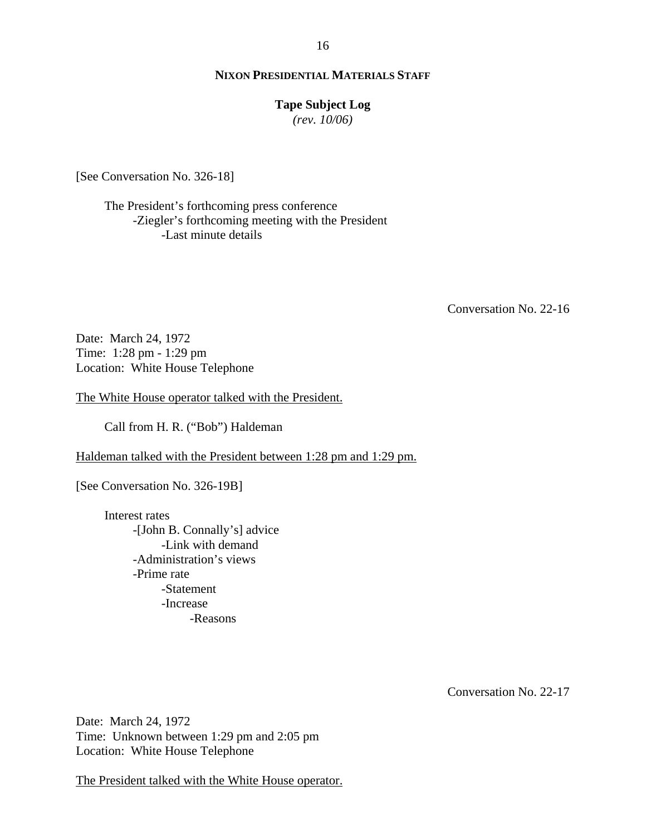## **Tape Subject Log**

*(rev. 10/06)*

[See Conversation No. 326-18]

The President's forthcoming press conference -Ziegler's forthcoming meeting with the President -Last minute details

Conversation No. 22-16

Date: March 24, 1972 Time: 1:28 pm - 1:29 pm Location: White House Telephone

The White House operator talked with the President.

Call from H. R. ("Bob") Haldeman

Haldeman talked with the President between 1:28 pm and 1:29 pm.

[See Conversation No. 326-19B]

Interest rates -[John B. Connally's] advice -Link with demand -Administration's views -Prime rate -Statement -Increase -Reasons

Conversation No. 22-17

Date: March 24, 1972 Time: Unknown between 1:29 pm and 2:05 pm Location: White House Telephone

The President talked with the White House operator.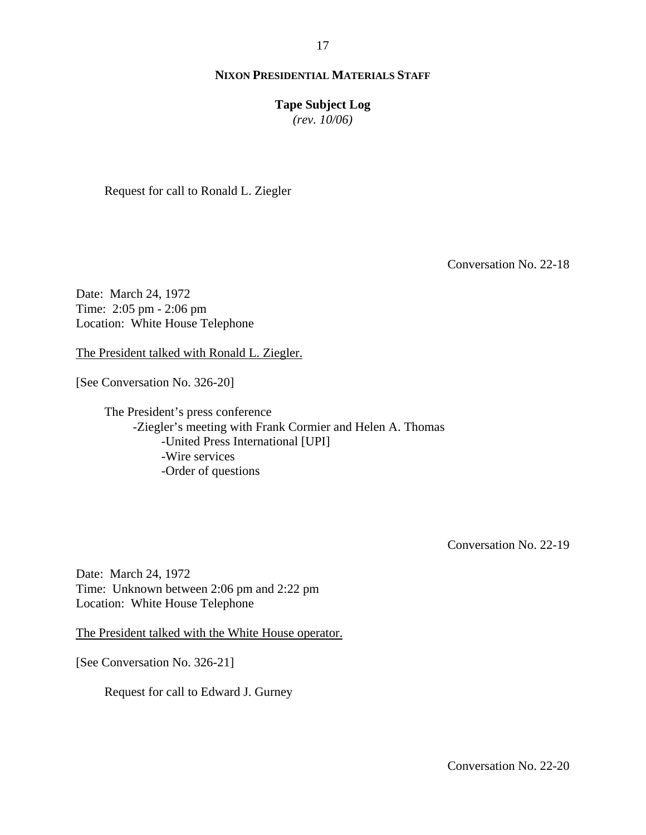## **Tape Subject Log**

*(rev. 10/06)*

Request for call to Ronald L. Ziegler

Conversation No. 22-18

Date: March 24, 1972 Time: 2:05 pm - 2:06 pm Location: White House Telephone

The President talked with Ronald L. Ziegler.

[See Conversation No. 326-20]

The President's press conference -Ziegler's meeting with Frank Cormier and Helen A. Thomas -United Press International [UPI] -Wire services -Order of questions

Conversation No. 22-19

Date: March 24, 1972 Time: Unknown between 2:06 pm and 2:22 pm Location: White House Telephone

The President talked with the White House operator.

[See Conversation No. 326-21]

Request for call to Edward J. Gurney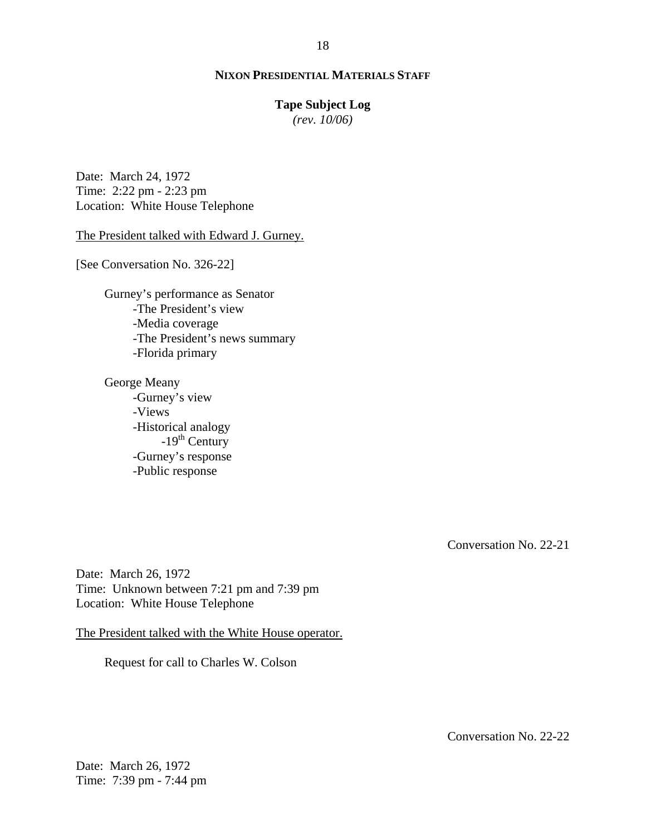## **Tape Subject Log**

*(rev. 10/06)*

Date: March 24, 1972 Time: 2:22 pm - 2:23 pm Location: White House Telephone

The President talked with Edward J. Gurney.

[See Conversation No. 326-22]

Gurney's performance as Senator -The President's view -Media coverage -The President's news summary -Florida primary

George Meany -Gurney's view -Views -Historical analogy -19<sup>th</sup> Century -Gurney's response -Public response

Conversation No. 22-21

Date: March 26, 1972 Time: Unknown between 7:21 pm and 7:39 pm Location: White House Telephone

The President talked with the White House operator.

Request for call to Charles W. Colson

Conversation No. 22-22

Date: March 26, 1972 Time: 7:39 pm - 7:44 pm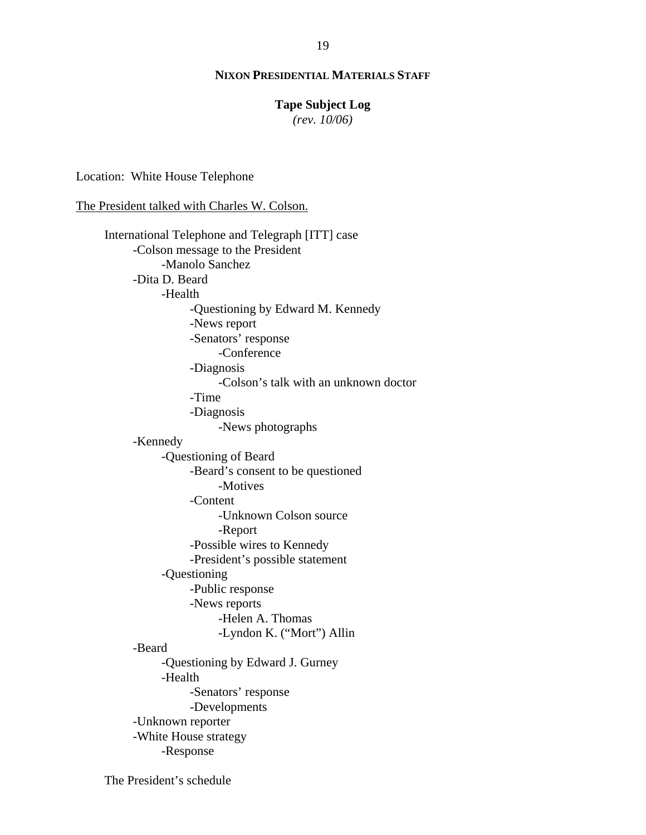#### **Tape Subject Log**

*(rev. 10/06)*

Location: White House Telephone

The President talked with Charles W. Colson.

International Telephone and Telegraph [ITT] case -Colson message to the President -Manolo Sanchez -Dita D. Beard -Health -Questioning by Edward M. Kennedy -News report -Senators' response -Conference -Diagnosis -Colson's talk with an unknown doctor -Time -Diagnosis -News photographs -Kennedy -Questioning of Beard -Beard's consent to be questioned -Motives -Content -Unknown Colson source -Report -Possible wires to Kennedy -President's possible statement -Questioning -Public response -News reports -Helen A. Thomas -Lyndon K. ("Mort") Allin -Beard -Questioning by Edward J. Gurney -Health -Senators' response -Developments -Unknown reporter -White House strategy -Response

The President's schedule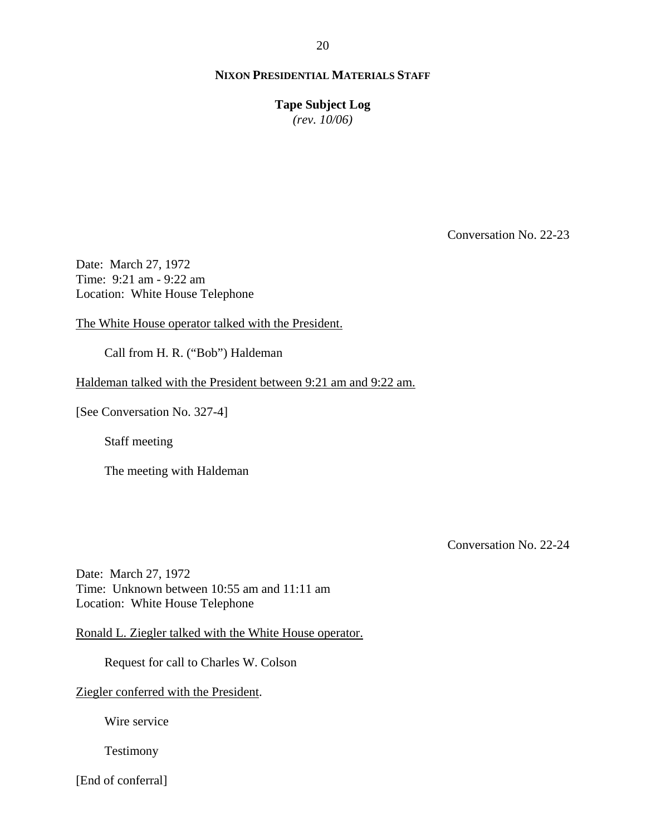**Tape Subject Log** *(rev. 10/06)*

Conversation No. 22-23

Date: March 27, 1972 Time: 9:21 am - 9:22 am Location: White House Telephone

The White House operator talked with the President.

Call from H. R. ("Bob") Haldeman

Haldeman talked with the President between 9:21 am and 9:22 am.

[See Conversation No. 327-4]

Staff meeting

The meeting with Haldeman

Conversation No. 22-24

Date: March 27, 1972 Time: Unknown between 10:55 am and 11:11 am Location: White House Telephone

Ronald L. Ziegler talked with the White House operator.

Request for call to Charles W. Colson

Ziegler conferred with the President.

Wire service

Testimony

[End of conferral]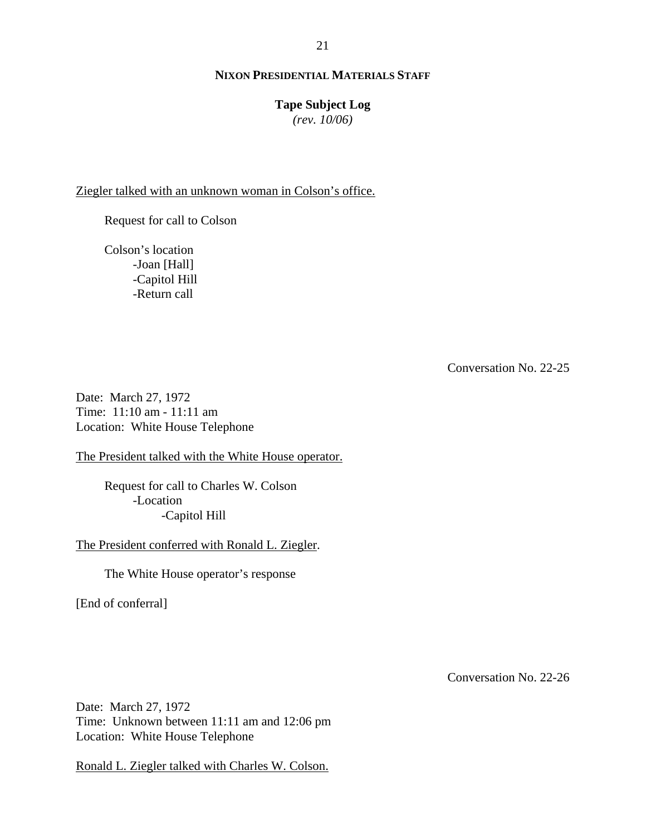## **Tape Subject Log**

*(rev. 10/06)*

Ziegler talked with an unknown woman in Colson's office.

Request for call to Colson

Colson's location -Joan [Hall] -Capitol Hill -Return call

Conversation No. 22-25

Date: March 27, 1972 Time: 11:10 am - 11:11 am Location: White House Telephone

The President talked with the White House operator.

Request for call to Charles W. Colson -Location -Capitol Hill

The President conferred with Ronald L. Ziegler.

The White House operator's response

[End of conferral]

Conversation No. 22-26

Date: March 27, 1972 Time: Unknown between 11:11 am and 12:06 pm Location: White House Telephone

Ronald L. Ziegler talked with Charles W. Colson.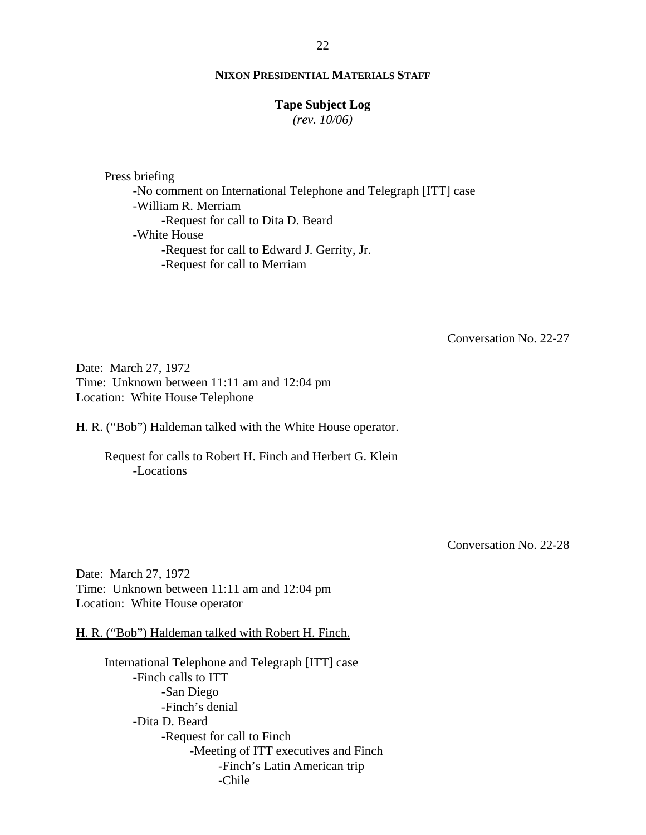#### **Tape Subject Log**

*(rev. 10/06)*

Press briefing -No comment on International Telephone and Telegraph [ITT] case -William R. Merriam -Request for call to Dita D. Beard -White House -Request for call to Edward J. Gerrity, Jr. -Request for call to Merriam

Conversation No. 22-27

Date: March 27, 1972 Time: Unknown between 11:11 am and 12:04 pm Location: White House Telephone

H. R. ("Bob") Haldeman talked with the White House operator.

Request for calls to Robert H. Finch and Herbert G. Klein -Locations

Conversation No. 22-28

Date: March 27, 1972 Time: Unknown between 11:11 am and 12:04 pm Location: White House operator

H. R. ("Bob") Haldeman talked with Robert H. Finch.

International Telephone and Telegraph [ITT] case -Finch calls to ITT -San Diego -Finch's denial -Dita D. Beard -Request for call to Finch -Meeting of ITT executives and Finch -Finch's Latin American trip -Chile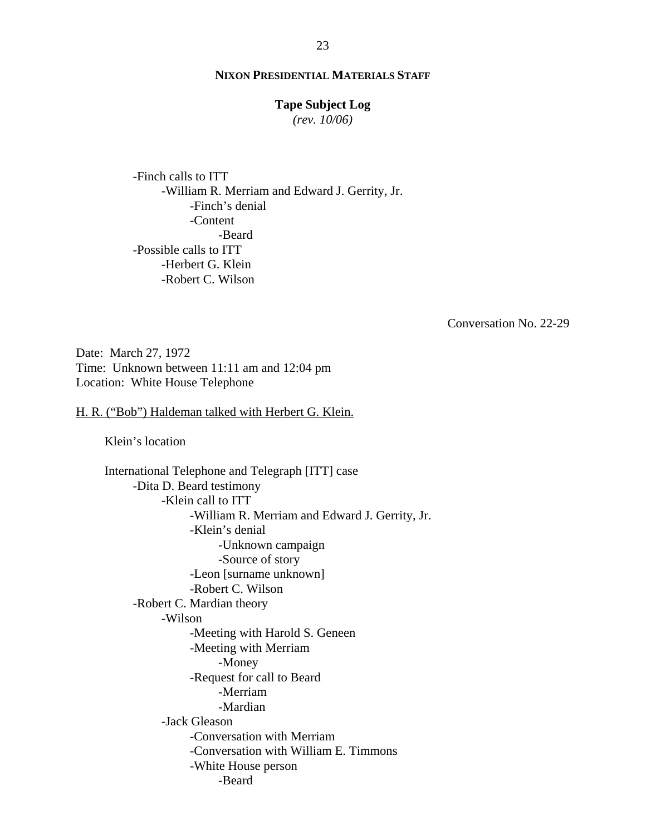#### **Tape Subject Log**

*(rev. 10/06)*

-Finch calls to ITT -William R. Merriam and Edward J. Gerrity, Jr. -Finch's denial -Content -Beard -Possible calls to ITT -Herbert G. Klein -Robert C. Wilson

Conversation No. 22-29

Date: March 27, 1972 Time: Unknown between 11:11 am and 12:04 pm Location: White House Telephone

H. R. ("Bob") Haldeman talked with Herbert G. Klein.

Klein's location

International Telephone and Telegraph [ITT] case -Dita D. Beard testimony -Klein call to ITT -William R. Merriam and Edward J. Gerrity, Jr. -Klein's denial -Unknown campaign -Source of story -Leon [surname unknown] -Robert C. Wilson -Robert C. Mardian theory -Wilson -Meeting with Harold S. Geneen -Meeting with Merriam -Money -Request for call to Beard -Merriam -Mardian -Jack Gleason -Conversation with Merriam -Conversation with William E. Timmons -White House person -Beard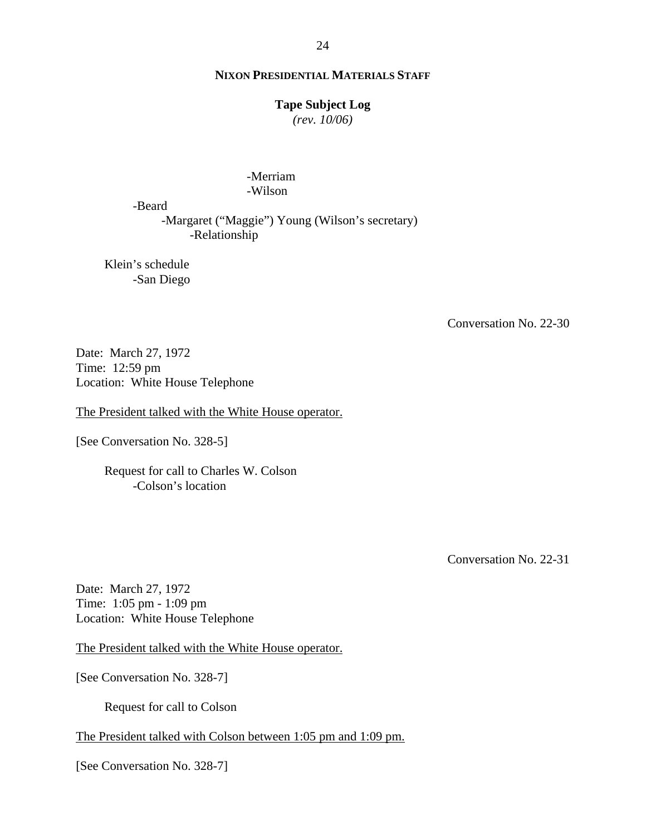## **Tape Subject Log**

*(rev. 10/06)*

#### -Merriam -Wilson

-Beard

-Margaret ("Maggie") Young (Wilson's secretary) -Relationship

Klein's schedule -San Diego

Conversation No. 22-30

Date: March 27, 1972 Time: 12:59 pm Location: White House Telephone

The President talked with the White House operator.

[See Conversation No. 328-5]

Request for call to Charles W. Colson -Colson's location

Conversation No. 22-31

Date: March 27, 1972 Time: 1:05 pm - 1:09 pm Location: White House Telephone

The President talked with the White House operator.

[See Conversation No. 328-7]

Request for call to Colson

#### The President talked with Colson between 1:05 pm and 1:09 pm.

[See Conversation No. 328-7]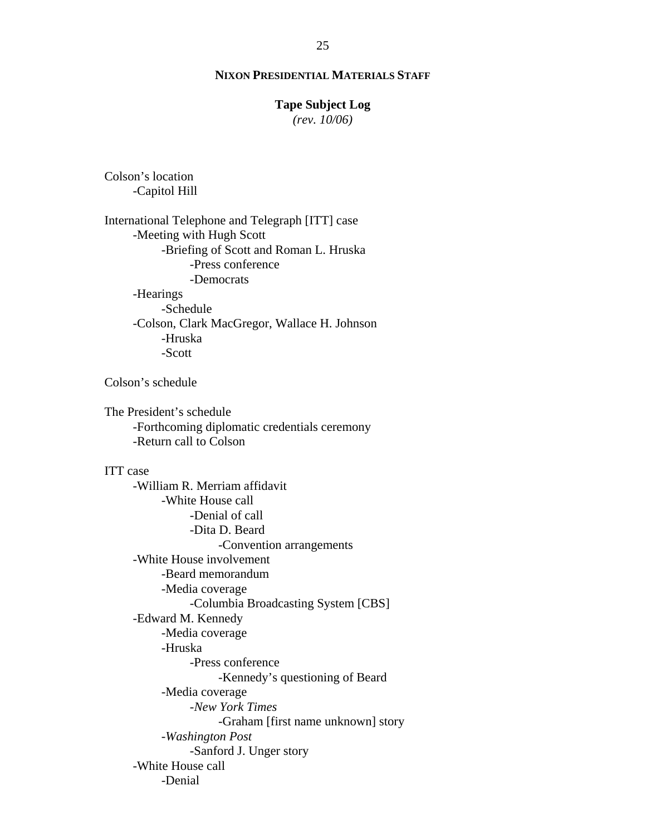#### **Tape Subject Log**

*(rev. 10/06)*

Colson's location -Capitol Hill

International Telephone and Telegraph [ITT] case -Meeting with Hugh Scott -Briefing of Scott and Roman L. Hruska -Press conference -Democrats -Hearings -Schedule -Colson, Clark MacGregor, Wallace H. Johnson -Hruska -Scott

Colson's schedule

The President's schedule -Forthcoming diplomatic credentials ceremony -Return call to Colson

#### ITT case

-William R. Merriam affidavit -White House call -Denial of call -Dita D. Beard -Convention arrangements -White House involvement -Beard memorandum -Media coverage -Columbia Broadcasting System [CBS] -Edward M. Kennedy -Media coverage -Hruska -Press conference -Kennedy's questioning of Beard -Media coverage -*New York Times* -Graham [first name unknown] story -*Washington Post* -Sanford J. Unger story -White House call -Denial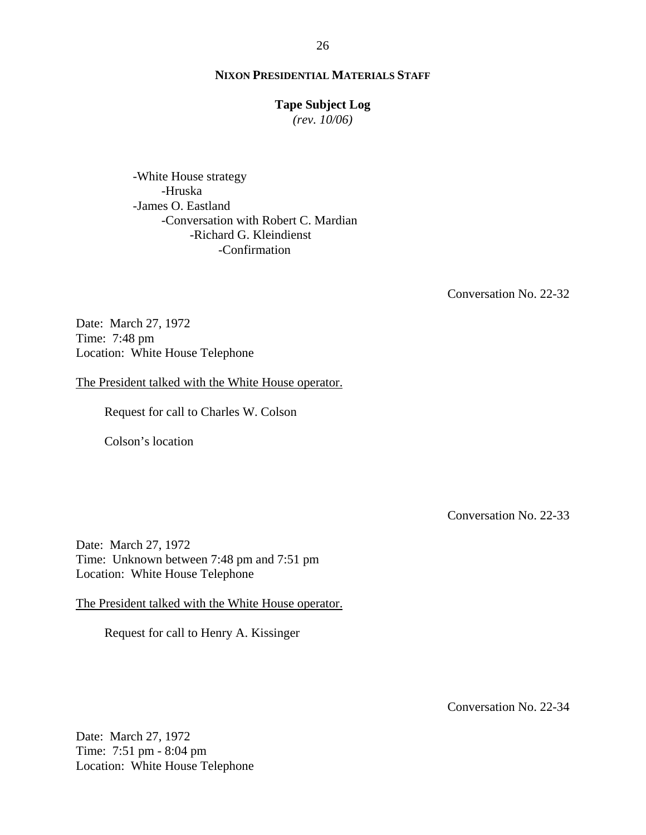## **Tape Subject Log**

*(rev. 10/06)*

-White House strategy -Hruska -James O. Eastland -Conversation with Robert C. Mardian -Richard G. Kleindienst -Confirmation

Conversation No. 22-32

Date: March 27, 1972 Time: 7:48 pm Location: White House Telephone

The President talked with the White House operator.

Request for call to Charles W. Colson

Colson's location

Conversation No. 22-33

Date: March 27, 1972 Time: Unknown between 7:48 pm and 7:51 pm Location: White House Telephone

The President talked with the White House operator.

Request for call to Henry A. Kissinger

Conversation No. 22-34

Date: March 27, 1972 Time: 7:51 pm - 8:04 pm Location: White House Telephone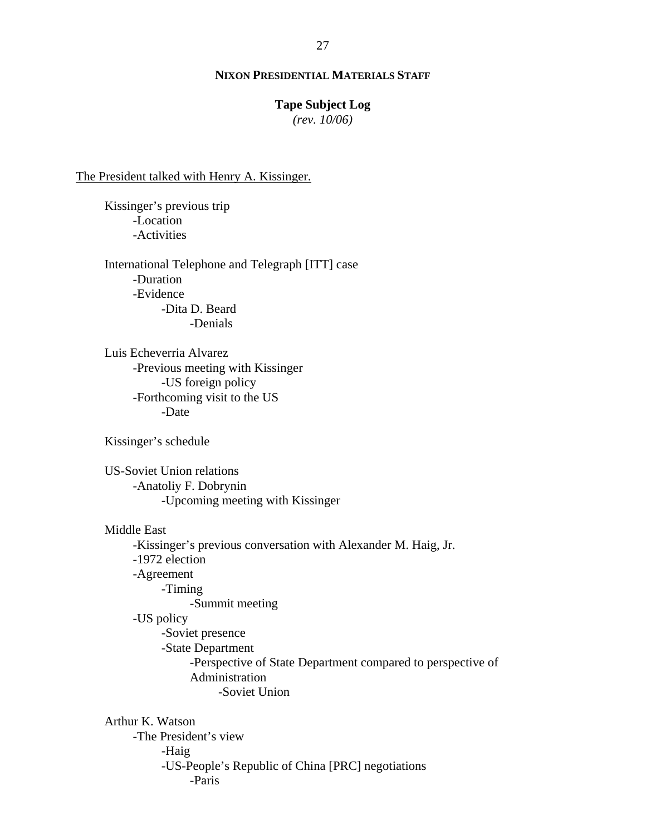# **Tape Subject Log**

*(rev. 10/06)*

#### The President talked with Henry A. Kissinger.

Kissinger's previous trip -Location -Activities

International Telephone and Telegraph [ITT] case -Duration -Evidence -Dita D. Beard -Denials

Luis Echeverria Alvarez -Previous meeting with Kissinger -US foreign policy -Forthcoming visit to the US -Date

Kissinger's schedule

US-Soviet Union relations -Anatoliy F. Dobrynin -Upcoming meeting with Kissinger

Middle East

-Kissinger's previous conversation with Alexander M. Haig, Jr. -1972 election -Agreement -Timing -Summit meeting -US policy -Soviet presence -State Department -Perspective of State Department compared to perspective of Administration -Soviet Union

Arthur K. Watson -The President's view -Haig -US-People's Republic of China [PRC] negotiations -Paris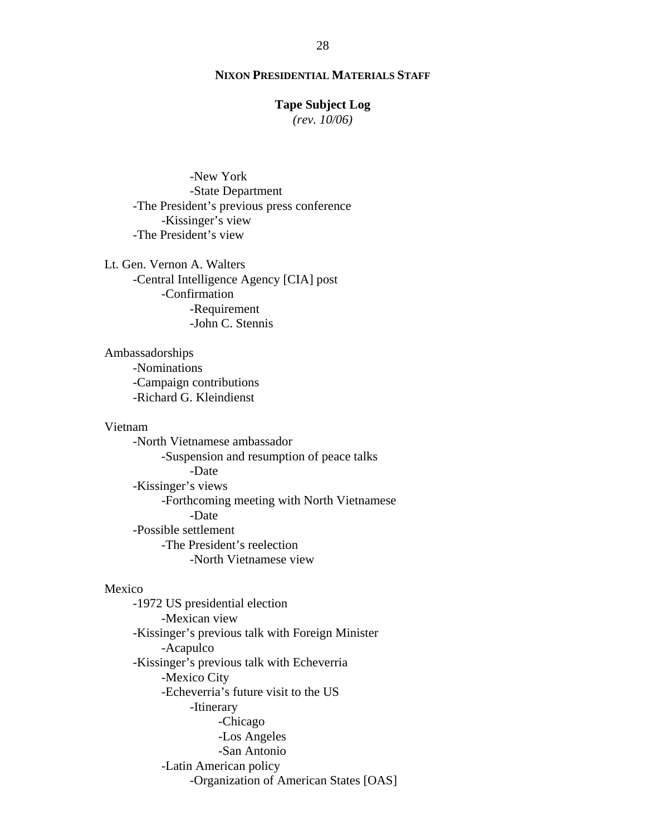#### **Tape Subject Log**

*(rev. 10/06)*

 -New York -State Department -The President's previous press conference -Kissinger's view -The President's view

Lt. Gen. Vernon A. Walters -Central Intelligence Agency [CIA] post -Confirmation -Requirement -John C. Stennis

Ambassadorships -Nominations -Campaign contributions -Richard G. Kleindienst

#### Vietnam

-North Vietnamese ambassador -Suspension and resumption of peace talks -Date -Kissinger's views -Forthcoming meeting with North Vietnamese -Date -Possible settlement -The President's reelection -North Vietnamese view

#### Mexico

-1972 US presidential election -Mexican view -Kissinger's previous talk with Foreign Minister -Acapulco -Kissinger's previous talk with Echeverria -Mexico City -Echeverria's future visit to the US -Itinerary -Chicago -Los Angeles -San Antonio -Latin American policy -Organization of American States [OAS]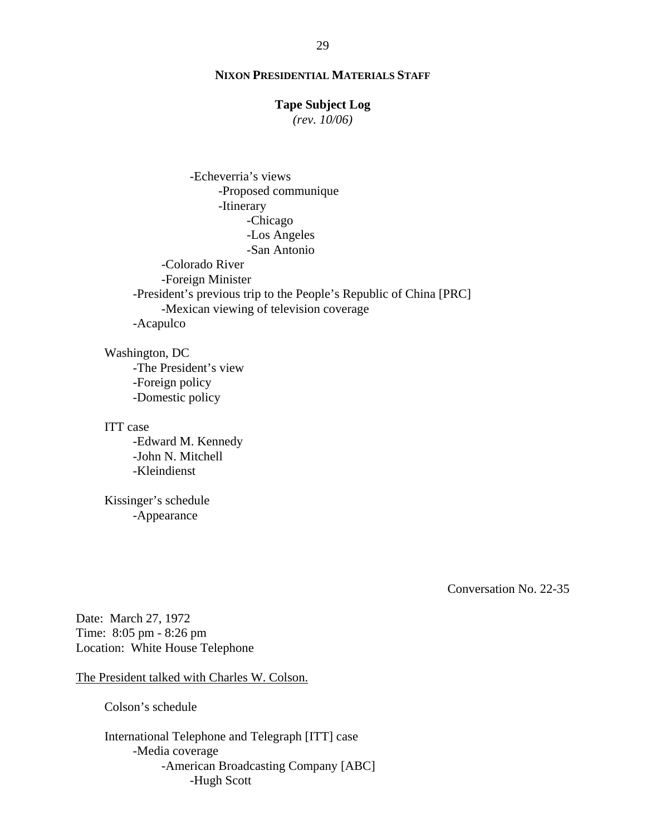#### **Tape Subject Log**

*(rev. 10/06)*

 -Echeverria's views -Proposed communique -Itinerary -Chicago -Los Angeles -San Antonio -Colorado River -Foreign Minister -President's previous trip to the People's Republic of China [PRC] -Mexican viewing of television coverage -Acapulco

Washington, DC -The President's view -Foreign policy -Domestic policy

ITT case -Edward M. Kennedy -John N. Mitchell -Kleindienst

Kissinger's schedule -Appearance

Conversation No. 22-35

Date: March 27, 1972 Time: 8:05 pm - 8:26 pm Location: White House Telephone

The President talked with Charles W. Colson.

Colson's schedule

International Telephone and Telegraph [ITT] case -Media coverage -American Broadcasting Company [ABC] -Hugh Scott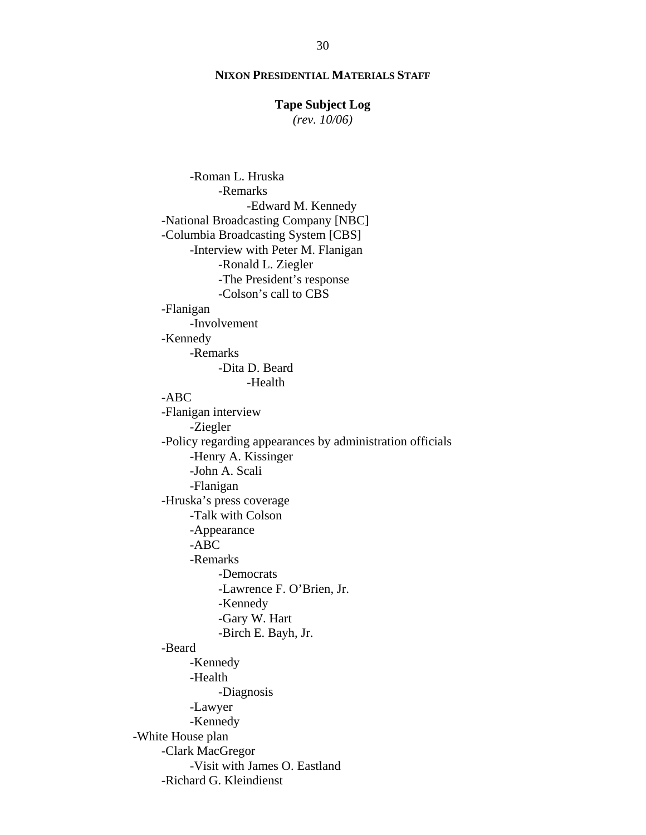#### **Tape Subject Log**

*(rev. 10/06)*

-Roman L. Hruska -Remarks -Edward M. Kennedy -National Broadcasting Company [NBC] -Columbia Broadcasting System [CBS] -Interview with Peter M. Flanigan -Ronald L. Ziegler -The President's response -Colson's call to CBS -Flanigan -Involvement -Kennedy -Remarks -Dita D. Beard -Health -ABC -Flanigan interview -Ziegler -Policy regarding appearances by administration officials -Henry A. Kissinger -John A. Scali -Flanigan -Hruska's press coverage -Talk with Colson -Appearance -ABC -Remarks -Democrats -Lawrence F. O'Brien, Jr. -Kennedy -Gary W. Hart -Birch E. Bayh, Jr. -Beard -Kennedy -Health -Diagnosis -Lawyer -Kennedy -White House plan -Clark MacGregor -Visit with James O. Eastland -Richard G. Kleindienst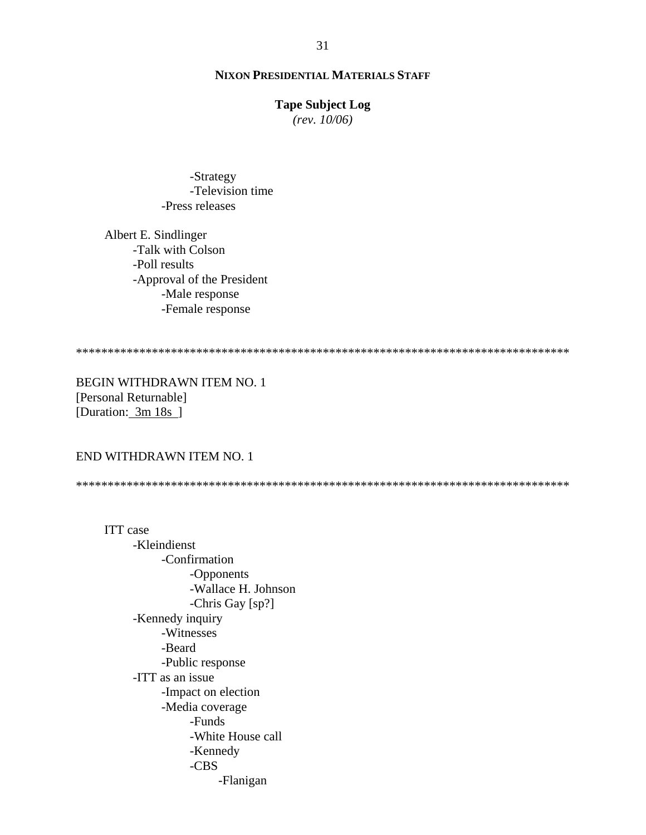## **Tape Subject Log**

*(rev. 10/06)*

 -Strategy -Television time -Press releases

Albert E. Sindlinger -Talk with Colson -Poll results -Approval of the President -Male response -Female response

\*\*\*\*\*\*\*\*\*\*\*\*\*\*\*\*\*\*\*\*\*\*\*\*\*\*\*\*\*\*\*\*\*\*\*\*\*\*\*\*\*\*\*\*\*\*\*\*\*\*\*\*\*\*\*\*\*\*\*\*\*\*\*\*\*\*\*\*\*\*\*\*\*\*\*\*\*\*

BEGIN WITHDRAWN ITEM NO. 1 [Personal Returnable] [Duration: 3m 18s ]

## END WITHDRAWN ITEM NO. 1

\*\*\*\*\*\*\*\*\*\*\*\*\*\*\*\*\*\*\*\*\*\*\*\*\*\*\*\*\*\*\*\*\*\*\*\*\*\*\*\*\*\*\*\*\*\*\*\*\*\*\*\*\*\*\*\*\*\*\*\*\*\*\*\*\*\*\*\*\*\*\*\*\*\*\*\*\*\*

ITT case -Kleindienst -Confirmation -Opponents -Wallace H. Johnson -Chris Gay [sp?] -Kennedy inquiry -Witnesses -Beard -Public response -ITT as an issue -Impact on election -Media coverage -Funds -White House call -Kennedy -CBS -Flanigan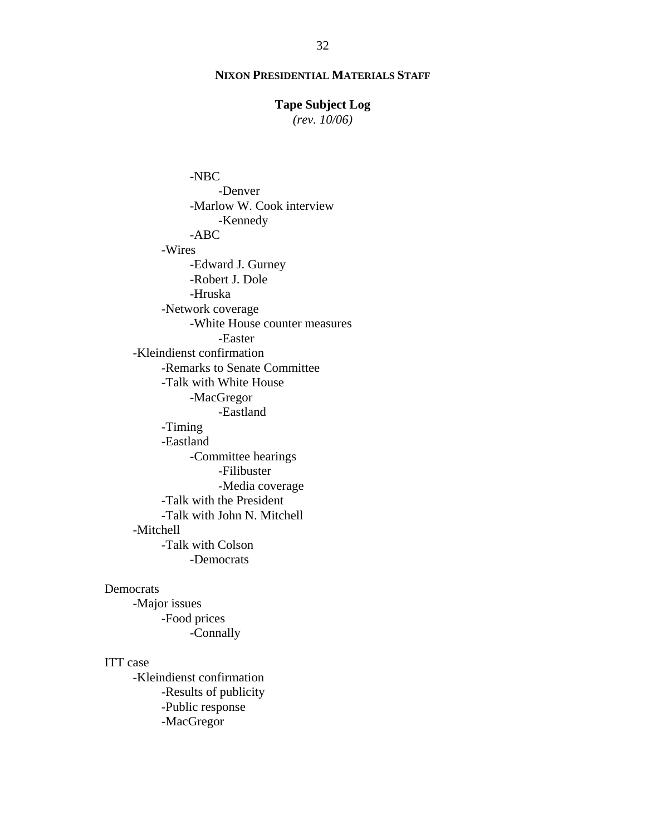## **Tape Subject Log**

*(rev. 10/06)*

-NBC -Denver -Marlow W. Cook interview -Kennedy -ABC -Wires -Edward J. Gurney -Robert J. Dole -Hruska -Network coverage -White House counter measures -Easter -Kleindienst confirmation -Remarks to Senate Committee -Talk with White House -MacGregor -Eastland -Timing -Eastland -Committee hearings -Filibuster -Media coverage -Talk with the President -Talk with John N. Mitchell -Mitchell -Talk with Colson -Democrats

## Democrats

-Major issues -Food prices -Connally

## ITT case

-Kleindienst confirmation -Results of publicity -Public response -MacGregor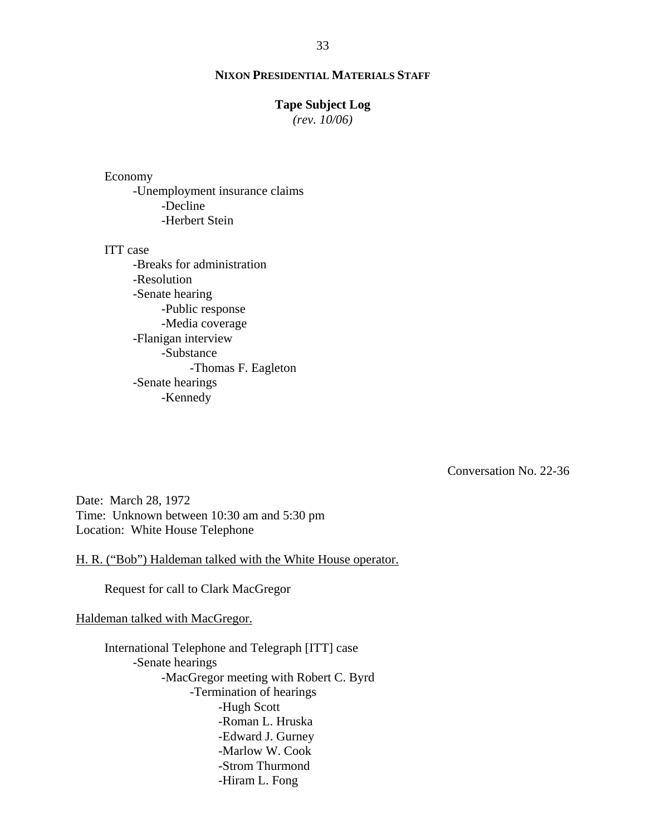#### **Tape Subject Log**

*(rev. 10/06)*

# Economy

-Unemployment insurance claims -Decline -Herbert Stein

#### ITT case

-Breaks for administration -Resolution -Senate hearing -Public response -Media coverage -Flanigan interview -Substance -Thomas F. Eagleton -Senate hearings -Kennedy

Conversation No. 22-36

Date: March 28, 1972 Time: Unknown between 10:30 am and 5:30 pm Location: White House Telephone

H. R. ("Bob") Haldeman talked with the White House operator.

Request for call to Clark MacGregor

#### Haldeman talked with MacGregor.

International Telephone and Telegraph [ITT] case -Senate hearings -MacGregor meeting with Robert C. Byrd -Termination of hearings -Hugh Scott -Roman L. Hruska -Edward J. Gurney -Marlow W. Cook -Strom Thurmond -Hiram L. Fong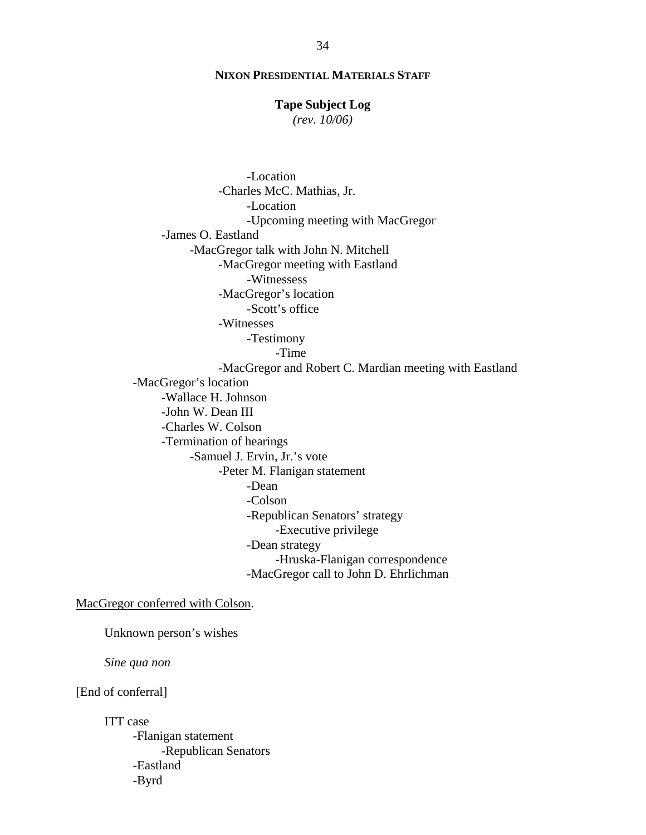## **Tape Subject Log**

*(rev. 10/06)*

-Location -Charles McC. Mathias, Jr. -Location -Upcoming meeting with MacGregor -James O. Eastland -MacGregor talk with John N. Mitchell -MacGregor meeting with Eastland -Witnessess -MacGregor's location -Scott's office -Witnesses -Testimony -Time -MacGregor and Robert C. Mardian meeting with Eastland -MacGregor's location -Wallace H. Johnson -John W. Dean III -Charles W. Colson -Termination of hearings -Samuel J. Ervin, Jr.'s vote -Peter M. Flanigan statement -Dean -Colson -Republican Senators' strategy -Executive privilege -Dean strategy -Hruska-Flanigan correspondence -MacGregor call to John D. Ehrlichman

MacGregor conferred with Colson.

Unknown person's wishes

*Sine qua non* 

[End of conferral]

ITT case -Flanigan statement -Republican Senators -Eastland -Byrd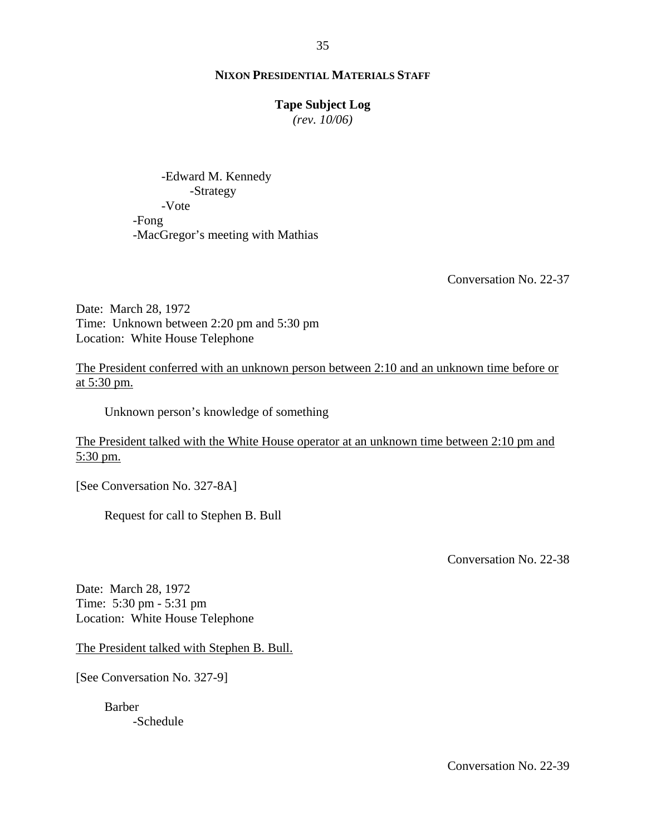## **Tape Subject Log**

*(rev. 10/06)*

-Edward M. Kennedy -Strategy -Vote -Fong -MacGregor's meeting with Mathias

Conversation No. 22-37

Date: March 28, 1972 Time: Unknown between 2:20 pm and 5:30 pm Location: White House Telephone

The President conferred with an unknown person between 2:10 and an unknown time before or at 5:30 pm.

Unknown person's knowledge of something

The President talked with the White House operator at an unknown time between 2:10 pm and 5:30 pm.

[See Conversation No. 327-8A]

Request for call to Stephen B. Bull

Conversation No. 22-38

Date: March 28, 1972 Time: 5:30 pm - 5:31 pm Location: White House Telephone

The President talked with Stephen B. Bull.

[See Conversation No. 327-9]

Barber -Schedule

Conversation No. 22-39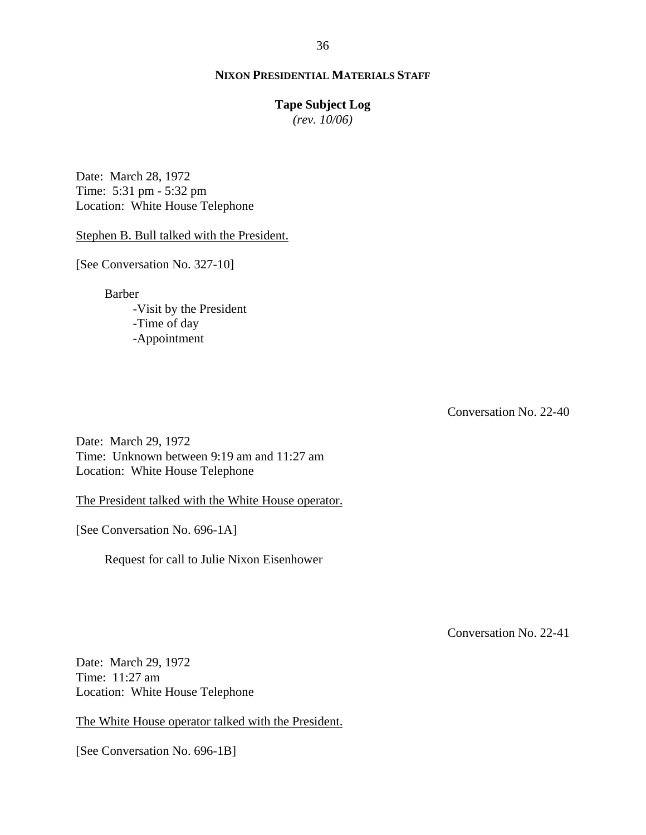#### **Tape Subject Log**

*(rev. 10/06)*

Date: March 28, 1972 Time: 5:31 pm - 5:32 pm Location: White House Telephone

Stephen B. Bull talked with the President.

[See Conversation No. 327-10]

Barber

-Visit by the President -Time of day -Appointment

Conversation No. 22-40

Date: March 29, 1972 Time: Unknown between 9:19 am and 11:27 am Location: White House Telephone

The President talked with the White House operator.

[See Conversation No. 696-1A]

Request for call to Julie Nixon Eisenhower

Conversation No. 22-41

Date: March 29, 1972 Time: 11:27 am Location: White House Telephone

The White House operator talked with the President.

[See Conversation No. 696-1B]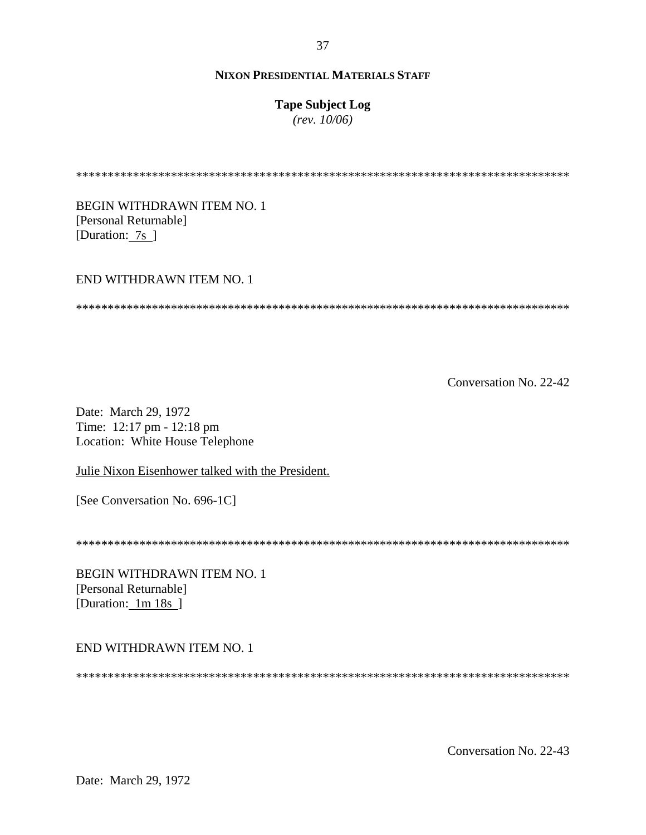## **Tape Subject Log**

 $(rev. 10/06)$ 

**BEGIN WITHDRAWN ITEM NO. 1** [Personal Returnable] [Duration: 7s ]

## END WITHDRAWN ITEM NO. 1

Conversation No. 22-42

Date: March 29, 1972 Time: 12:17 pm - 12:18 pm Location: White House Telephone

Julie Nixon Eisenhower talked with the President.

[See Conversation No. 696-1C]

**BEGIN WITHDRAWN ITEM NO. 1** [Personal Returnable] [Duration: 1m 18s]

END WITHDRAWN ITEM NO. 1

Conversation No. 22-43

37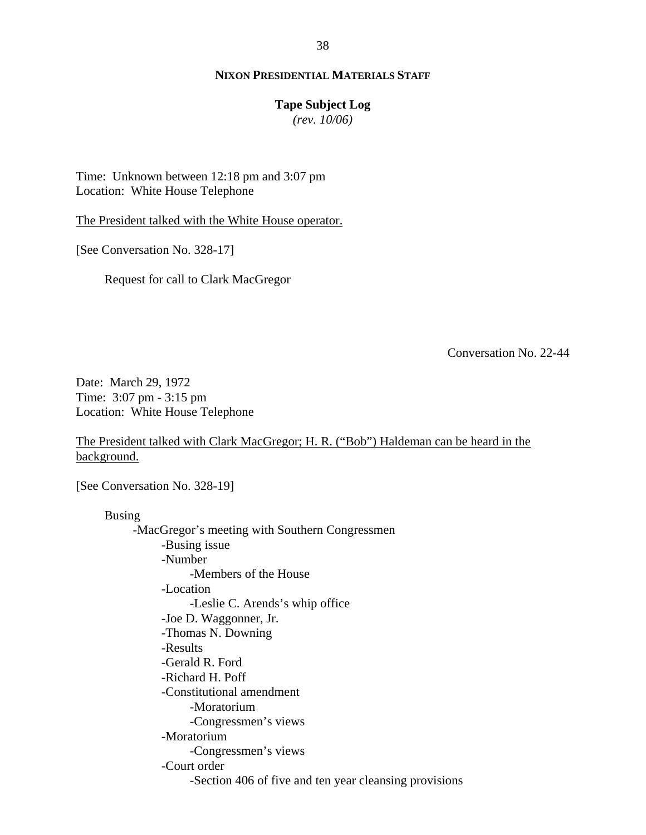## **Tape Subject Log**

*(rev. 10/06)*

Time: Unknown between 12:18 pm and 3:07 pm Location: White House Telephone

The President talked with the White House operator.

[See Conversation No. 328-17]

Request for call to Clark MacGregor

Conversation No. 22-44

Date: March 29, 1972 Time: 3:07 pm - 3:15 pm Location: White House Telephone

The President talked with Clark MacGregor; H. R. ("Bob") Haldeman can be heard in the background.

[See Conversation No. 328-19]

Busing

-MacGregor's meeting with Southern Congressmen -Busing issue -Number -Members of the House -Location -Leslie C. Arends's whip office -Joe D. Waggonner, Jr. -Thomas N. Downing -Results -Gerald R. Ford -Richard H. Poff -Constitutional amendment -Moratorium -Congressmen's views -Moratorium -Congressmen's views -Court order -Section 406 of five and ten year cleansing provisions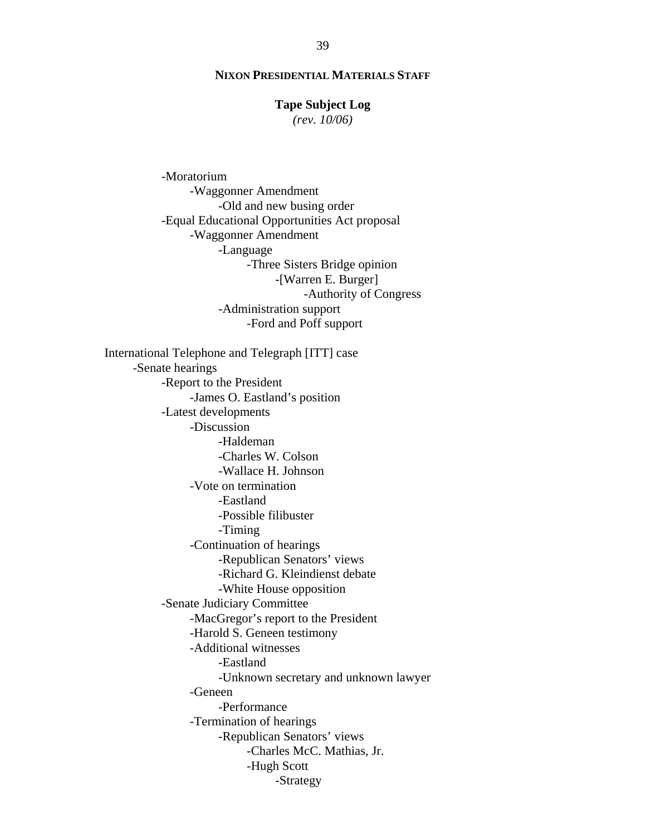#### **Tape Subject Log**

*(rev. 10/06)*

 -Moratorium -Waggonner Amendment -Old and new busing order -Equal Educational Opportunities Act proposal -Waggonner Amendment -Language -Three Sisters Bridge opinion -[Warren E. Burger] -Authority of Congress -Administration support -Ford and Poff support International Telephone and Telegraph [ITT] case -Senate hearings -Report to the President -James O. Eastland's position -Latest developments -Discussion -Haldeman -Charles W. Colson -Wallace H. Johnson -Vote on termination -Eastland -Possible filibuster -Timing -Continuation of hearings -Republican Senators' views -Richard G. Kleindienst debate -White House opposition -Senate Judiciary Committee -MacGregor's report to the President -Harold S. Geneen testimony -Additional witnesses -Eastland -Unknown secretary and unknown lawyer -Geneen -Performance -Termination of hearings -Republican Senators' views -Charles McC. Mathias, Jr. -Hugh Scott -Strategy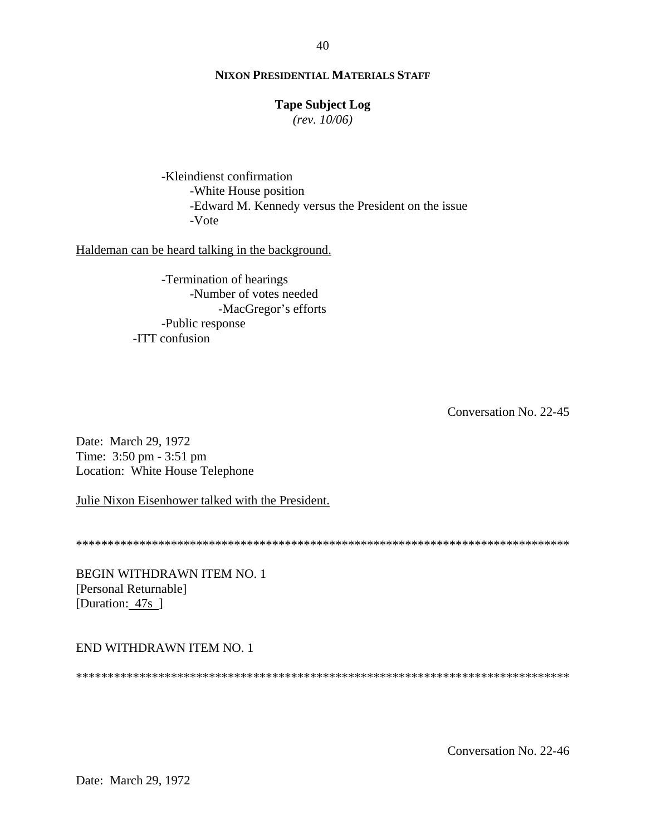## **Tape Subject Log**

*(rev. 10/06)*

-Kleindienst confirmation -White House position -Edward M. Kennedy versus the President on the issue -Vote

Haldeman can be heard talking in the background.

-Termination of hearings -Number of votes needed -MacGregor's efforts -Public response -ITT confusion

Conversation No. 22-45

Date: March 29, 1972 Time: 3:50 pm - 3:51 pm Location: White House Telephone

Julie Nixon Eisenhower talked with the President.

\*\*\*\*\*\*\*\*\*\*\*\*\*\*\*\*\*\*\*\*\*\*\*\*\*\*\*\*\*\*\*\*\*\*\*\*\*\*\*\*\*\*\*\*\*\*\*\*\*\*\*\*\*\*\*\*\*\*\*\*\*\*\*\*\*\*\*\*\*\*\*\*\*\*\*\*\*\*

BEGIN WITHDRAWN ITEM NO. 1 [Personal Returnable] [Duration: 47s]

END WITHDRAWN ITEM NO. 1

\*\*\*\*\*\*\*\*\*\*\*\*\*\*\*\*\*\*\*\*\*\*\*\*\*\*\*\*\*\*\*\*\*\*\*\*\*\*\*\*\*\*\*\*\*\*\*\*\*\*\*\*\*\*\*\*\*\*\*\*\*\*\*\*\*\*\*\*\*\*\*\*\*\*\*\*\*\*

Conversation No. 22-46

40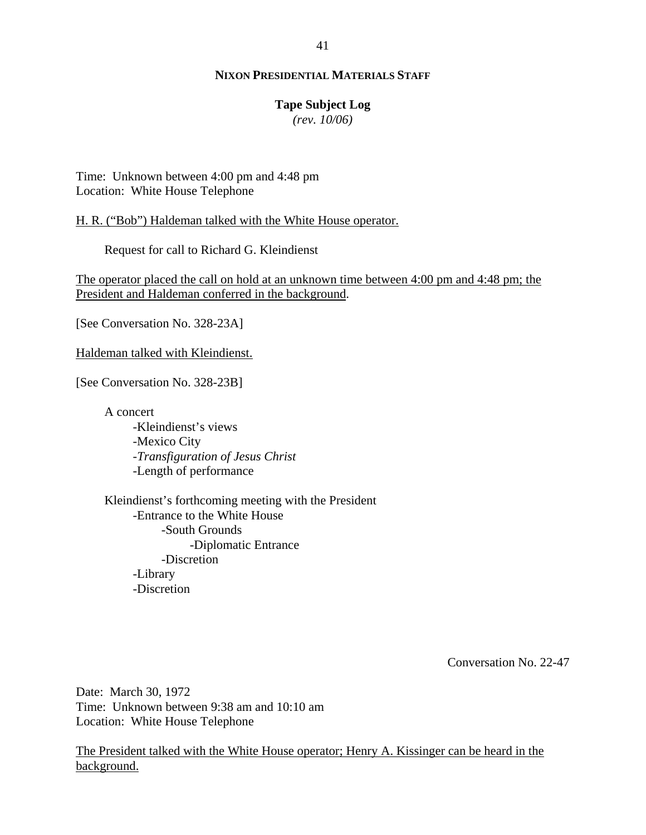## **Tape Subject Log**

*(rev. 10/06)*

Time: Unknown between 4:00 pm and 4:48 pm Location: White House Telephone

H. R. ("Bob") Haldeman talked with the White House operator.

Request for call to Richard G. Kleindienst

The operator placed the call on hold at an unknown time between 4:00 pm and 4:48 pm; the President and Haldeman conferred in the background.

[See Conversation No. 328-23A]

Haldeman talked with Kleindienst.

[See Conversation No. 328-23B]

A concert

-Kleindienst's views -Mexico City -*Transfiguration of Jesus Christ* -Length of performance

Kleindienst's forthcoming meeting with the President -Entrance to the White House -South Grounds -Diplomatic Entrance -Discretion -Library -Discretion

Conversation No. 22-47

Date: March 30, 1972 Time: Unknown between 9:38 am and 10:10 am Location: White House Telephone

The President talked with the White House operator; Henry A. Kissinger can be heard in the background.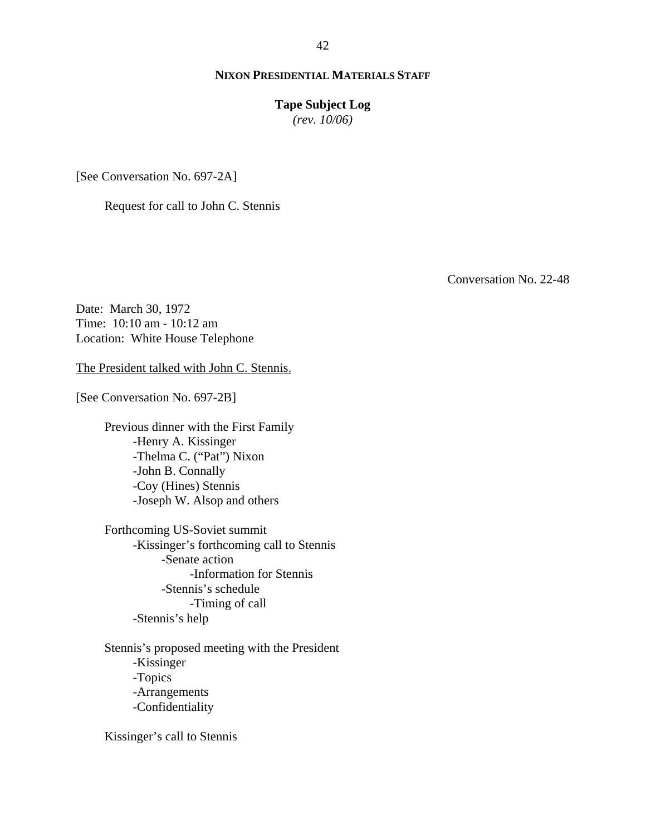## **Tape Subject Log**

*(rev. 10/06)*

[See Conversation No. 697-2A]

Request for call to John C. Stennis

Conversation No. 22-48

Date: March 30, 1972 Time: 10:10 am - 10:12 am Location: White House Telephone

The President talked with John C. Stennis.

[See Conversation No. 697-2B]

Previous dinner with the First Family -Henry A. Kissinger -Thelma C. ("Pat") Nixon -John B. Connally -Coy (Hines) Stennis -Joseph W. Alsop and others

Forthcoming US-Soviet summit -Kissinger's forthcoming call to Stennis -Senate action -Information for Stennis -Stennis's schedule -Timing of call -Stennis's help

Stennis's proposed meeting with the President -Kissinger -Topics -Arrangements -Confidentiality

Kissinger's call to Stennis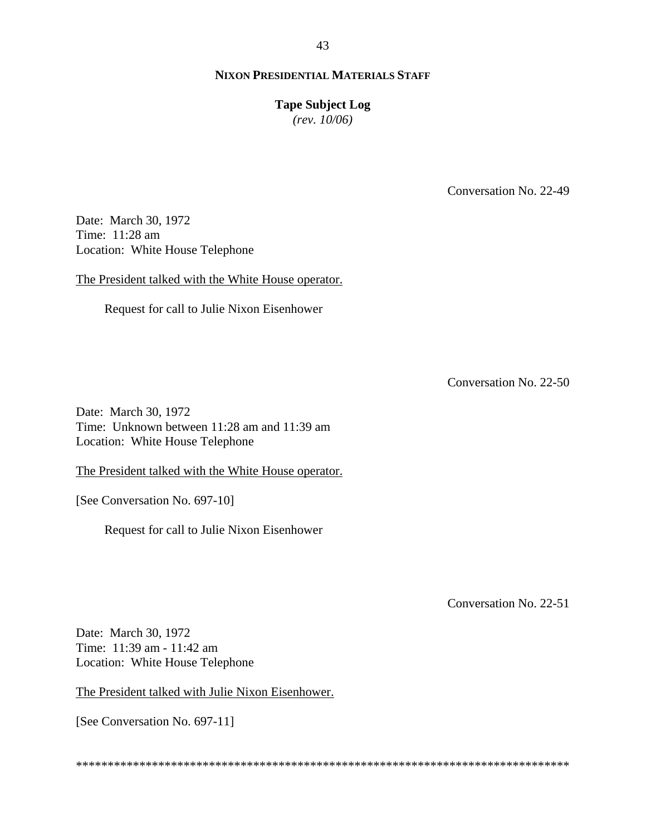#### 43

## **NIXON PRESIDENTIAL MATERIALS STAFF**

## **Tape Subject Log**

*(rev. 10/06)*

Conversation No. 22-49

Date: March 30, 1972 Time: 11:28 am Location: White House Telephone

The President talked with the White House operator.

Request for call to Julie Nixon Eisenhower

Conversation No. 22-50

Date: March 30, 1972 Time: Unknown between 11:28 am and 11:39 am Location: White House Telephone

The President talked with the White House operator.

[See Conversation No. 697-10]

Request for call to Julie Nixon Eisenhower

Conversation No. 22-51

Date: March 30, 1972 Time: 11:39 am - 11:42 am Location: White House Telephone

The President talked with Julie Nixon Eisenhower.

[See Conversation No. 697-11]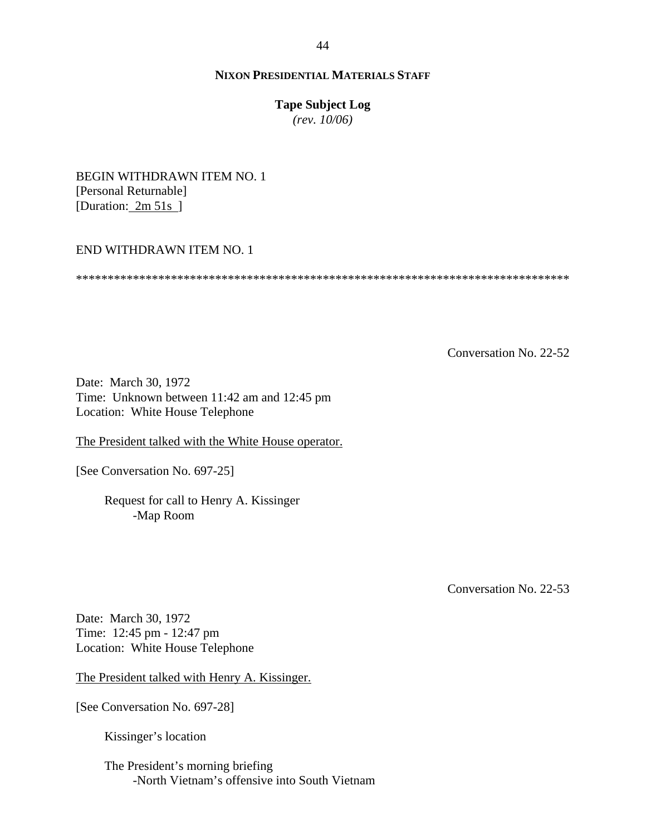## **Tape Subject Log**

*(rev. 10/06)*

BEGIN WITHDRAWN ITEM NO. 1 [Personal Returnable] [Duration: 2m 51s]

## END WITHDRAWN ITEM NO. 1

\*\*\*\*\*\*\*\*\*\*\*\*\*\*\*\*\*\*\*\*\*\*\*\*\*\*\*\*\*\*\*\*\*\*\*\*\*\*\*\*\*\*\*\*\*\*\*\*\*\*\*\*\*\*\*\*\*\*\*\*\*\*\*\*\*\*\*\*\*\*\*\*\*\*\*\*\*\*

Conversation No. 22-52

Date: March 30, 1972 Time: Unknown between 11:42 am and 12:45 pm Location: White House Telephone

The President talked with the White House operator.

[See Conversation No. 697-25]

Request for call to Henry A. Kissinger -Map Room

Conversation No. 22-53

Date: March 30, 1972 Time: 12:45 pm - 12:47 pm Location: White House Telephone

The President talked with Henry A. Kissinger.

[See Conversation No. 697-28]

Kissinger's location

The President's morning briefing -North Vietnam's offensive into South Vietnam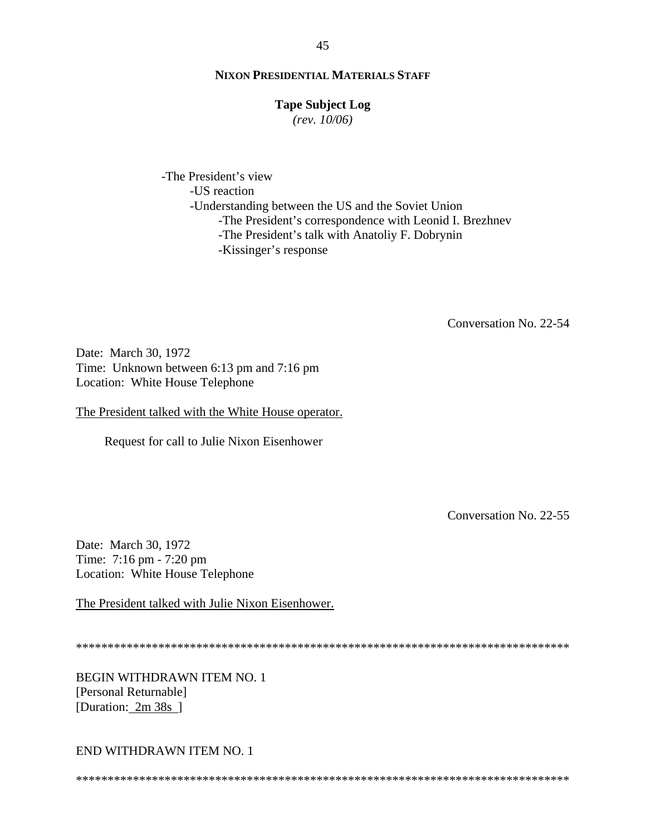#### **Tape Subject Log**

 $(rev. 10/06)$ 

-The President's view -US reaction -Understanding between the US and the Soviet Union -The President's correspondence with Leonid I. Brezhnev -The President's talk with Anatoliy F. Dobrynin -Kissinger's response

Conversation No. 22-54

Date: March 30, 1972 Time: Unknown between 6:13 pm and 7:16 pm Location: White House Telephone

The President talked with the White House operator.

Request for call to Julie Nixon Eisenhower

Conversation No. 22-55

Date: March 30, 1972 Time: 7:16 pm - 7:20 pm Location: White House Telephone

The President talked with Julie Nixon Eisenhower.

**BEGIN WITHDRAWN ITEM NO. 1** [Personal Returnable] [Duration: 2m 38s]

END WITHDRAWN ITEM NO. 1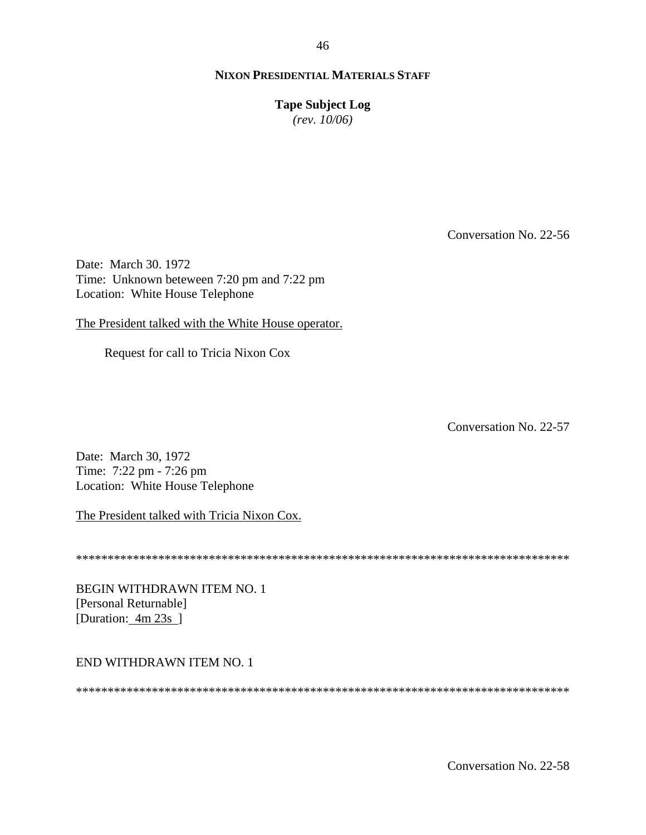**Tape Subject Log**

*(rev. 10/06)*

Conversation No. 22-56

Date: March 30. 1972 Time: Unknown beteween 7:20 pm and 7:22 pm Location: White House Telephone

The President talked with the White House operator.

Request for call to Tricia Nixon Cox

Conversation No. 22-57

Date: March 30, 1972 Time: 7:22 pm - 7:26 pm Location: White House Telephone

The President talked with Tricia Nixon Cox.

\*\*\*\*\*\*\*\*\*\*\*\*\*\*\*\*\*\*\*\*\*\*\*\*\*\*\*\*\*\*\*\*\*\*\*\*\*\*\*\*\*\*\*\*\*\*\*\*\*\*\*\*\*\*\*\*\*\*\*\*\*\*\*\*\*\*\*\*\*\*\*\*\*\*\*\*\*\*

BEGIN WITHDRAWN ITEM NO. 1 [Personal Returnable] [Duration: 4m 23s]

## END WITHDRAWN ITEM NO. 1

\*\*\*\*\*\*\*\*\*\*\*\*\*\*\*\*\*\*\*\*\*\*\*\*\*\*\*\*\*\*\*\*\*\*\*\*\*\*\*\*\*\*\*\*\*\*\*\*\*\*\*\*\*\*\*\*\*\*\*\*\*\*\*\*\*\*\*\*\*\*\*\*\*\*\*\*\*\*

Conversation No. 22-58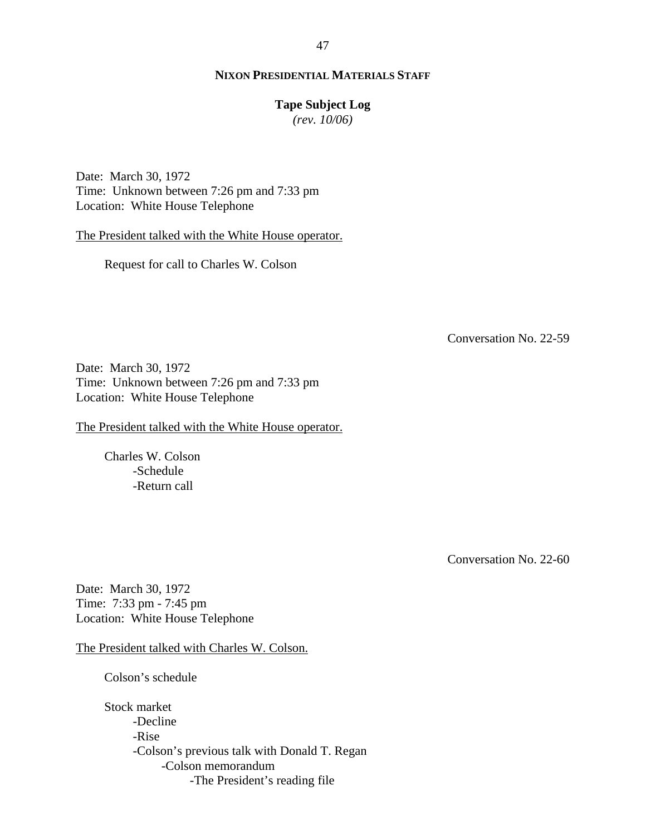#### **Tape Subject Log**

*(rev. 10/06)*

Date: March 30, 1972 Time: Unknown between 7:26 pm and 7:33 pm Location: White House Telephone

The President talked with the White House operator.

Request for call to Charles W. Colson

Conversation No. 22-59

Date: March 30, 1972 Time: Unknown between 7:26 pm and 7:33 pm Location: White House Telephone

The President talked with the White House operator.

Charles W. Colson -Schedule -Return call

Conversation No. 22-60

Date: March 30, 1972 Time: 7:33 pm - 7:45 pm Location: White House Telephone

The President talked with Charles W. Colson.

Colson's schedule

Stock market -Decline -Rise -Colson's previous talk with Donald T. Regan -Colson memorandum -The President's reading file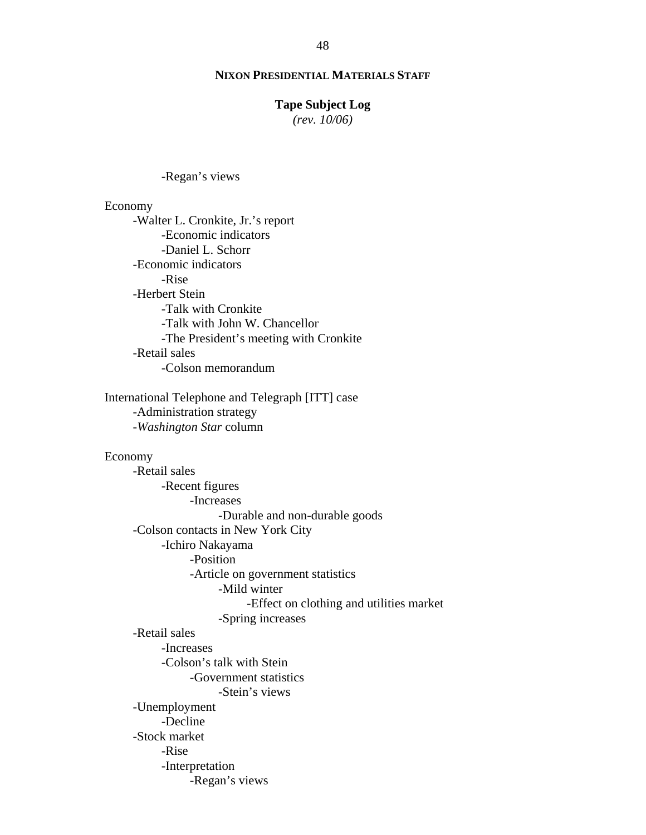## **Tape Subject Log**

*(rev. 10/06)*

-Regan's views

#### Economy

-Walter L. Cronkite, Jr.'s report -Economic indicators -Daniel L. Schorr -Economic indicators -Rise -Herbert Stein -Talk with Cronkite -Talk with John W. Chancellor -The President's meeting with Cronkite -Retail sales -Colson memorandum

International Telephone and Telegraph [ITT] case -Administration strategy -*Washington Star* column

#### Economy

-Retail sales -Recent figures -Increases -Durable and non-durable goods -Colson contacts in New York City -Ichiro Nakayama -Position -Article on government statistics -Mild winter -Effect on clothing and utilities market -Spring increases -Retail sales -Increases -Colson's talk with Stein -Government statistics -Stein's views -Unemployment -Decline -Stock market -Rise -Interpretation -Regan's views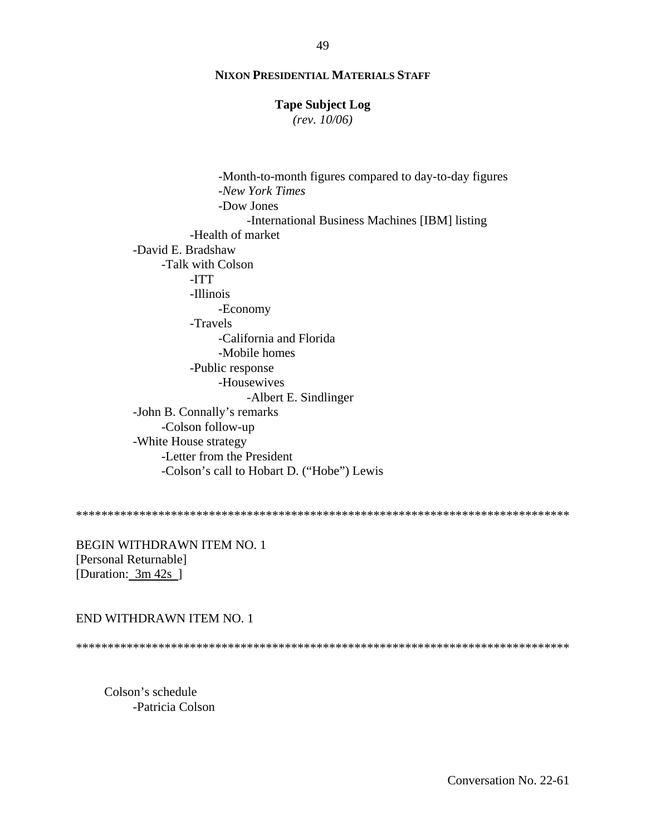## **Tape Subject Log**

 $(rev. 10/06)$ 

-Month-to-month figures compared to day-to-day figures -New York Times -Dow Jones -International Business Machines [IBM] listing -Health of market -David E. Bradshaw -Talk with Colson -ITT -Illinois -Economy -Travels -California and Florida -Mobile homes -Public response -Housewives -Albert E. Sindlinger -John B. Connally's remarks -Colson follow-up -White House strategy -Letter from the President -Colson's call to Hobart D. ("Hobe") Lewis

BEGIN WITHDRAWN ITEM NO. 1 [Personal Returnable] [Duration: 3m 42s ]

#### END WITHDRAWN ITEM NO. 1

Colson's schedule -Patricia Colson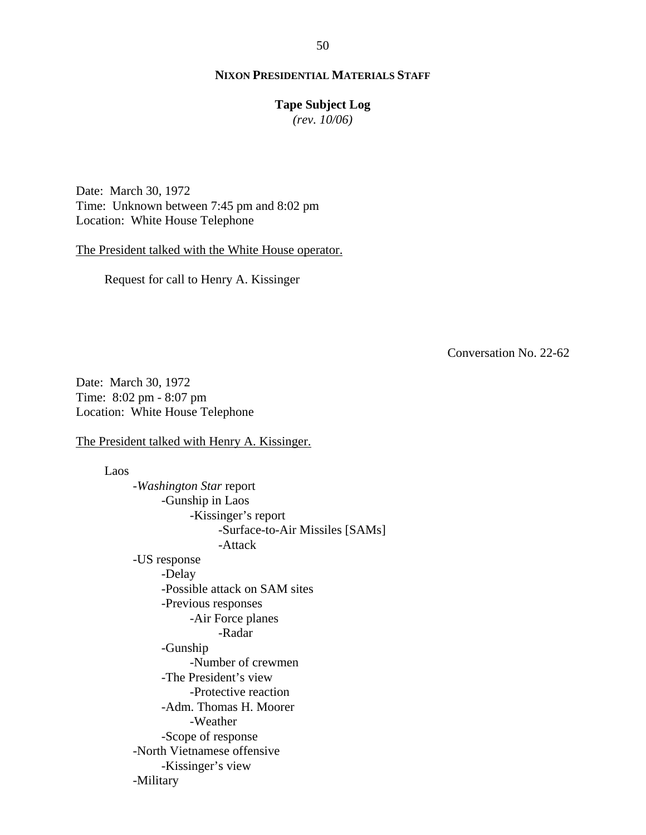#### **Tape Subject Log**

*(rev. 10/06)*

Date: March 30, 1972 Time: Unknown between 7:45 pm and 8:02 pm Location: White House Telephone

The President talked with the White House operator.

Request for call to Henry A. Kissinger

Conversation No. 22-62

Date: March 30, 1972 Time: 8:02 pm - 8:07 pm Location: White House Telephone

The President talked with Henry A. Kissinger.

Laos -*Washington Star* report -Gunship in Laos -Kissinger's report -Surface-to-Air Missiles [SAMs] -Attack -US response -Delay -Possible attack on SAM sites -Previous responses -Air Force planes -Radar -Gunship -Number of crewmen -The President's view -Protective reaction -Adm. Thomas H. Moorer -Weather -Scope of response -North Vietnamese offensive -Kissinger's view -Military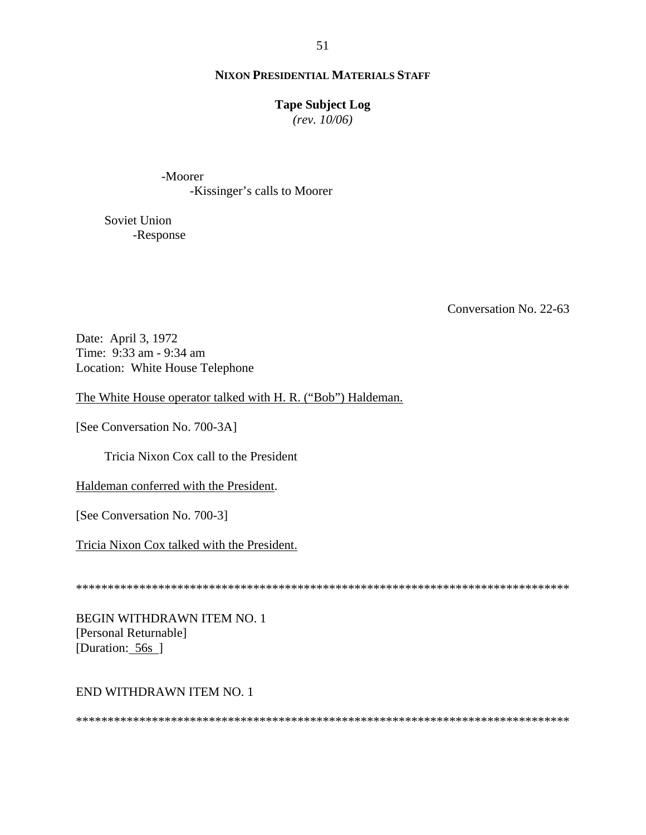## **Tape Subject Log**

 $(rev. 10/06)$ 

-Moorer -Kissinger's calls to Moorer

Soviet Union -Response

Conversation No. 22-63

Date: April 3, 1972 Time: 9:33 am - 9:34 am Location: White House Telephone

The White House operator talked with H. R. ("Bob") Haldeman.

[See Conversation No. 700-3A]

Tricia Nixon Cox call to the President

Haldeman conferred with the President.

[See Conversation No. 700-3]

Tricia Nixon Cox talked with the President.

**BEGIN WITHDRAWN ITEM NO. 1** [Personal Returnable] [Duration: 56s]

## END WITHDRAWN ITEM NO. 1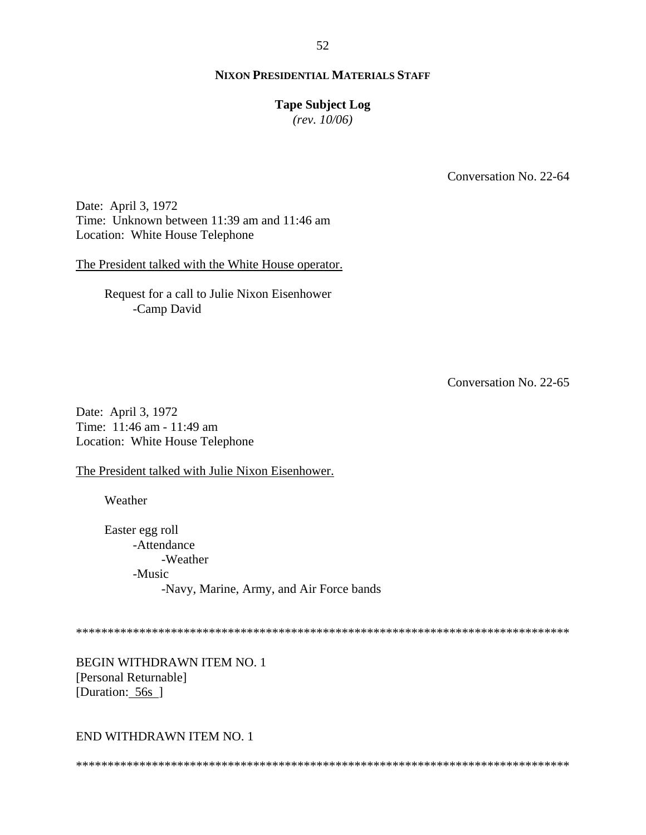## **Tape Subject Log**

 $(rev. 10/06)$ 

Conversation No. 22-64

Date: April 3, 1972 Time: Unknown between 11:39 am and 11:46 am Location: White House Telephone

The President talked with the White House operator.

Request for a call to Julie Nixon Eisenhower -Camp David

Conversation No. 22-65

Date: April 3, 1972 Time: 11:46 am - 11:49 am Location: White House Telephone

The President talked with Julie Nixon Eisenhower.

Weather

Easter egg roll -Attendance -Weather -Music -Navy, Marine, Army, and Air Force bands

BEGIN WITHDRAWN ITEM NO. 1 [Personal Returnable] [Duration: 56s]

## END WITHDRAWN ITEM NO. 1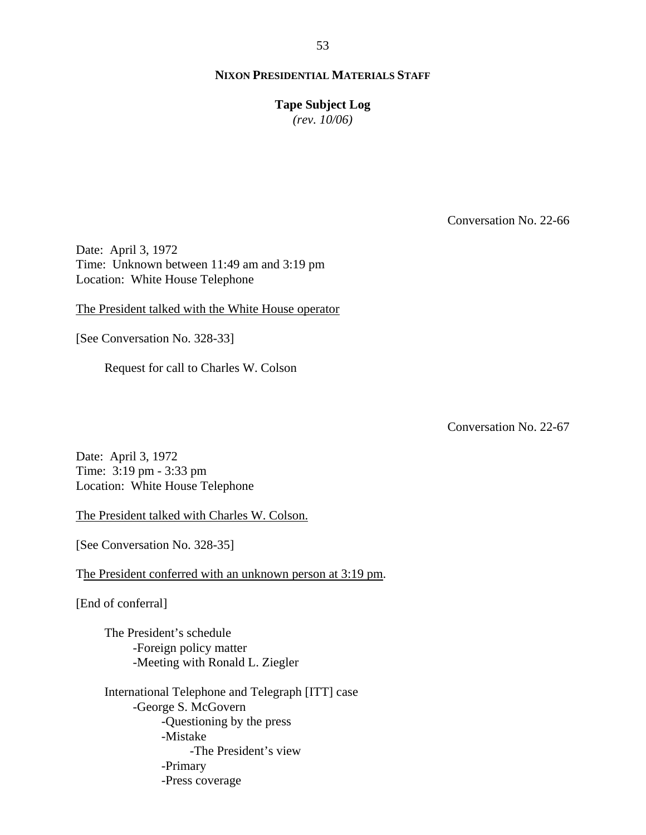**Tape Subject Log**

*(rev. 10/06)*

Conversation No. 22-66

Date: April 3, 1972 Time: Unknown between 11:49 am and 3:19 pm Location: White House Telephone

The President talked with the White House operator

[See Conversation No. 328-33]

Request for call to Charles W. Colson

Conversation No. 22-67

Date: April 3, 1972 Time: 3:19 pm - 3:33 pm Location: White House Telephone

The President talked with Charles W. Colson.

[See Conversation No. 328-35]

The President conferred with an unknown person at 3:19 pm.

[End of conferral]

The President's schedule -Foreign policy matter -Meeting with Ronald L. Ziegler

International Telephone and Telegraph [ITT] case -George S. McGovern -Questioning by the press -Mistake -The President's view -Primary -Press coverage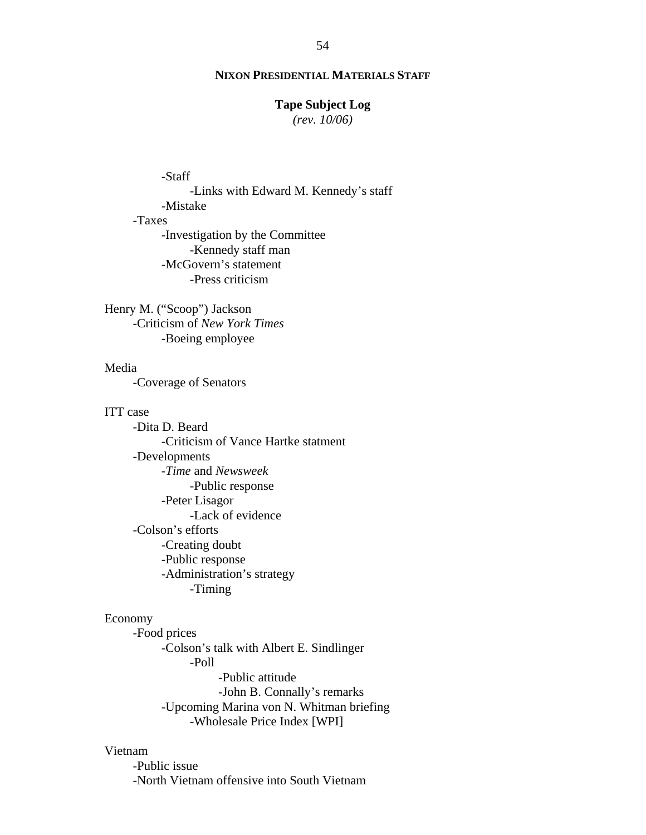#### **Tape Subject Log**

*(rev. 10/06)*

## -Staff

-Links with Edward M. Kennedy's staff -Mistake

# -Taxes

-Investigation by the Committee -Kennedy staff man -McGovern's statement -Press criticism

Henry M. ("Scoop") Jackson -Criticism of *New York Times* -Boeing employee

## Media

-Coverage of Senators

#### ITT case

-Dita D. Beard -Criticism of Vance Hartke statment -Developments -*Time* and *Newsweek* -Public response -Peter Lisagor -Lack of evidence -Colson's efforts -Creating doubt -Public response -Administration's strategy -Timing

#### Economy

-Food prices -Colson's talk with Albert E. Sindlinger -Poll -Public attitude -John B. Connally's remarks -Upcoming Marina von N. Whitman briefing -Wholesale Price Index [WPI]

#### Vietnam

-Public issue -North Vietnam offensive into South Vietnam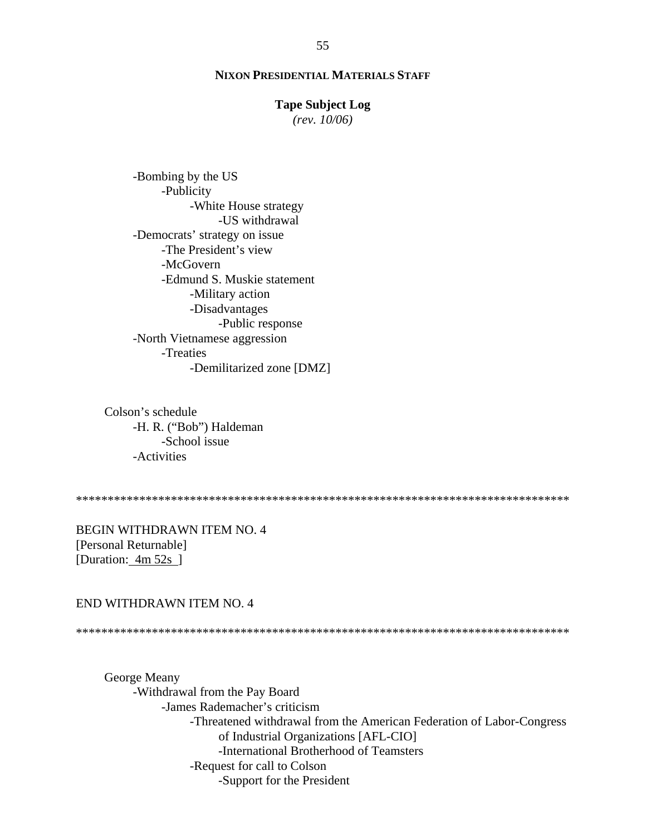#### **Tape Subject Log**

 $(rev. 10/06)$ 

-Bombing by the US -Publicity -White House strategy -US withdrawal -Democrats' strategy on issue -The President's view -McGovern -Edmund S. Muskie statement -Military action -Disadvantages -Public response -North Vietnamese aggression -Treaties -Demilitarized zone [DMZ]

Colson's schedule -H. R. ("Bob") Haldeman -School issue -Activities

**BEGIN WITHDRAWN ITEM NO. 4** [Personal Returnable] [Duration:  $4m 52s$ ]

## END WITHDRAWN ITEM NO. 4

George Meany -Withdrawal from the Pay Board -James Rademacher's criticism -Threatened withdrawal from the American Federation of Labor-Congress of Industrial Organizations [AFL-CIO] -International Brotherhood of Teamsters -Request for call to Colson -Support for the President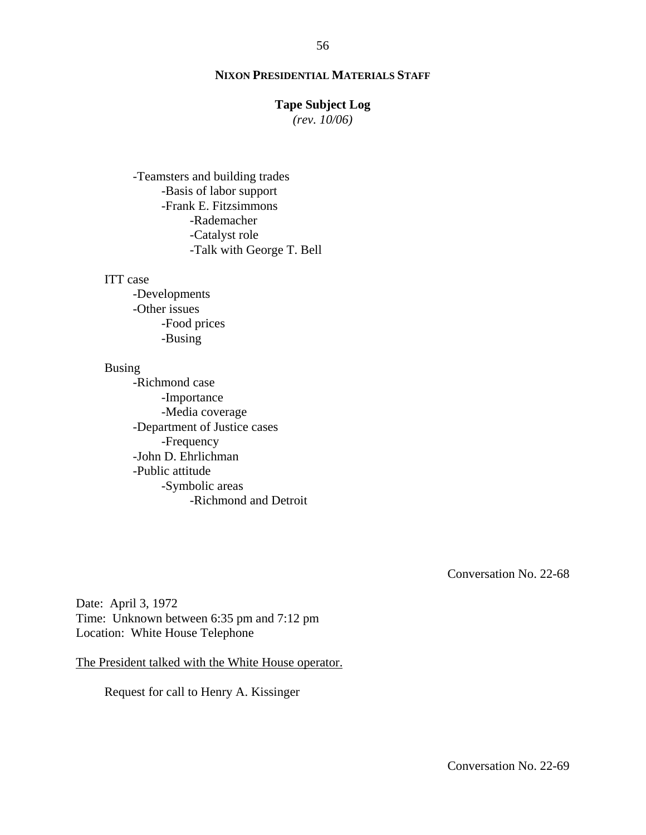## **Tape Subject Log**

*(rev. 10/06)*

-Teamsters and building trades -Basis of labor support -Frank E. Fitzsimmons -Rademacher -Catalyst role -Talk with George T. Bell

## ITT case

-Developments -Other issues -Food prices -Busing

## Busing

-Richmond case -Importance -Media coverage -Department of Justice cases -Frequency -John D. Ehrlichman -Public attitude -Symbolic areas -Richmond and Detroit

Conversation No. 22-68

Date: April 3, 1972 Time: Unknown between 6:35 pm and 7:12 pm Location: White House Telephone

The President talked with the White House operator.

Request for call to Henry A. Kissinger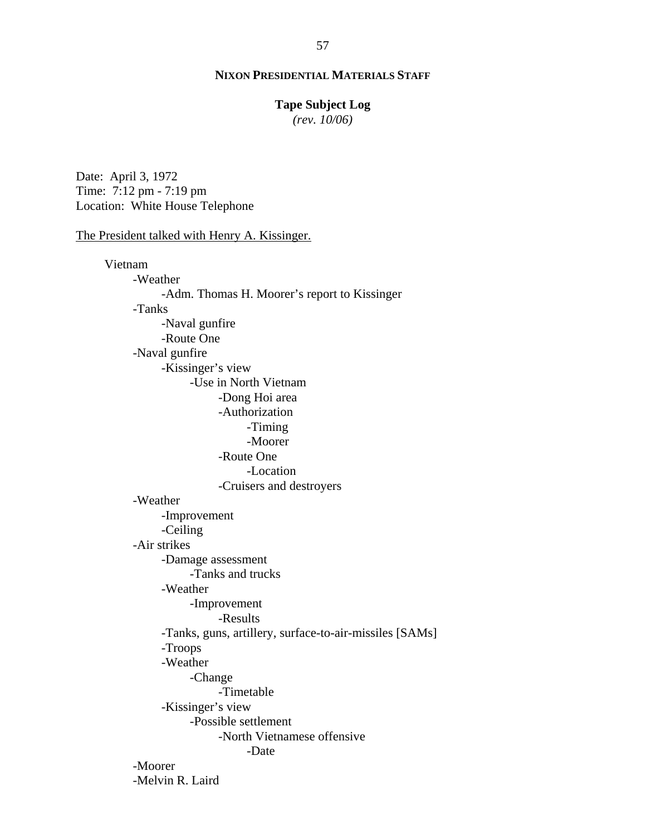## **Tape Subject Log**

*(rev. 10/06)*

Date: April 3, 1972 Time: 7:12 pm - 7:19 pm Location: White House Telephone

## The President talked with Henry A. Kissinger.

Vietnam -Weather -Adm. Thomas H. Moorer's report to Kissinger -Tanks -Naval gunfire -Route One -Naval gunfire -Kissinger's view -Use in North Vietnam -Dong Hoi area -Authorization -Timing -Moorer -Route One -Location -Cruisers and destroyers -Weather -Improvement -Ceiling -Air strikes -Damage assessment -Tanks and trucks -Weather -Improvement -Results -Tanks, guns, artillery, surface-to-air-missiles [SAMs] -Troops -Weather -Change -Timetable -Kissinger's view -Possible settlement -North Vietnamese offensive -Date -Moorer -Melvin R. Laird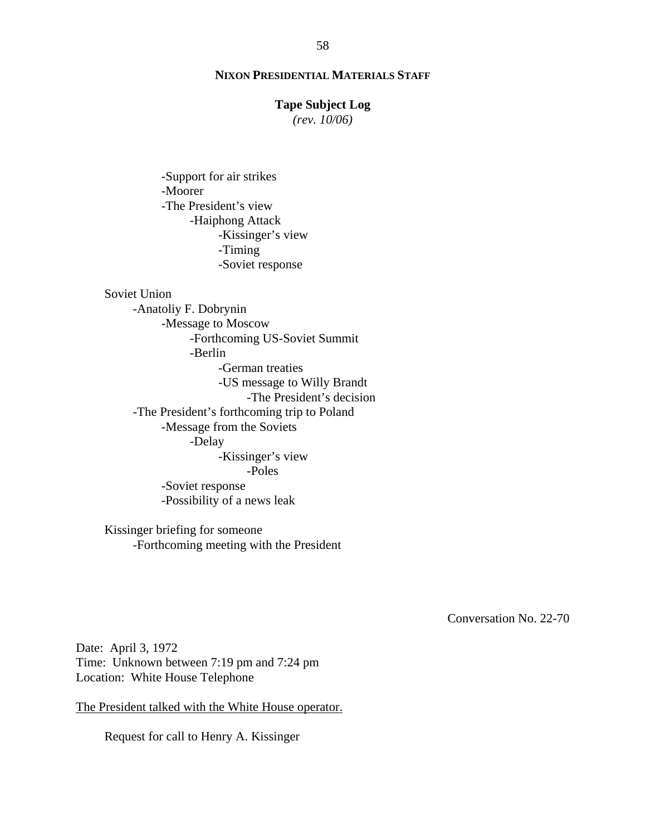## **Tape Subject Log**

*(rev. 10/06)*

-Support for air strikes -Moorer -The President's view -Haiphong Attack -Kissinger's view -Timing -Soviet response

Soviet Union

-Anatoliy F. Dobrynin -Message to Moscow -Forthcoming US-Soviet Summit -Berlin -German treaties -US message to Willy Brandt -The President's decision -The President's forthcoming trip to Poland -Message from the Soviets -Delay -Kissinger's view -Poles -Soviet response -Possibility of a news leak

Kissinger briefing for someone -Forthcoming meeting with the President

Conversation No. 22-70

Date: April 3, 1972 Time: Unknown between 7:19 pm and 7:24 pm Location: White House Telephone

The President talked with the White House operator.

Request for call to Henry A. Kissinger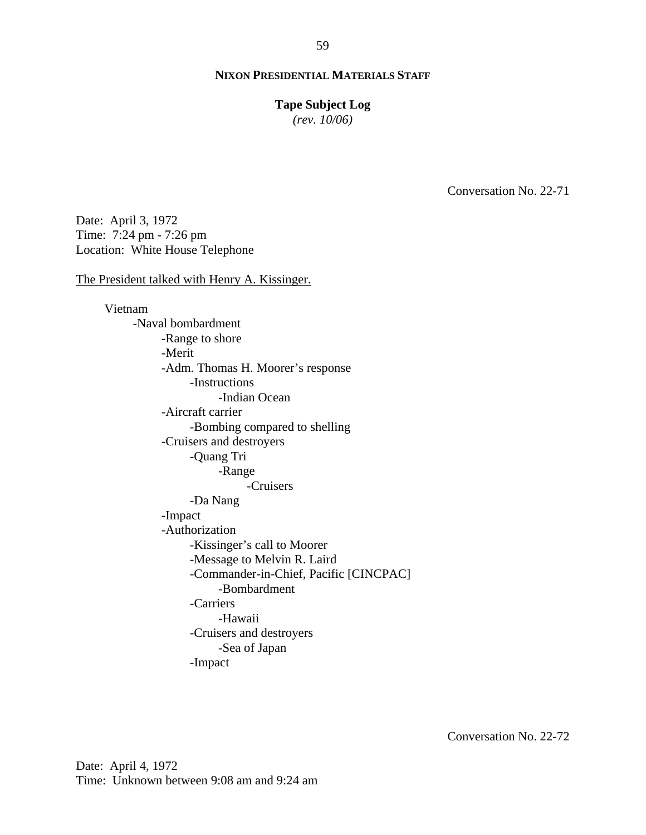#### **Tape Subject Log**

*(rev. 10/06)*

Conversation No. 22-71

Date: April 3, 1972 Time: 7:24 pm - 7:26 pm Location: White House Telephone

The President talked with Henry A. Kissinger.

Vietnam -Naval bombardment -Range to shore -Merit -Adm. Thomas H. Moorer's response -Instructions -Indian Ocean -Aircraft carrier -Bombing compared to shelling -Cruisers and destroyers -Quang Tri -Range -Cruisers -Da Nang -Impact -Authorization -Kissinger's call to Moorer -Message to Melvin R. Laird -Commander-in-Chief, Pacific [CINCPAC] -Bombardment -Carriers -Hawaii -Cruisers and destroyers -Sea of Japan -Impact

Conversation No. 22-72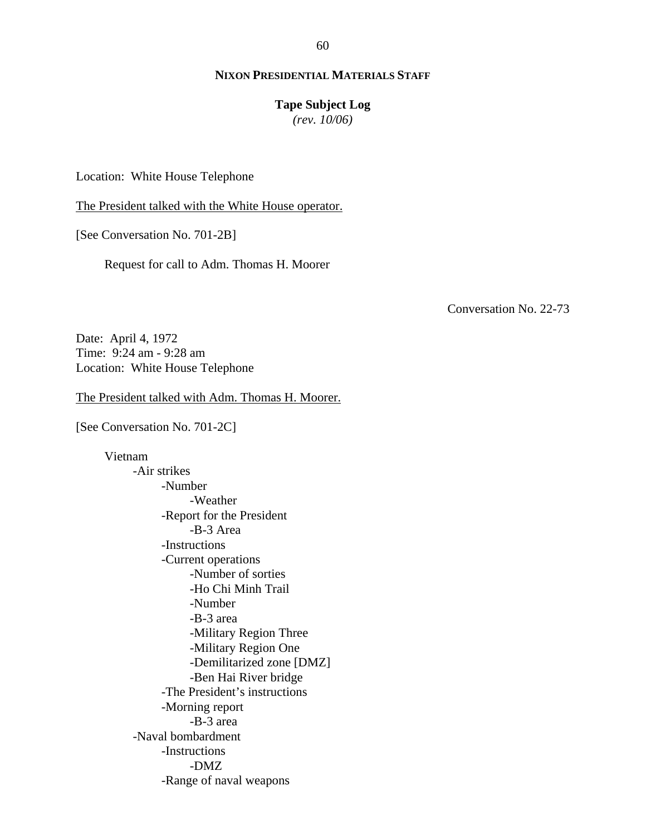#### **Tape Subject Log**

*(rev. 10/06)*

Location: White House Telephone

The President talked with the White House operator.

[See Conversation No. 701-2B]

Request for call to Adm. Thomas H. Moorer

Conversation No. 22-73

Date: April 4, 1972 Time: 9:24 am - 9:28 am Location: White House Telephone

The President talked with Adm. Thomas H. Moorer.

[See Conversation No. 701-2C]

Vietnam -Air strikes -Number -Weather -Report for the President -B-3 Area -Instructions -Current operations -Number of sorties -Ho Chi Minh Trail -Number -B-3 area -Military Region Three -Military Region One -Demilitarized zone [DMZ] -Ben Hai River bridge -The President's instructions -Morning report -B-3 area -Naval bombardment -Instructions -DMZ -Range of naval weapons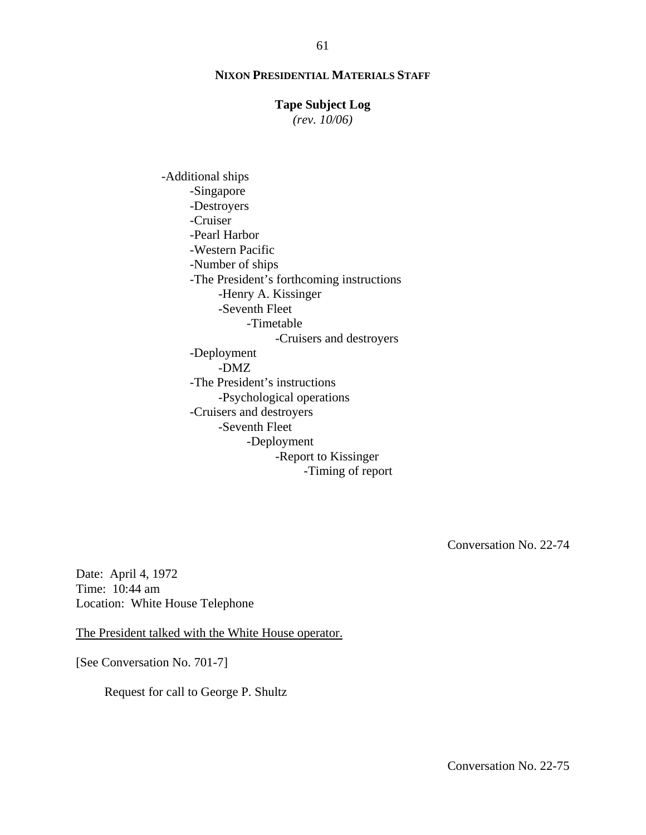## **Tape Subject Log**

*(rev. 10/06)*

-Additional ships -Singapore -Destroyers -Cruiser -Pearl Harbor -Western Pacific -Number of ships -The President's forthcoming instructions -Henry A. Kissinger -Seventh Fleet -Timetable -Cruisers and destroyers -Deployment -DMZ -The President's instructions -Psychological operations -Cruisers and destroyers -Seventh Fleet -Deployment -Report to Kissinger -Timing of report

Conversation No. 22-74

Date: April 4, 1972 Time: 10:44 am Location: White House Telephone

The President talked with the White House operator.

[See Conversation No. 701-7]

Request for call to George P. Shultz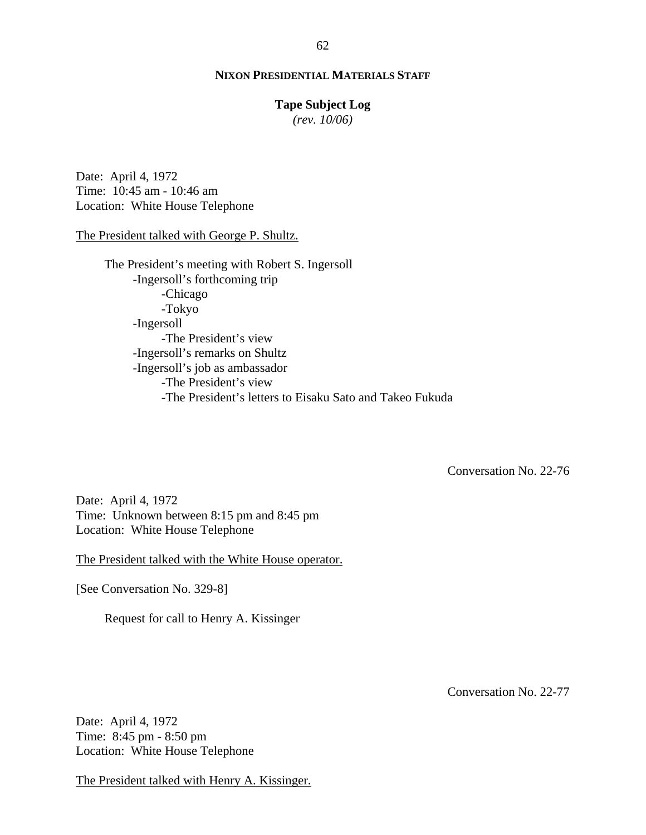#### **Tape Subject Log**

*(rev. 10/06)*

Date: April 4, 1972 Time: 10:45 am - 10:46 am Location: White House Telephone

#### The President talked with George P. Shultz.

The President's meeting with Robert S. Ingersoll -Ingersoll's forthcoming trip -Chicago -Tokyo -Ingersoll -The President's view -Ingersoll's remarks on Shultz -Ingersoll's job as ambassador -The President's view -The President's letters to Eisaku Sato and Takeo Fukuda

Conversation No. 22-76

Date: April 4, 1972 Time: Unknown between 8:15 pm and 8:45 pm Location: White House Telephone

The President talked with the White House operator.

[See Conversation No. 329-8]

Request for call to Henry A. Kissinger

Conversation No. 22-77

Date: April 4, 1972 Time: 8:45 pm - 8:50 pm Location: White House Telephone

The President talked with Henry A. Kissinger.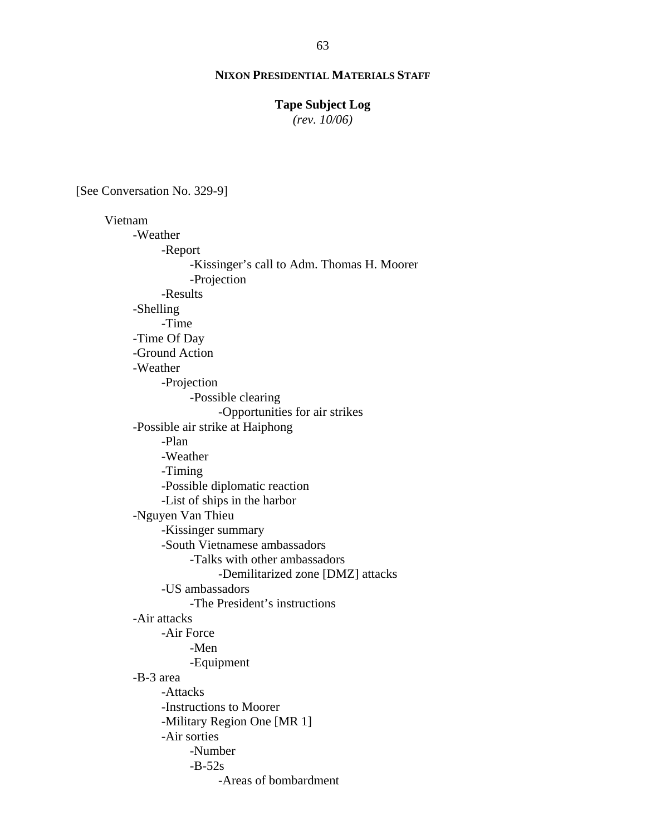## **Tape Subject Log**

*(rev. 10/06)*

[See Conversation No. 329-9]

Vietnam -Weather -Report -Kissinger's call to Adm. Thomas H. Moorer -Projection -Results -Shelling -Time -Time Of Day -Ground Action -Weather -Projection -Possible clearing -Opportunities for air strikes -Possible air strike at Haiphong -Plan -Weather -Timing -Possible diplomatic reaction -List of ships in the harbor -Nguyen Van Thieu -Kissinger summary -South Vietnamese ambassadors -Talks with other ambassadors -Demilitarized zone [DMZ] attacks -US ambassadors -The President's instructions -Air attacks -Air Force -Men -Equipment -B-3 area -Attacks -Instructions to Moorer -Military Region One [MR 1] -Air sorties -Number  $-B-52s$ -Areas of bombardment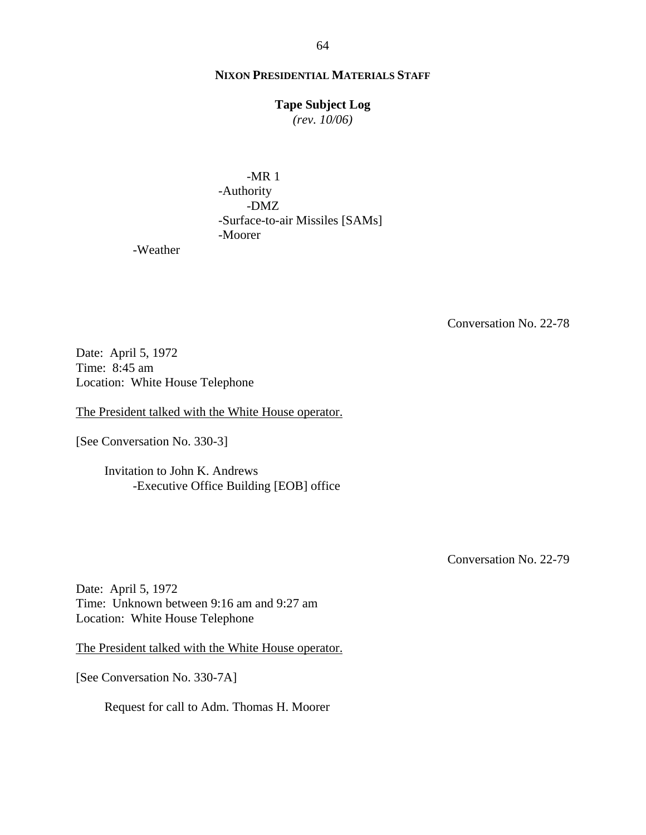## **Tape Subject Log**

*(rev. 10/06)*

 -MR 1 -Authority -DMZ -Surface-to-air Missiles [SAMs] -Moorer

-Weather

Conversation No. 22-78

Date: April 5, 1972 Time: 8:45 am Location: White House Telephone

The President talked with the White House operator.

[See Conversation No. 330-3]

Invitation to John K. Andrews -Executive Office Building [EOB] office

Conversation No. 22-79

Date: April 5, 1972 Time: Unknown between 9:16 am and 9:27 am Location: White House Telephone

The President talked with the White House operator.

[See Conversation No. 330-7A]

Request for call to Adm. Thomas H. Moorer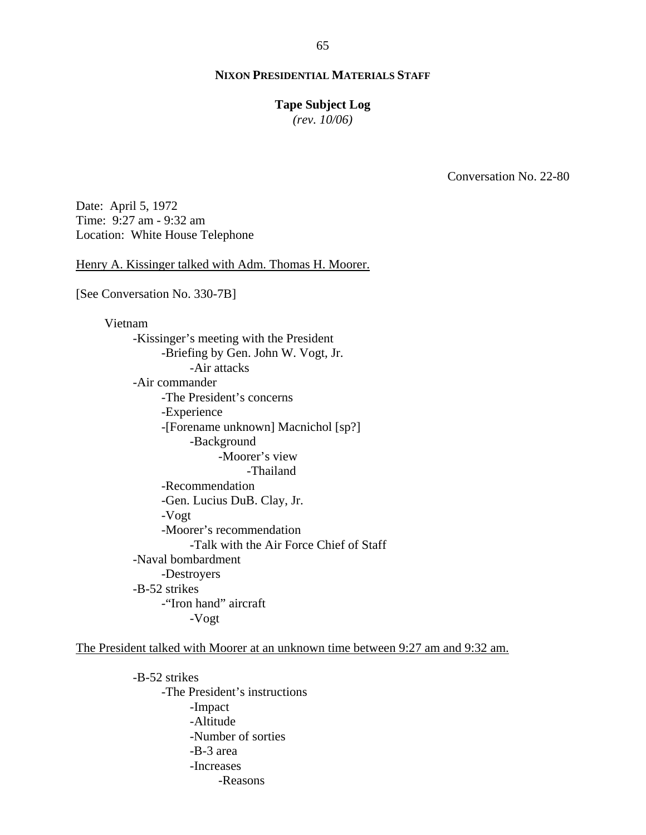#### **Tape Subject Log**

*(rev. 10/06)*

Conversation No. 22-80

Date: April 5, 1972 Time: 9:27 am - 9:32 am Location: White House Telephone

Henry A. Kissinger talked with Adm. Thomas H. Moorer.

[See Conversation No. 330-7B]

Vietnam -Kissinger's meeting with the President -Briefing by Gen. John W. Vogt, Jr. -Air attacks -Air commander -The President's concerns -Experience -[Forename unknown] Macnichol [sp?] -Background -Moorer's view -Thailand -Recommendation -Gen. Lucius DuB. Clay, Jr. -Vogt -Moorer's recommendation -Talk with the Air Force Chief of Staff -Naval bombardment -Destroyers -B-52 strikes -"Iron hand" aircraft -Vogt

The President talked with Moorer at an unknown time between 9:27 am and 9:32 am.

-B-52 strikes -The President's instructions -Impact -Altitude -Number of sorties -B-3 area -Increases -Reasons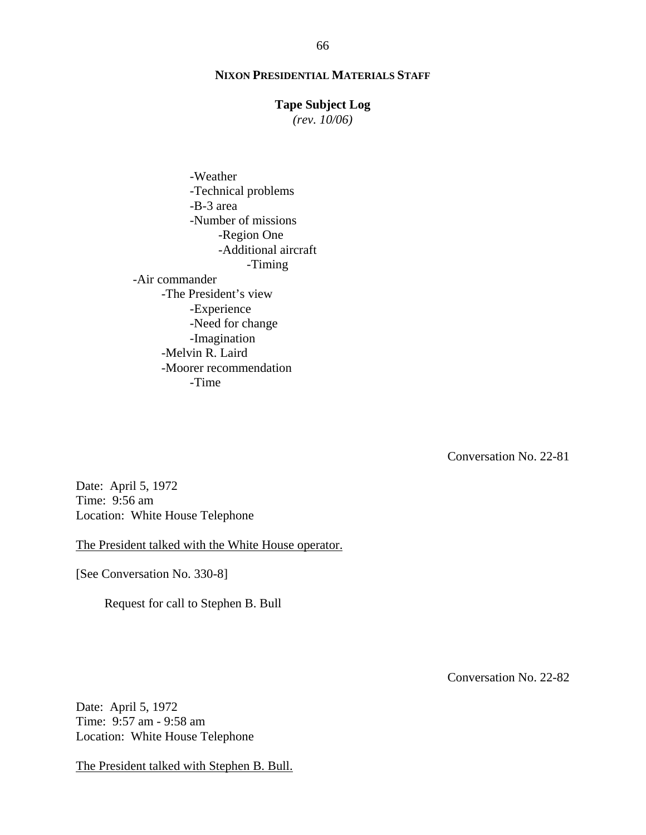## **Tape Subject Log**

*(rev. 10/06)*

 -Weather -Technical problems -B-3 area -Number of missions -Region One -Additional aircraft -Timing -Air commander -The President's view -Experience -Need for change -Imagination -Melvin R. Laird -Moorer recommendation -Time

Conversation No. 22-81

Date: April 5, 1972 Time: 9:56 am Location: White House Telephone

The President talked with the White House operator.

[See Conversation No. 330-8]

Request for call to Stephen B. Bull

Date: April 5, 1972 Time: 9:57 am - 9:58 am Location: White House Telephone

The President talked with Stephen B. Bull.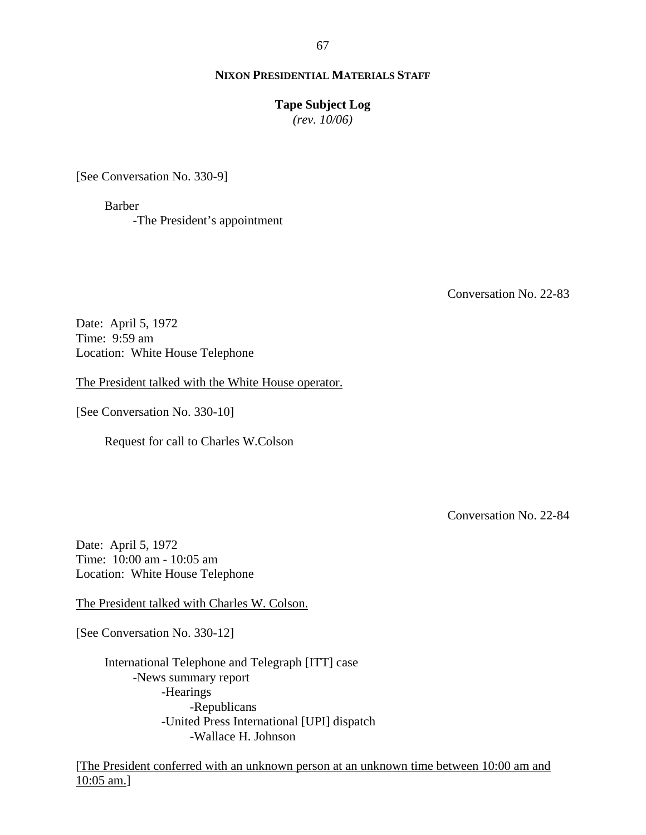67

## **NIXON PRESIDENTIAL MATERIALS STAFF**

#### **Tape Subject Log**

*(rev. 10/06)*

[See Conversation No. 330-9]

Barber -The President's appointment

Conversation No. 22-83

Date: April 5, 1972 Time: 9:59 am Location: White House Telephone

The President talked with the White House operator.

[See Conversation No. 330-10]

Request for call to Charles W.Colson

Conversation No. 22-84

Date: April 5, 1972 Time: 10:00 am - 10:05 am Location: White House Telephone

The President talked with Charles W. Colson.

[See Conversation No. 330-12]

International Telephone and Telegraph [ITT] case -News summary report -Hearings -Republicans -United Press International [UPI] dispatch -Wallace H. Johnson

[The President conferred with an unknown person at an unknown time between 10:00 am and 10:05 am.]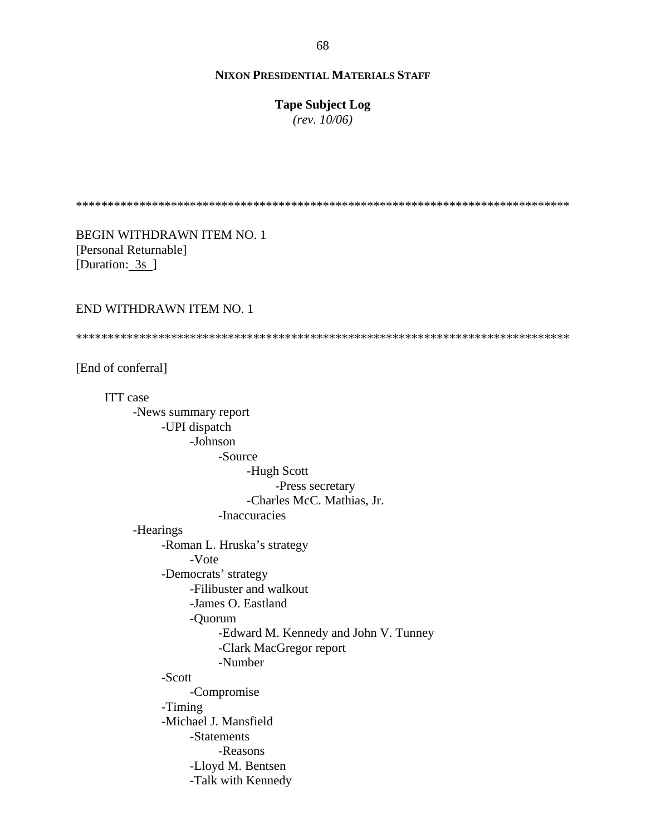**Tape Subject Log**

*(rev. 10/06)*

\*\*\*\*\*\*\*\*\*\*\*\*\*\*\*\*\*\*\*\*\*\*\*\*\*\*\*\*\*\*\*\*\*\*\*\*\*\*\*\*\*\*\*\*\*\*\*\*\*\*\*\*\*\*\*\*\*\*\*\*\*\*\*\*\*\*\*\*\*\*\*\*\*\*\*\*\*\*

BEGIN WITHDRAWN ITEM NO. 1 [Personal Returnable] [Duration: 3s ]

END WITHDRAWN ITEM NO. 1

\*\*\*\*\*\*\*\*\*\*\*\*\*\*\*\*\*\*\*\*\*\*\*\*\*\*\*\*\*\*\*\*\*\*\*\*\*\*\*\*\*\*\*\*\*\*\*\*\*\*\*\*\*\*\*\*\*\*\*\*\*\*\*\*\*\*\*\*\*\*\*\*\*\*\*\*\*\*

[End of conferral]

ITT case -News summary report -UPI dispatch -Johnson -Source -Hugh Scott -Press secretary -Charles McC. Mathias, Jr. -Inaccuracies -Hearings -Roman L. Hruska's strategy -Vote -Democrats' strategy -Filibuster and walkout -James O. Eastland -Quorum -Edward M. Kennedy and John V. Tunney -Clark MacGregor report -Number -Scott -Compromise -Timing -Michael J. Mansfield -Statements -Reasons -Lloyd M. Bentsen -Talk with Kennedy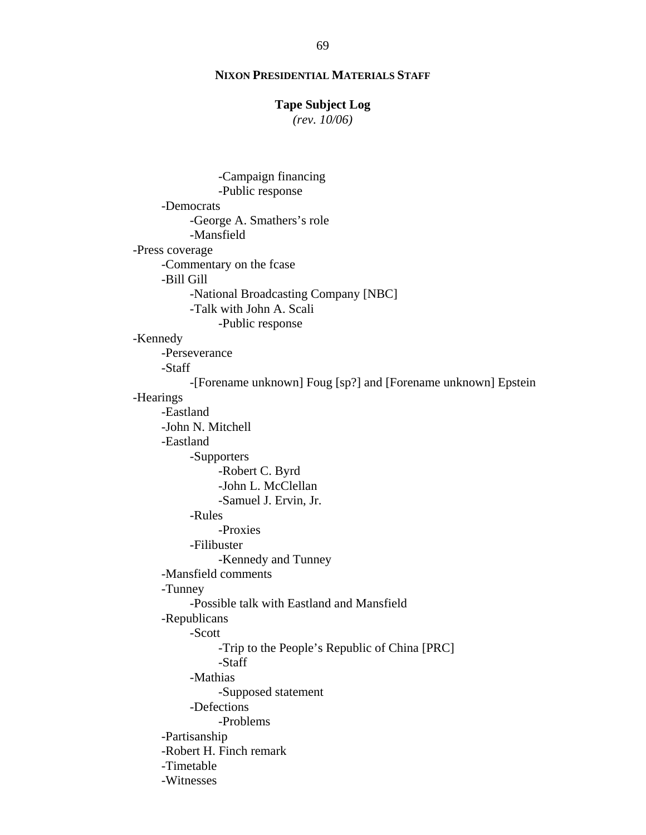## **Tape Subject Log**

*(rev. 10/06)*

-Campaign financing -Public response -Democrats -George A. Smathers's role -Mansfield -Press coverage -Commentary on the fcase -Bill Gill -National Broadcasting Company [NBC] -Talk with John A. Scali -Public response -Kennedy -Perseverance -Staff -[Forename unknown] Foug [sp?] and [Forename unknown] Epstein -Hearings -Eastland -John N. Mitchell -Eastland -Supporters -Robert C. Byrd -John L. McClellan -Samuel J. Ervin, Jr. -Rules -Proxies -Filibuster -Kennedy and Tunney -Mansfield comments -Tunney -Possible talk with Eastland and Mansfield -Republicans -Scott -Trip to the People's Republic of China [PRC] -Staff -Mathias -Supposed statement -Defections -Problems -Partisanship -Robert H. Finch remark -Timetable -Witnesses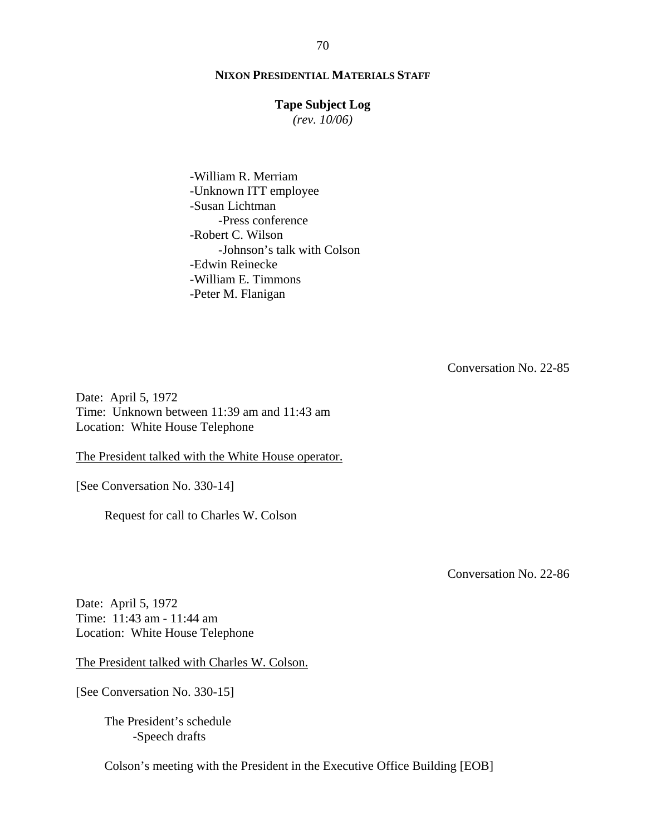## **Tape Subject Log**

*(rev. 10/06)*

-William R. Merriam -Unknown ITT employee -Susan Lichtman -Press conference -Robert C. Wilson -Johnson's talk with Colson -Edwin Reinecke -William E. Timmons -Peter M. Flanigan

Conversation No. 22-85

Date: April 5, 1972 Time: Unknown between 11:39 am and 11:43 am Location: White House Telephone

The President talked with the White House operator.

[See Conversation No. 330-14]

Request for call to Charles W. Colson

Conversation No. 22-86

Date: April 5, 1972 Time: 11:43 am - 11:44 am Location: White House Telephone

The President talked with Charles W. Colson.

[See Conversation No. 330-15]

The President's schedule -Speech drafts

Colson's meeting with the President in the Executive Office Building [EOB]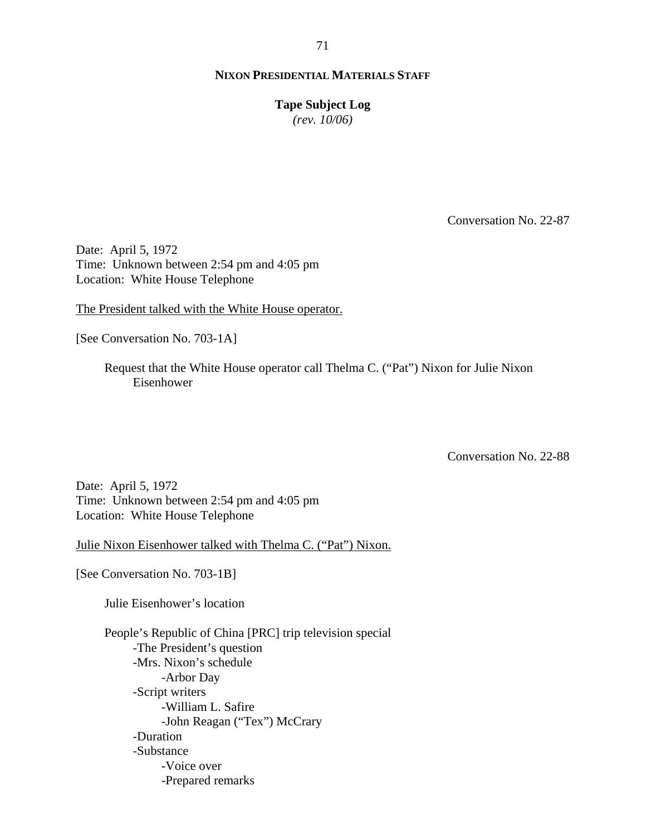**Tape Subject Log**

*(rev. 10/06)*

Conversation No. 22-87

Date: April 5, 1972 Time: Unknown between 2:54 pm and 4:05 pm Location: White House Telephone

The President talked with the White House operator.

[See Conversation No. 703-1A]

 Request that the White House operator call Thelma C. ("Pat") Nixon for Julie Nixon Eisenhower

Conversation No. 22-88

Date: April 5, 1972 Time: Unknown between 2:54 pm and 4:05 pm Location: White House Telephone

Julie Nixon Eisenhower talked with Thelma C. ("Pat") Nixon.

[See Conversation No. 703-1B]

Julie Eisenhower's location

People's Republic of China [PRC] trip television special -The President's question -Mrs. Nixon's schedule -Arbor Day -Script writers -William L. Safire -John Reagan ("Tex") McCrary -Duration -Substance -Voice over -Prepared remarks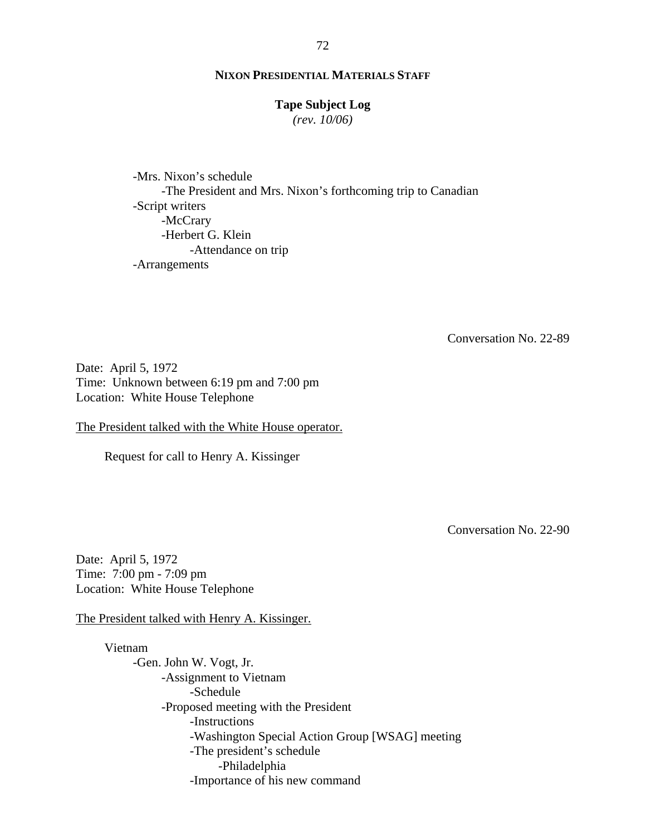#### **Tape Subject Log**

*(rev. 10/06)*

-Mrs. Nixon's schedule -The President and Mrs. Nixon's forthcoming trip to Canadian -Script writers -McCrary -Herbert G. Klein -Attendance on trip -Arrangements

Conversation No. 22-89

Date: April 5, 1972 Time: Unknown between 6:19 pm and 7:00 pm Location: White House Telephone

The President talked with the White House operator.

Request for call to Henry A. Kissinger

Conversation No. 22-90

Date: April 5, 1972 Time: 7:00 pm - 7:09 pm Location: White House Telephone

The President talked with Henry A. Kissinger.

Vietnam -Gen. John W. Vogt, Jr. -Assignment to Vietnam -Schedule -Proposed meeting with the President -Instructions -Washington Special Action Group [WSAG] meeting -The president's schedule -Philadelphia -Importance of his new command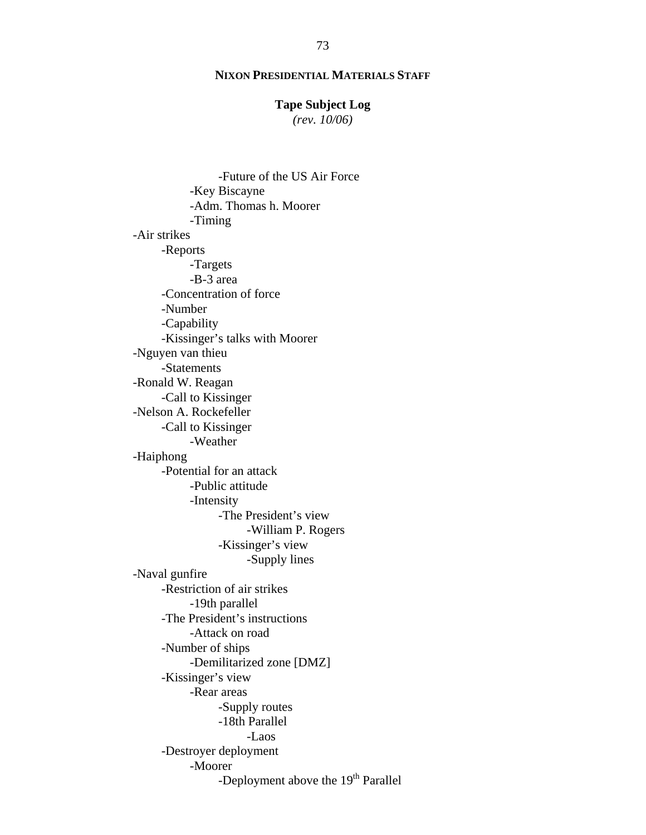# **Tape Subject Log**

*(rev. 10/06)*

 -Future of the US Air Force -Key Biscayne -Adm. Thomas h. Moorer -Timing -Air strikes -Reports -Targets -B-3 area -Concentration of force -Number -Capability -Kissinger's talks with Moorer -Nguyen van thieu -Statements -Ronald W. Reagan -Call to Kissinger -Nelson A. Rockefeller -Call to Kissinger -Weather -Haiphong -Potential for an attack -Public attitude -Intensity -The President's view -William P. Rogers -Kissinger's view -Supply lines -Naval gunfire -Restriction of air strikes -19th parallel -The President's instructions -Attack on road -Number of ships -Demilitarized zone [DMZ] -Kissinger's view -Rear areas -Supply routes -18th Parallel -Laos -Destroyer deployment -Moorer -Deployment above the 19<sup>th</sup> Parallel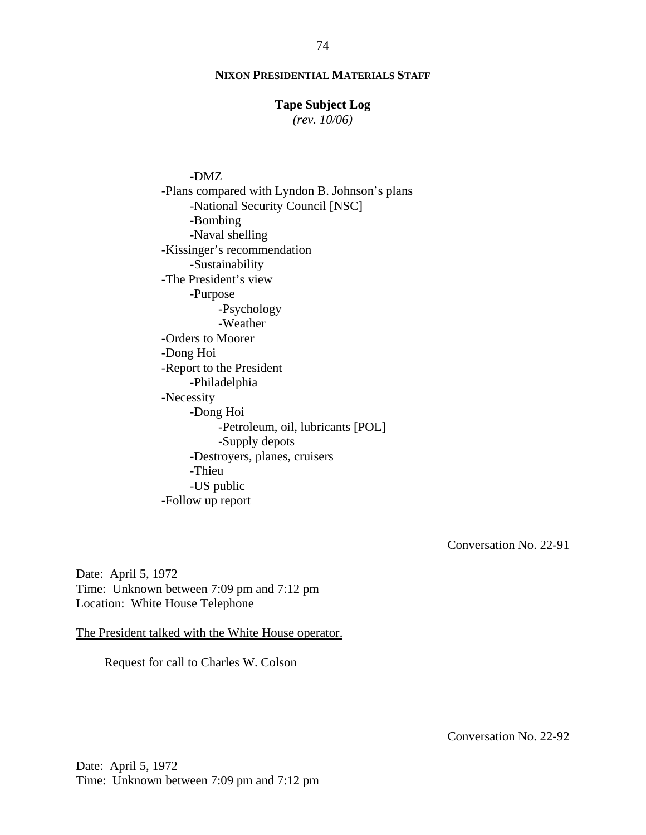#### **Tape Subject Log**

*(rev. 10/06)*

-DMZ -Plans compared with Lyndon B. Johnson's plans -National Security Council [NSC] -Bombing -Naval shelling -Kissinger's recommendation -Sustainability -The President's view -Purpose -Psychology -Weather -Orders to Moorer -Dong Hoi -Report to the President -Philadelphia -Necessity -Dong Hoi -Petroleum, oil, lubricants [POL] -Supply depots -Destroyers, planes, cruisers -Thieu -US public -Follow up report

Conversation No. 22-91

Date: April 5, 1972 Time: Unknown between 7:09 pm and 7:12 pm Location: White House Telephone

The President talked with the White House operator.

Request for call to Charles W. Colson

Conversation No. 22-92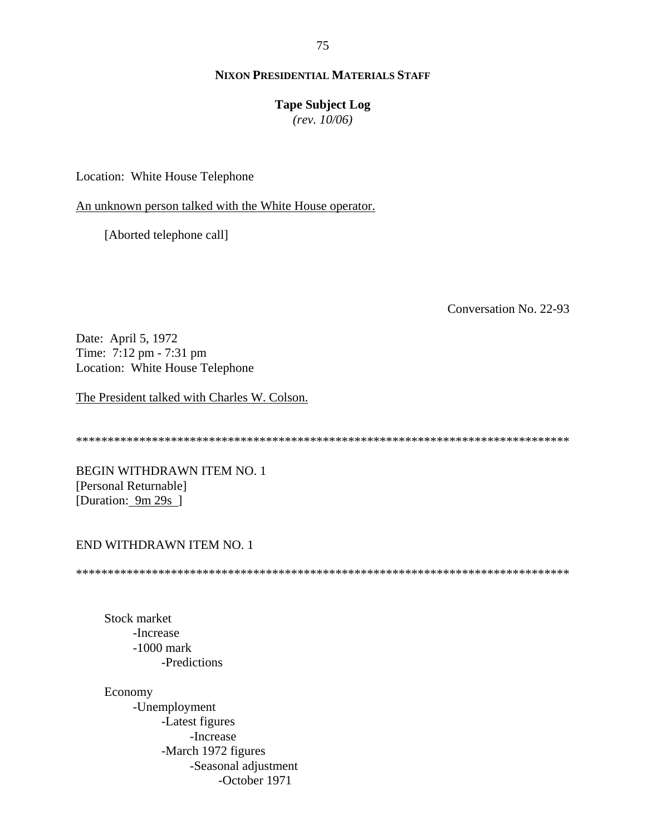75

# **NIXON PRESIDENTIAL MATERIALS STAFF**

#### **Tape Subject Log**

*(rev. 10/06)*

Location: White House Telephone

An unknown person talked with the White House operator.

[Aborted telephone call]

Conversation No. 22-93

Date: April 5, 1972 Time: 7:12 pm - 7:31 pm Location: White House Telephone

The President talked with Charles W. Colson.

\*\*\*\*\*\*\*\*\*\*\*\*\*\*\*\*\*\*\*\*\*\*\*\*\*\*\*\*\*\*\*\*\*\*\*\*\*\*\*\*\*\*\*\*\*\*\*\*\*\*\*\*\*\*\*\*\*\*\*\*\*\*\*\*\*\*\*\*\*\*\*\*\*\*\*\*\*\*

BEGIN WITHDRAWN ITEM NO. 1 [Personal Returnable] [Duration: 9m 29s]

#### END WITHDRAWN ITEM NO. 1

\*\*\*\*\*\*\*\*\*\*\*\*\*\*\*\*\*\*\*\*\*\*\*\*\*\*\*\*\*\*\*\*\*\*\*\*\*\*\*\*\*\*\*\*\*\*\*\*\*\*\*\*\*\*\*\*\*\*\*\*\*\*\*\*\*\*\*\*\*\*\*\*\*\*\*\*\*\*

Stock market -Increase -1000 mark -Predictions

Economy -Unemployment -Latest figures -Increase -March 1972 figures -Seasonal adjustment -October 1971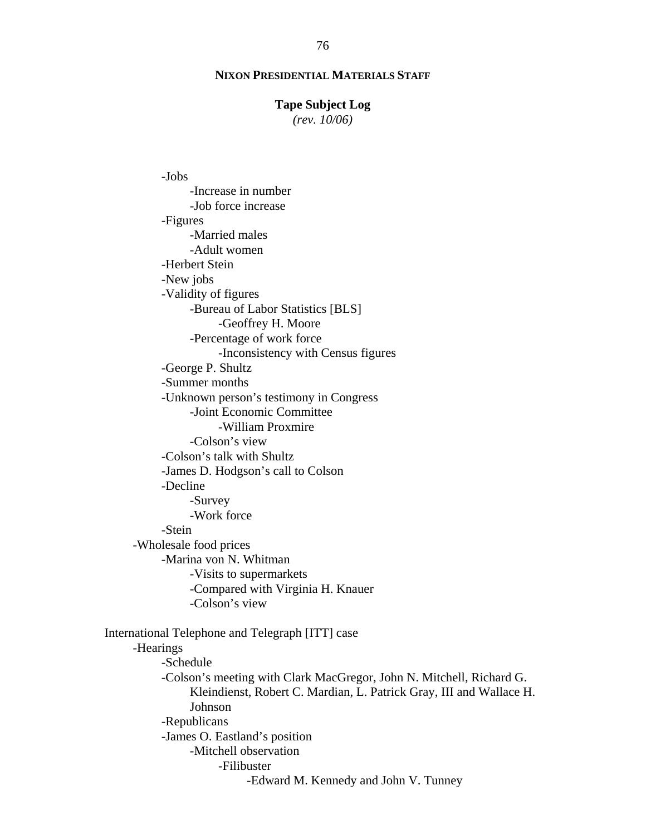#### **Tape Subject Log**

*(rev. 10/06)*

-Jobs

-Increase in number -Job force increase -Figures -Married males -Adult women -Herbert Stein -New jobs -Validity of figures -Bureau of Labor Statistics [BLS] -Geoffrey H. Moore -Percentage of work force -Inconsistency with Census figures -George P. Shultz -Summer months -Unknown person's testimony in Congress -Joint Economic Committee -William Proxmire -Colson's view -Colson's talk with Shultz -James D. Hodgson's call to Colson -Decline -Survey -Work force -Stein -Wholesale food prices -Marina von N. Whitman -Visits to supermarkets -Compared with Virginia H. Knauer -Colson's view International Telephone and Telegraph [ITT] case -Hearings -Schedule -Colson's meeting with Clark MacGregor, John N. Mitchell, Richard G. Kleindienst, Robert C. Mardian, L. Patrick Gray, III and Wallace H. Johnson -Republicans -James O. Eastland's position -Mitchell observation -Filibuster -Edward M. Kennedy and John V. Tunney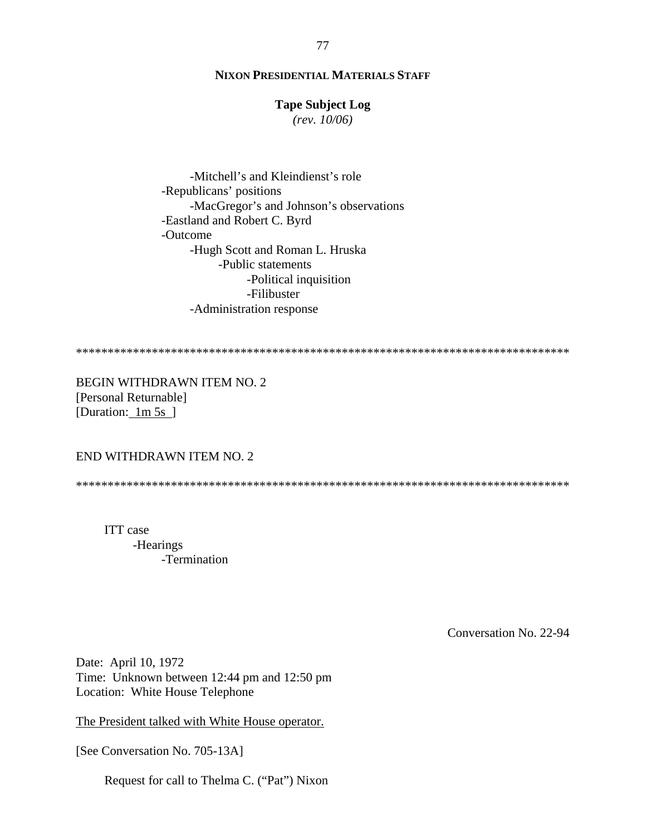# **Tape Subject Log**

*(rev. 10/06)*

-Mitchell's and Kleindienst's role -Republicans' positions -MacGregor's and Johnson's observations -Eastland and Robert C. Byrd -Outcome -Hugh Scott and Roman L. Hruska -Public statements -Political inquisition -Filibuster -Administration response

\*\*\*\*\*\*\*\*\*\*\*\*\*\*\*\*\*\*\*\*\*\*\*\*\*\*\*\*\*\*\*\*\*\*\*\*\*\*\*\*\*\*\*\*\*\*\*\*\*\*\*\*\*\*\*\*\*\*\*\*\*\*\*\*\*\*\*\*\*\*\*\*\*\*\*\*\*\*

BEGIN WITHDRAWN ITEM NO. 2 [Personal Returnable] [Duration: 1m 5s ]

#### END WITHDRAWN ITEM NO. 2

\*\*\*\*\*\*\*\*\*\*\*\*\*\*\*\*\*\*\*\*\*\*\*\*\*\*\*\*\*\*\*\*\*\*\*\*\*\*\*\*\*\*\*\*\*\*\*\*\*\*\*\*\*\*\*\*\*\*\*\*\*\*\*\*\*\*\*\*\*\*\*\*\*\*\*\*\*\*

ITT case -Hearings -Termination

Conversation No. 22-94

Date: April 10, 1972 Time: Unknown between 12:44 pm and 12:50 pm Location: White House Telephone

The President talked with White House operator.

[See Conversation No. 705-13A]

Request for call to Thelma C. ("Pat") Nixon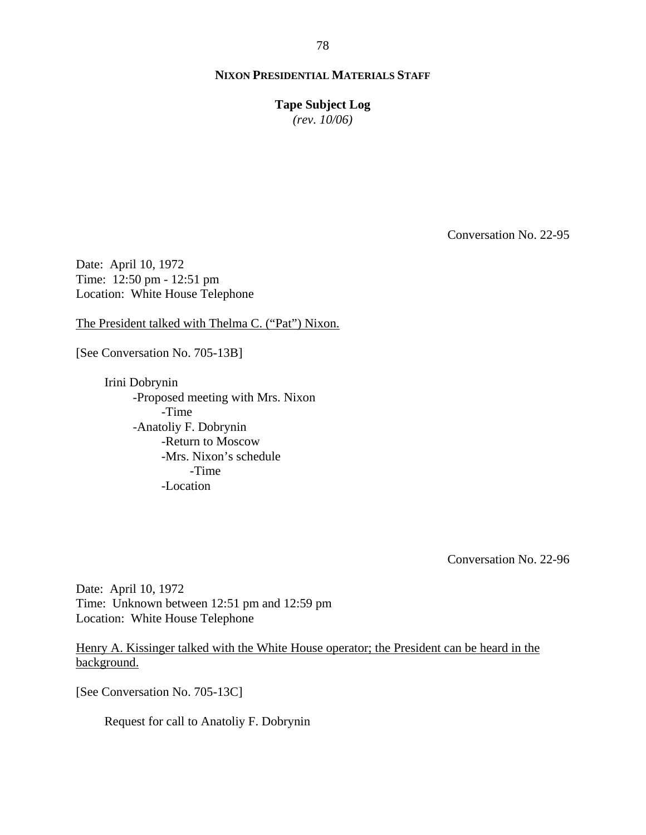**Tape Subject Log**

*(rev. 10/06)*

Conversation No. 22-95

Date: April 10, 1972 Time: 12:50 pm - 12:51 pm Location: White House Telephone

The President talked with Thelma C. ("Pat") Nixon.

[See Conversation No. 705-13B]

Irini Dobrynin -Proposed meeting with Mrs. Nixon -Time -Anatoliy F. Dobrynin -Return to Moscow -Mrs. Nixon's schedule -Time -Location

Conversation No. 22-96

Date: April 10, 1972 Time: Unknown between 12:51 pm and 12:59 pm Location: White House Telephone

Henry A. Kissinger talked with the White House operator; the President can be heard in the background.

[See Conversation No. 705-13C]

Request for call to Anatoliy F. Dobrynin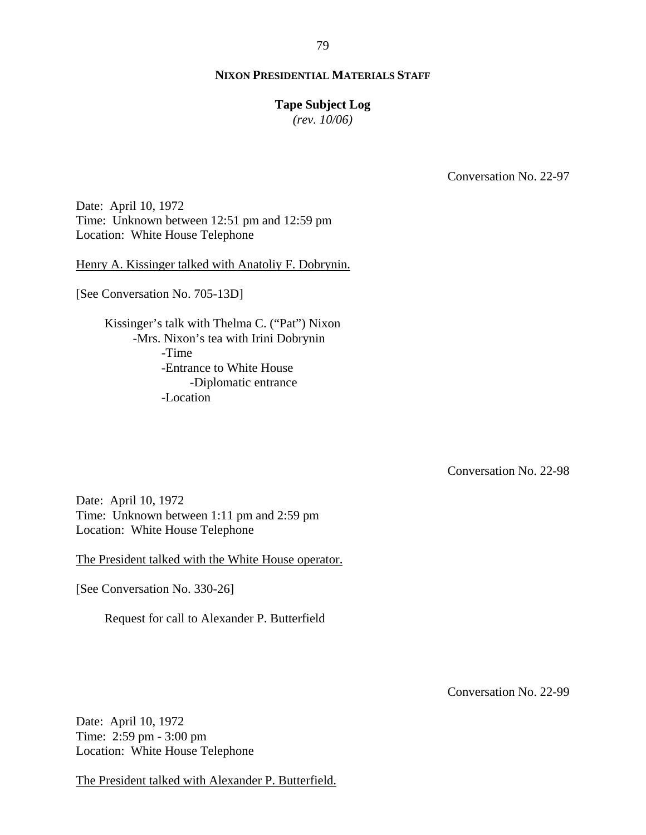#### **Tape Subject Log**

*(rev. 10/06)*

Conversation No. 22-97

Date: April 10, 1972 Time: Unknown between 12:51 pm and 12:59 pm Location: White House Telephone

Henry A. Kissinger talked with Anatoliy F. Dobrynin.

[See Conversation No. 705-13D]

Kissinger's talk with Thelma C. ("Pat") Nixon -Mrs. Nixon's tea with Irini Dobrynin -Time -Entrance to White House -Diplomatic entrance -Location

Conversation No. 22-98

Date: April 10, 1972 Time: Unknown between 1:11 pm and 2:59 pm Location: White House Telephone

The President talked with the White House operator.

[See Conversation No. 330-26]

Request for call to Alexander P. Butterfield

Conversation No. 22-99

Date: April 10, 1972 Time: 2:59 pm - 3:00 pm Location: White House Telephone

The President talked with Alexander P. Butterfield.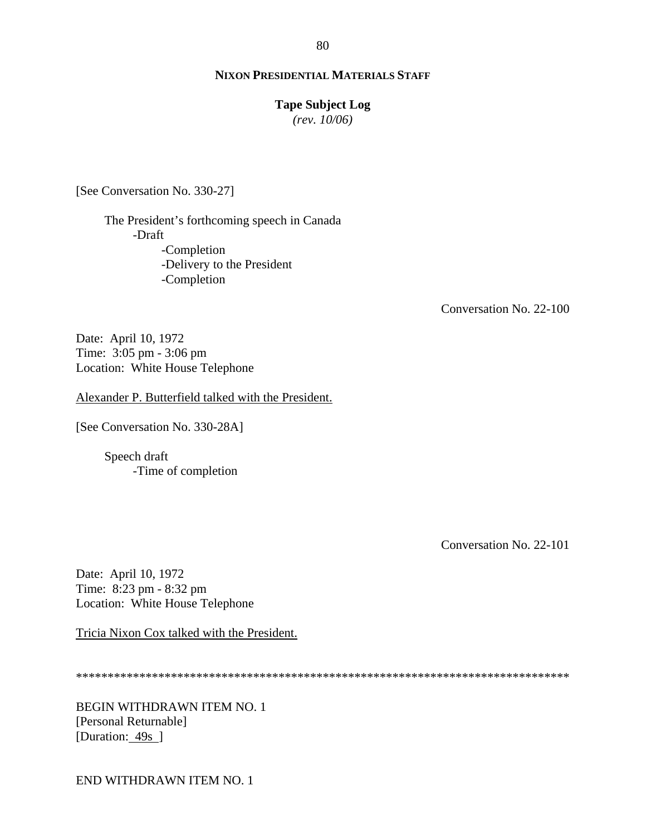#### **Tape Subject Log**

*(rev. 10/06)*

[See Conversation No. 330-27]

The President's forthcoming speech in Canada -Draft -Completion -Delivery to the President -Completion

Conversation No. 22-100

Date: April 10, 1972 Time: 3:05 pm - 3:06 pm Location: White House Telephone

Alexander P. Butterfield talked with the President.

[See Conversation No. 330-28A]

Speech draft -Time of completion

Conversation No. 22-101

Date: April 10, 1972 Time: 8:23 pm - 8:32 pm Location: White House Telephone

Tricia Nixon Cox talked with the President.

\*\*\*\*\*\*\*\*\*\*\*\*\*\*\*\*\*\*\*\*\*\*\*\*\*\*\*\*\*\*\*\*\*\*\*\*\*\*\*\*\*\*\*\*\*\*\*\*\*\*\*\*\*\*\*\*\*\*\*\*\*\*\*\*\*\*\*\*\*\*\*\*\*\*\*\*\*\*

BEGIN WITHDRAWN ITEM NO. 1 [Personal Returnable] [Duration: 49s ]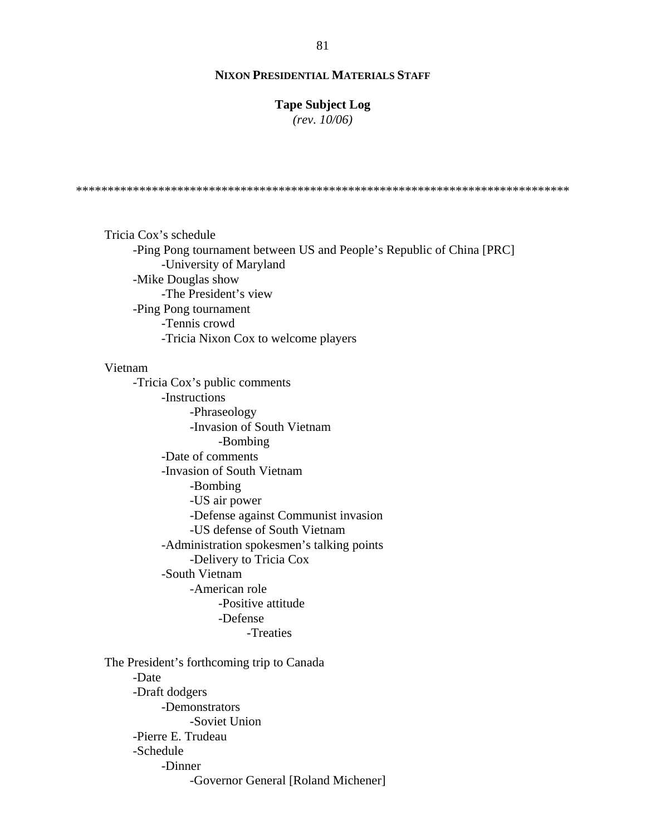#### **Tape Subject Log**

*(rev. 10/06)*

\*\*\*\*\*\*\*\*\*\*\*\*\*\*\*\*\*\*\*\*\*\*\*\*\*\*\*\*\*\*\*\*\*\*\*\*\*\*\*\*\*\*\*\*\*\*\*\*\*\*\*\*\*\*\*\*\*\*\*\*\*\*\*\*\*\*\*\*\*\*\*\*\*\*\*\*\*\*

Tricia Cox's schedule -Ping Pong tournament between US and People's Republic of China [PRC] -University of Maryland -Mike Douglas show -The President's view -Ping Pong tournament -Tennis crowd -Tricia Nixon Cox to welcome players

#### Vietnam

-Tricia Cox's public comments -Instructions -Phraseology -Invasion of South Vietnam -Bombing -Date of comments -Invasion of South Vietnam -Bombing -US air power -Defense against Communist invasion -US defense of South Vietnam -Administration spokesmen's talking points -Delivery to Tricia Cox -South Vietnam -American role -Positive attitude -Defense -Treaties

The President's forthcoming trip to Canada -Date -Draft dodgers -Demonstrators -Soviet Union -Pierre E. Trudeau -Schedule -Dinner -Governor General [Roland Michener]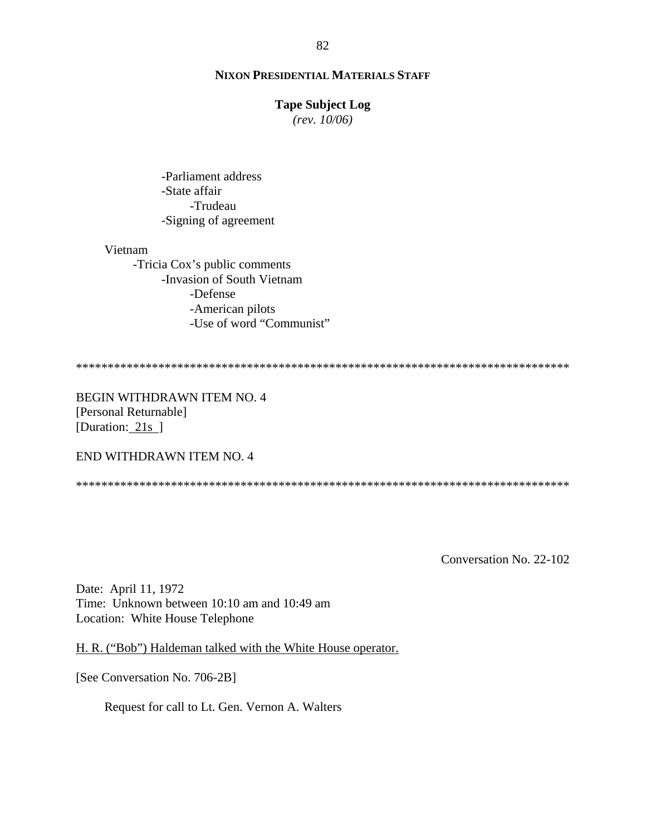#### **Tape Subject Log**

*(rev. 10/06)*

-Parliament address -State affair -Trudeau -Signing of agreement

#### Vietnam

-Tricia Cox's public comments -Invasion of South Vietnam -Defense -American pilots -Use of word "Communist"

\*\*\*\*\*\*\*\*\*\*\*\*\*\*\*\*\*\*\*\*\*\*\*\*\*\*\*\*\*\*\*\*\*\*\*\*\*\*\*\*\*\*\*\*\*\*\*\*\*\*\*\*\*\*\*\*\*\*\*\*\*\*\*\*\*\*\*\*\*\*\*\*\*\*\*\*\*\*

BEGIN WITHDRAWN ITEM NO. 4 [Personal Returnable] [Duration: 21s]

END WITHDRAWN ITEM NO. 4

\*\*\*\*\*\*\*\*\*\*\*\*\*\*\*\*\*\*\*\*\*\*\*\*\*\*\*\*\*\*\*\*\*\*\*\*\*\*\*\*\*\*\*\*\*\*\*\*\*\*\*\*\*\*\*\*\*\*\*\*\*\*\*\*\*\*\*\*\*\*\*\*\*\*\*\*\*\*

Conversation No. 22-102

Date: April 11, 1972 Time: Unknown between 10:10 am and 10:49 am Location: White House Telephone

H. R. ("Bob") Haldeman talked with the White House operator.

[See Conversation No. 706-2B]

Request for call to Lt. Gen. Vernon A. Walters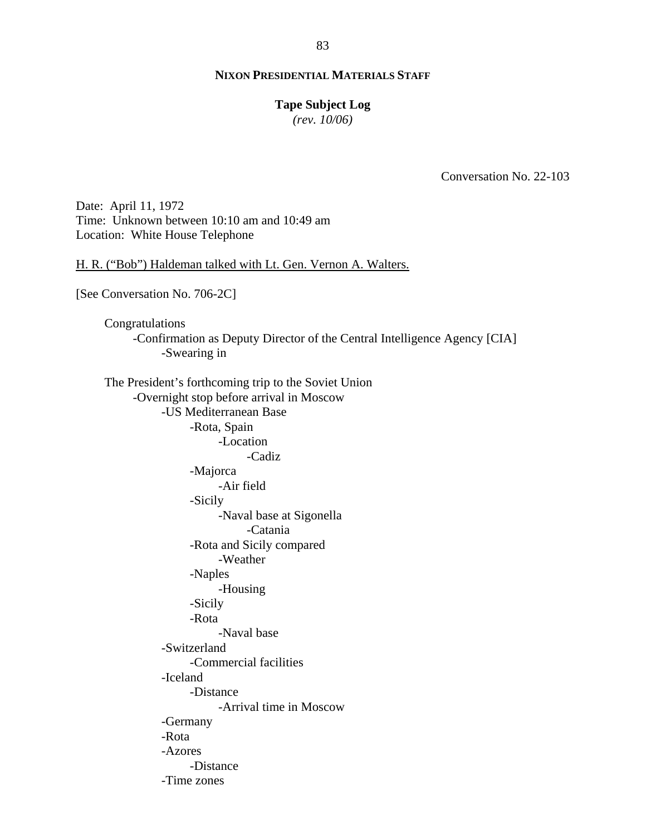# **Tape Subject Log**

*(rev. 10/06)*

Conversation No. 22-103

Date: April 11, 1972 Time: Unknown between 10:10 am and 10:49 am Location: White House Telephone

H. R. ("Bob") Haldeman talked with Lt. Gen. Vernon A. Walters.

[See Conversation No. 706-2C]

Congratulations -Confirmation as Deputy Director of the Central Intelligence Agency [CIA] -Swearing in

The President's forthcoming trip to the Soviet Union -Overnight stop before arrival in Moscow -US Mediterranean Base -Rota, Spain -Location -Cadiz -Majorca -Air field -Sicily -Naval base at Sigonella -Catania -Rota and Sicily compared -Weather -Naples -Housing -Sicily -Rota -Naval base -Switzerland -Commercial facilities -Iceland -Distance -Arrival time in Moscow -Germany -Rota -Azores -Distance -Time zones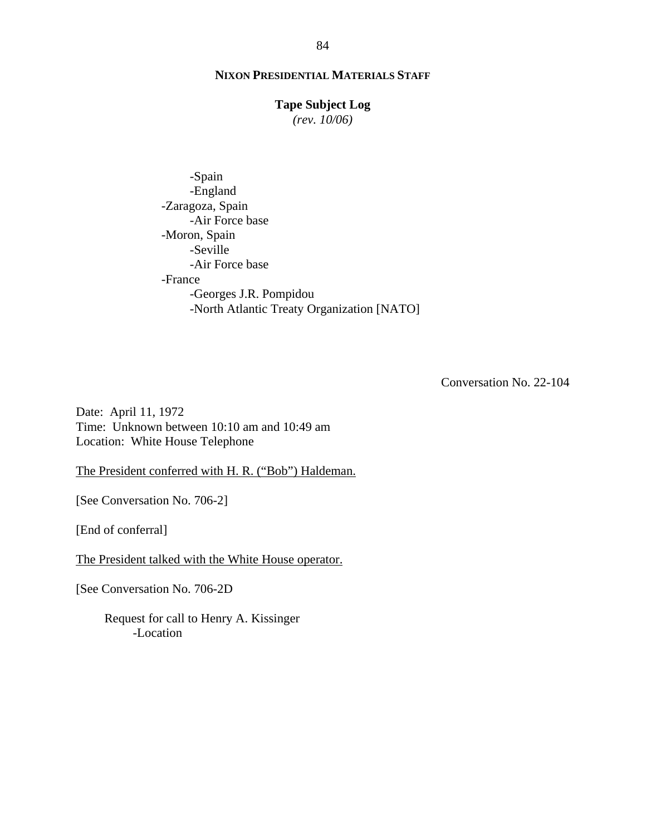#### **Tape Subject Log**

*(rev. 10/06)*

 -Spain -England -Zaragoza, Spain -Air Force base -Moron, Spain -Seville -Air Force base -France -Georges J.R. Pompidou -North Atlantic Treaty Organization [NATO]

Conversation No. 22-104

Date: April 11, 1972 Time: Unknown between 10:10 am and 10:49 am Location: White House Telephone

The President conferred with H. R. ("Bob") Haldeman.

[See Conversation No. 706-2]

[End of conferral]

The President talked with the White House operator.

[See Conversation No. 706-2D

Request for call to Henry A. Kissinger -Location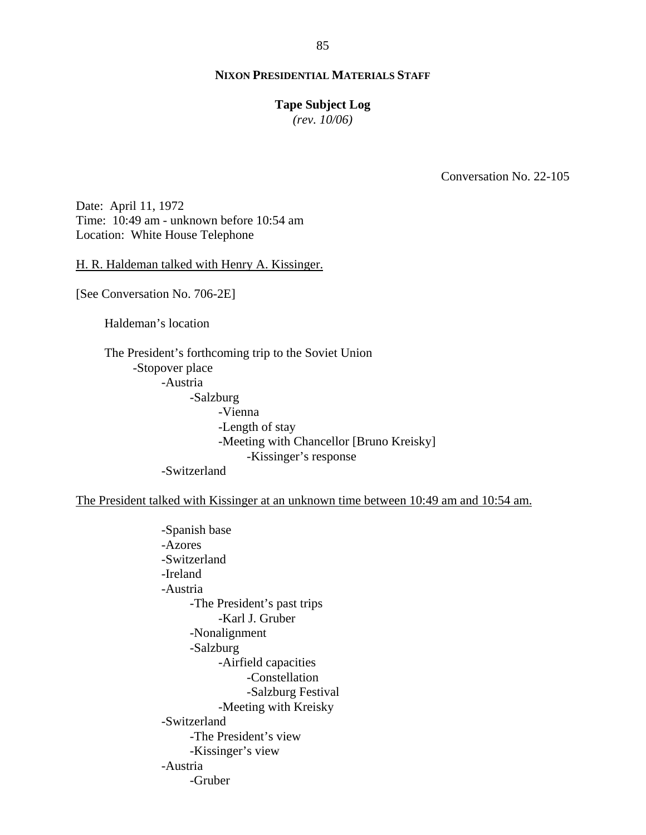#### **Tape Subject Log**

*(rev. 10/06)*

Conversation No. 22-105

Date: April 11, 1972 Time: 10:49 am - unknown before 10:54 am Location: White House Telephone

H. R. Haldeman talked with Henry A. Kissinger.

[See Conversation No. 706-2E]

Haldeman's location

The President's forthcoming trip to the Soviet Union -Stopover place -Austria -Salzburg -Vienna -Length of stay -Meeting with Chancellor [Bruno Kreisky] -Kissinger's response -Switzerland

The President talked with Kissinger at an unknown time between 10:49 am and 10:54 am.

-Spanish base -Azores -Switzerland -Ireland -Austria -The President's past trips -Karl J. Gruber -Nonalignment -Salzburg -Airfield capacities -Constellation -Salzburg Festival -Meeting with Kreisky -Switzerland -The President's view -Kissinger's view -Austria -Gruber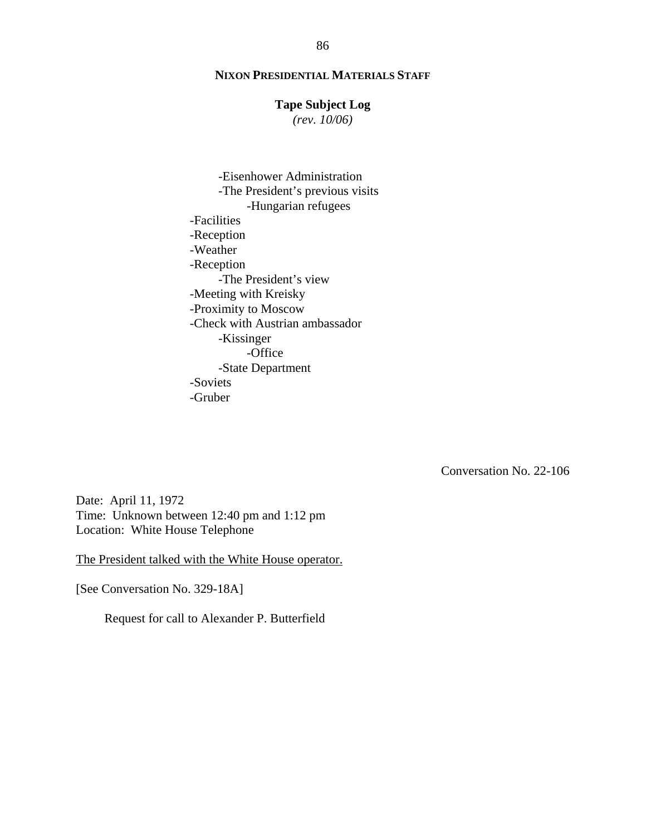#### **Tape Subject Log**

*(rev. 10/06)*

-Eisenhower Administration -The President's previous visits -Hungarian refugees -Facilities -Reception -Weather -Reception -The President's view -Meeting with Kreisky -Proximity to Moscow -Check with Austrian ambassador -Kissinger -Office -State Department -Soviets -Gruber

Conversation No. 22-106

Date: April 11, 1972 Time: Unknown between 12:40 pm and 1:12 pm Location: White House Telephone

The President talked with the White House operator.

[See Conversation No. 329-18A]

Request for call to Alexander P. Butterfield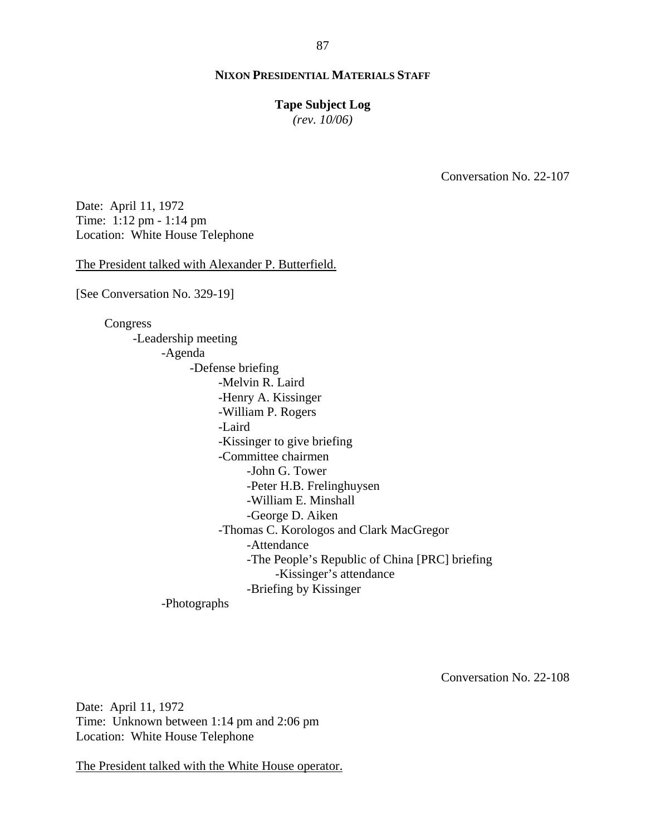#### **Tape Subject Log**

*(rev. 10/06)*

Conversation No. 22-107

Date: April 11, 1972 Time: 1:12 pm - 1:14 pm Location: White House Telephone

The President talked with Alexander P. Butterfield.

[See Conversation No. 329-19]

Congress -Leadership meeting -Agenda -Defense briefing -Melvin R. Laird -Henry A. Kissinger -William P. Rogers -Laird -Kissinger to give briefing -Committee chairmen -John G. Tower -Peter H.B. Frelinghuysen -William E. Minshall -George D. Aiken -Thomas C. Korologos and Clark MacGregor -Attendance -The People's Republic of China [PRC] briefing -Kissinger's attendance -Briefing by Kissinger -Photographs

Conversation No. 22-108

Date: April 11, 1972 Time: Unknown between 1:14 pm and 2:06 pm Location: White House Telephone

The President talked with the White House operator.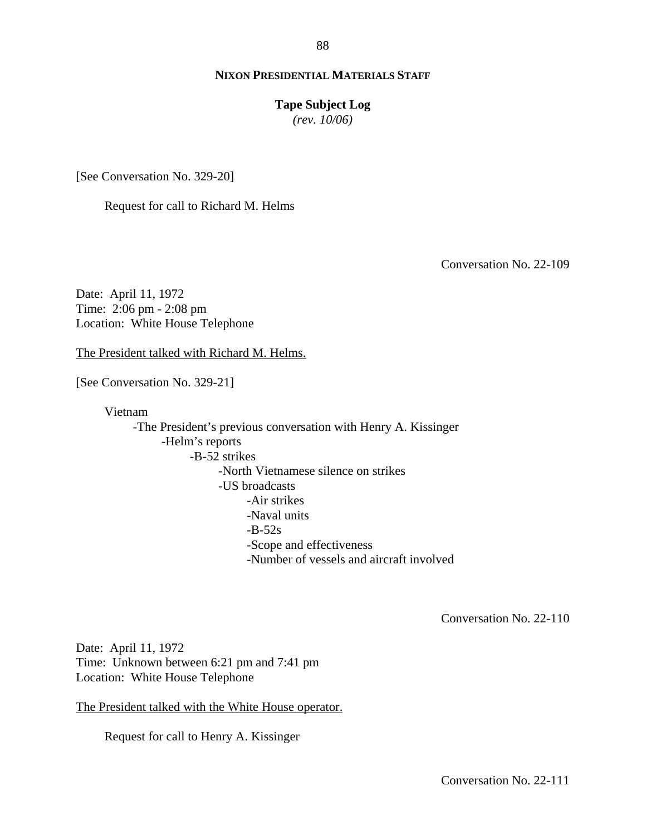#### **Tape Subject Log**

*(rev. 10/06)*

[See Conversation No. 329-20]

Request for call to Richard M. Helms

Conversation No. 22-109

Date: April 11, 1972 Time: 2:06 pm - 2:08 pm Location: White House Telephone

The President talked with Richard M. Helms.

[See Conversation No. 329-21]

Vietnam

-The President's previous conversation with Henry A. Kissinger -Helm's reports -B-52 strikes -North Vietnamese silence on strikes -US broadcasts -Air strikes -Naval units  $-B-52s$ -Scope and effectiveness -Number of vessels and aircraft involved

Conversation No. 22-110

Date: April 11, 1972 Time: Unknown between 6:21 pm and 7:41 pm Location: White House Telephone

The President talked with the White House operator.

Request for call to Henry A. Kissinger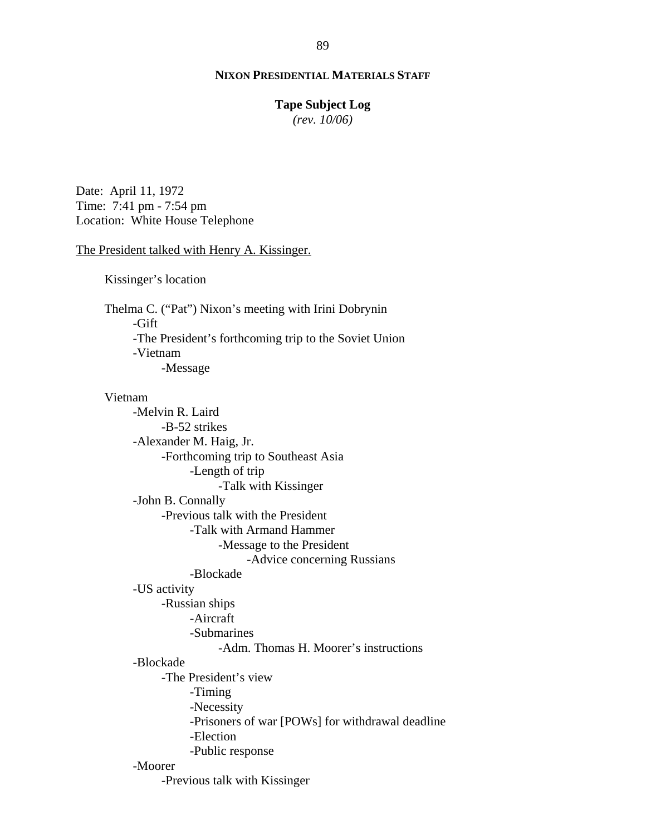#### **Tape Subject Log**

*(rev. 10/06)*

Date: April 11, 1972 Time: 7:41 pm - 7:54 pm Location: White House Telephone

#### The President talked with Henry A. Kissinger.

Kissinger's location

Thelma C. ("Pat") Nixon's meeting with Irini Dobrynin -Gift -The President's forthcoming trip to the Soviet Union -Vietnam -Message

#### Vietnam

-Melvin R. Laird -B-52 strikes -Alexander M. Haig, Jr. -Forthcoming trip to Southeast Asia -Length of trip -Talk with Kissinger -John B. Connally -Previous talk with the President -Talk with Armand Hammer -Message to the President -Advice concerning Russians -Blockade -US activity -Russian ships -Aircraft -Submarines -Adm. Thomas H. Moorer's instructions -Blockade -The President's view -Timing -Necessity -Prisoners of war [POWs] for withdrawal deadline -Election -Public response -Moorer -Previous talk with Kissinger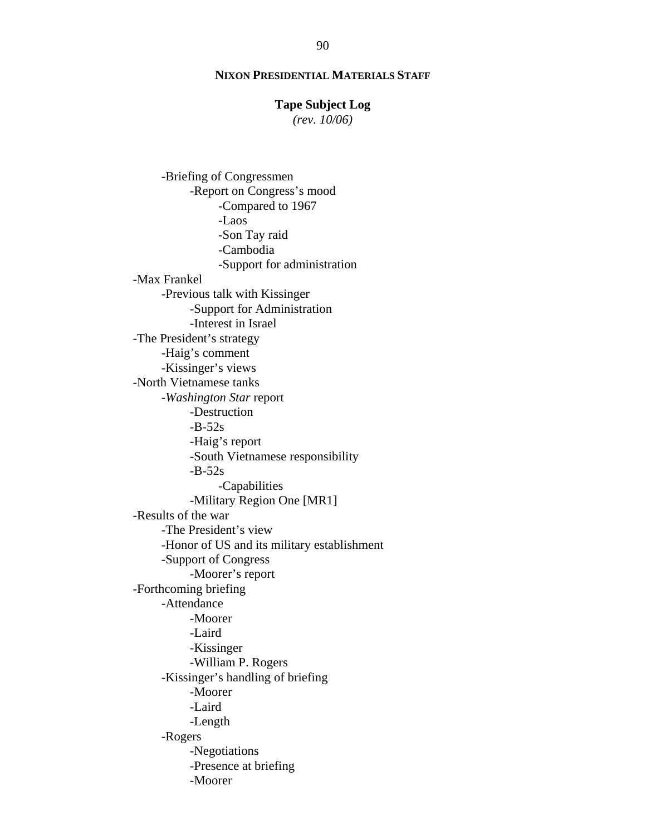#### **Tape Subject Log**

*(rev. 10/06)*

-Briefing of Congressmen -Report on Congress's mood -Compared to 1967 -Laos -Son Tay raid -Cambodia -Support for administration -Max Frankel -Previous talk with Kissinger -Support for Administration -Interest in Israel -The President's strategy -Haig's comment -Kissinger's views -North Vietnamese tanks -*Washington Star* report -Destruction  $-B-52s$ -Haig's report -South Vietnamese responsibility  $-B-52s$ -Capabilities -Military Region One [MR1] -Results of the war -The President's view -Honor of US and its military establishment -Support of Congress -Moorer's report -Forthcoming briefing -Attendance -Moorer -Laird -Kissinger -William P. Rogers -Kissinger's handling of briefing -Moorer -Laird -Length -Rogers -Negotiations -Presence at briefing -Moorer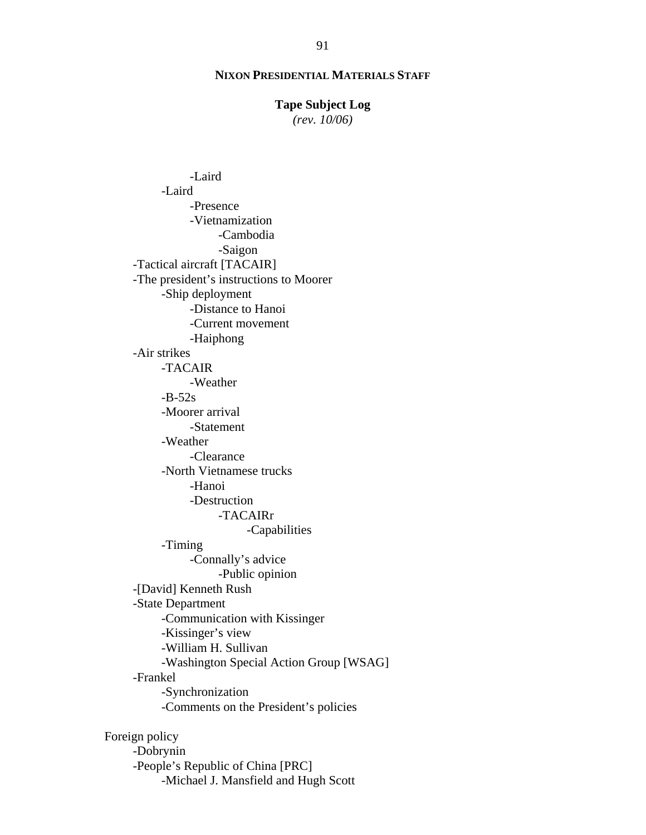#### **Tape Subject Log**

*(rev. 10/06)*

-Laird -Laird -Presence -Vietnamization -Cambodia -Saigon -Tactical aircraft [TACAIR] -The president's instructions to Moorer -Ship deployment -Distance to Hanoi -Current movement -Haiphong -Air strikes -TACAIR -Weather  $-B-52s$ -Moorer arrival -Statement -Weather -Clearance -North Vietnamese trucks -Hanoi -Destruction -TACAIRr -Capabilities -Timing -Connally's advice -Public opinion -[David] Kenneth Rush -State Department -Communication with Kissinger -Kissinger's view -William H. Sullivan -Washington Special Action Group [WSAG] -Frankel -Synchronization -Comments on the President's policies Foreign policy

-Dobrynin -People's Republic of China [PRC] -Michael J. Mansfield and Hugh Scott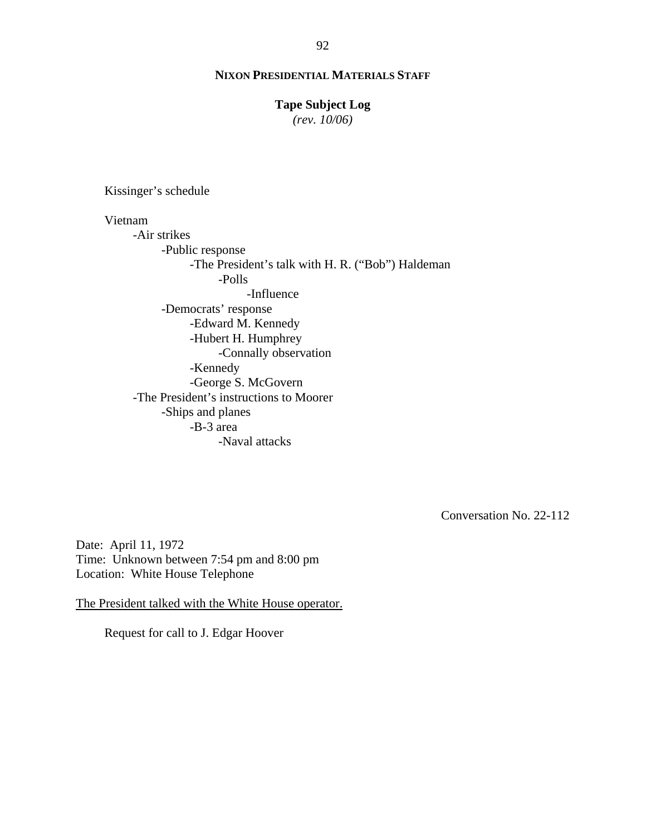#### **Tape Subject Log**

*(rev. 10/06)*

Kissinger's schedule

Vietnam -Air strikes -Public response -The President's talk with H. R. ("Bob") Haldeman -Polls -Influence -Democrats' response -Edward M. Kennedy -Hubert H. Humphrey -Connally observation -Kennedy -George S. McGovern -The President's instructions to Moorer -Ships and planes -B-3 area -Naval attacks

Conversation No. 22-112

Date: April 11, 1972 Time: Unknown between 7:54 pm and 8:00 pm Location: White House Telephone

The President talked with the White House operator.

Request for call to J. Edgar Hoover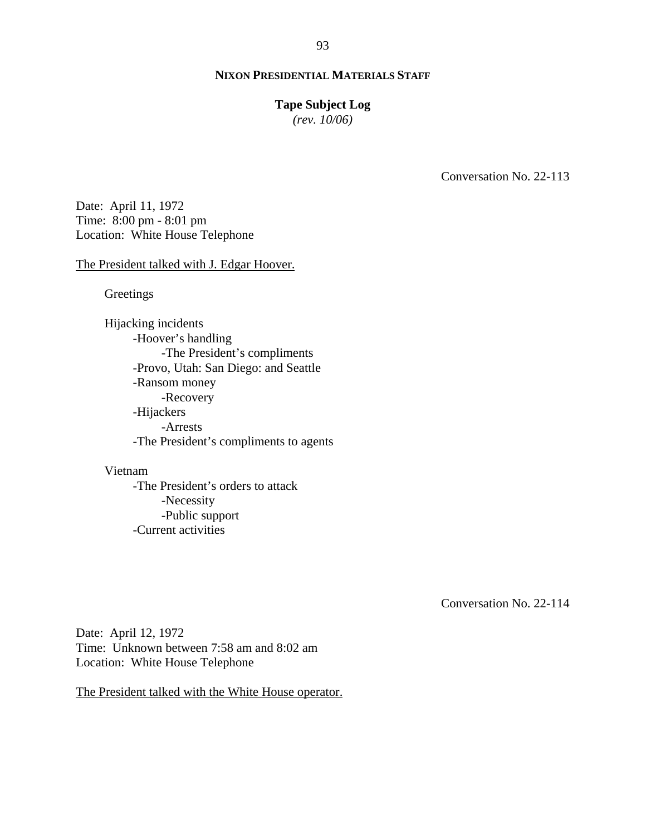#### **Tape Subject Log**

*(rev. 10/06)*

Conversation No. 22-113

Date: April 11, 1972 Time: 8:00 pm - 8:01 pm Location: White House Telephone

#### The President talked with J. Edgar Hoover.

**Greetings** 

Hijacking incidents -Hoover's handling -The President's compliments -Provo, Utah: San Diego: and Seattle -Ransom money -Recovery -Hijackers -Arrests -The President's compliments to agents

### Vietnam

-The President's orders to attack -Necessity -Public support -Current activities

Conversation No. 22-114

Date: April 12, 1972 Time: Unknown between 7:58 am and 8:02 am Location: White House Telephone

The President talked with the White House operator.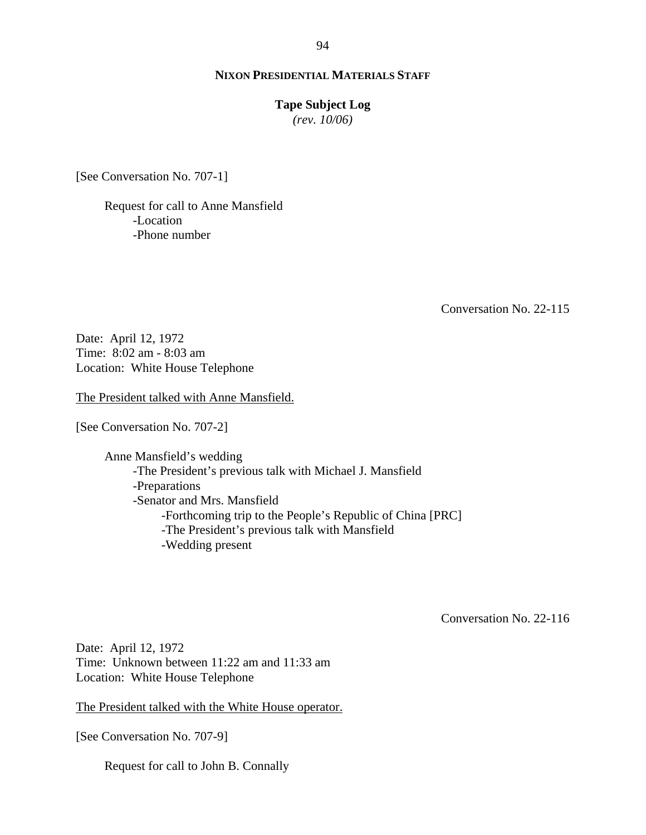#### **Tape Subject Log**

*(rev. 10/06)*

[See Conversation No. 707-1]

Request for call to Anne Mansfield -Location -Phone number

Conversation No. 22-115

Date: April 12, 1972 Time: 8:02 am - 8:03 am Location: White House Telephone

The President talked with Anne Mansfield.

[See Conversation No. 707-2]

Anne Mansfield's wedding -The President's previous talk with Michael J. Mansfield -Preparations -Senator and Mrs. Mansfield -Forthcoming trip to the People's Republic of China [PRC] -The President's previous talk with Mansfield -Wedding present

Conversation No. 22-116

Date: April 12, 1972 Time: Unknown between 11:22 am and 11:33 am Location: White House Telephone

The President talked with the White House operator.

[See Conversation No. 707-9]

Request for call to John B. Connally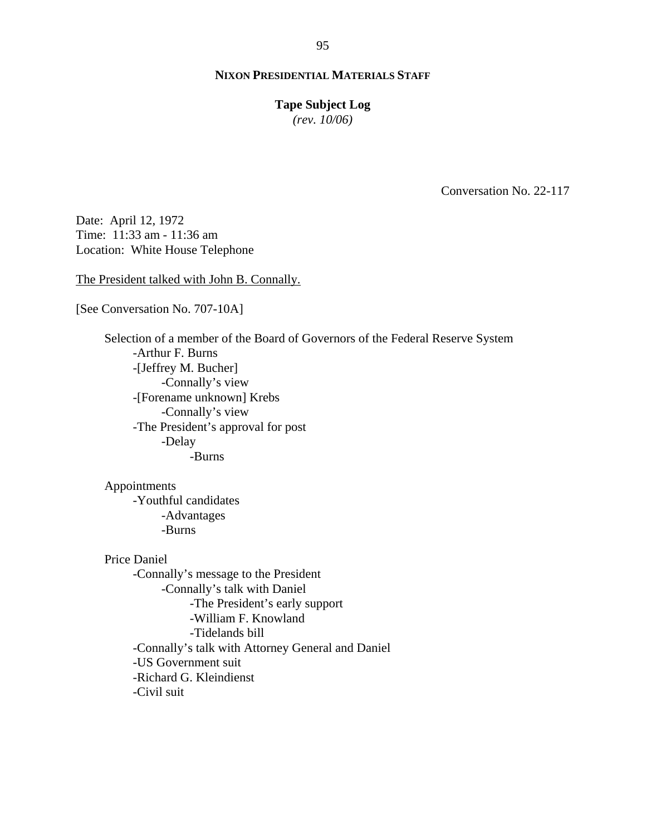#### **Tape Subject Log**

*(rev. 10/06)*

Conversation No. 22-117

Date: April 12, 1972 Time: 11:33 am - 11:36 am Location: White House Telephone

The President talked with John B. Connally.

[See Conversation No. 707-10A]

Selection of a member of the Board of Governors of the Federal Reserve System -Arthur F. Burns -[Jeffrey M. Bucher] -Connally's view -[Forename unknown] Krebs -Connally's view -The President's approval for post -Delay -Burns

Appointments -Youthful candidates -Advantages -Burns

Price Daniel -Connally's message to the President -Connally's talk with Daniel -The President's early support -William F. Knowland -Tidelands bill -Connally's talk with Attorney General and Daniel -US Government suit -Richard G. Kleindienst -Civil suit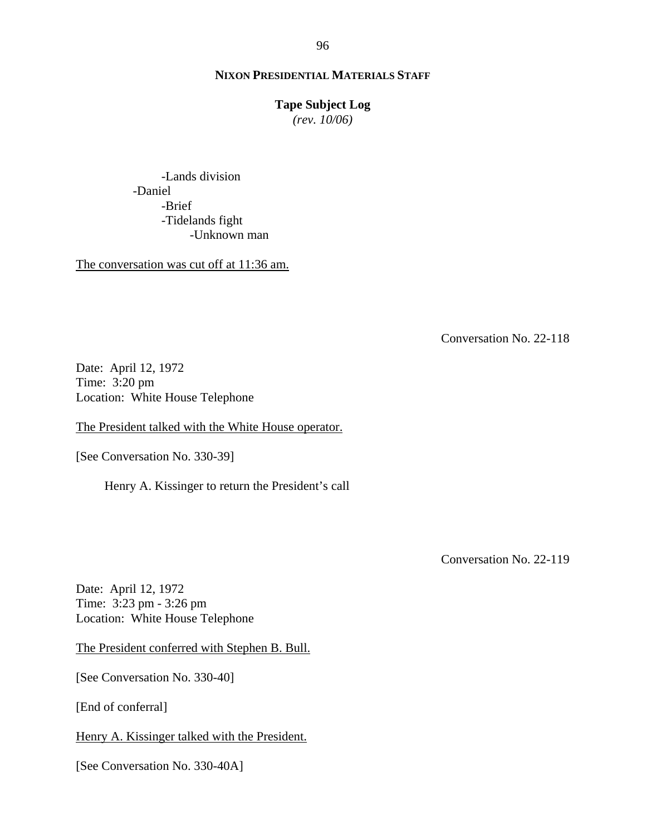# **Tape Subject Log**

*(rev. 10/06)*

-Lands division -Daniel -Brief -Tidelands fight -Unknown man

The conversation was cut off at 11:36 am.

Conversation No. 22-118

Date: April 12, 1972 Time: 3:20 pm Location: White House Telephone

The President talked with the White House operator.

[See Conversation No. 330-39]

Henry A. Kissinger to return the President's call

Conversation No. 22-119

Date: April 12, 1972 Time: 3:23 pm - 3:26 pm Location: White House Telephone

The President conferred with Stephen B. Bull.

[See Conversation No. 330-40]

[End of conferral]

Henry A. Kissinger talked with the President.

[See Conversation No. 330-40A]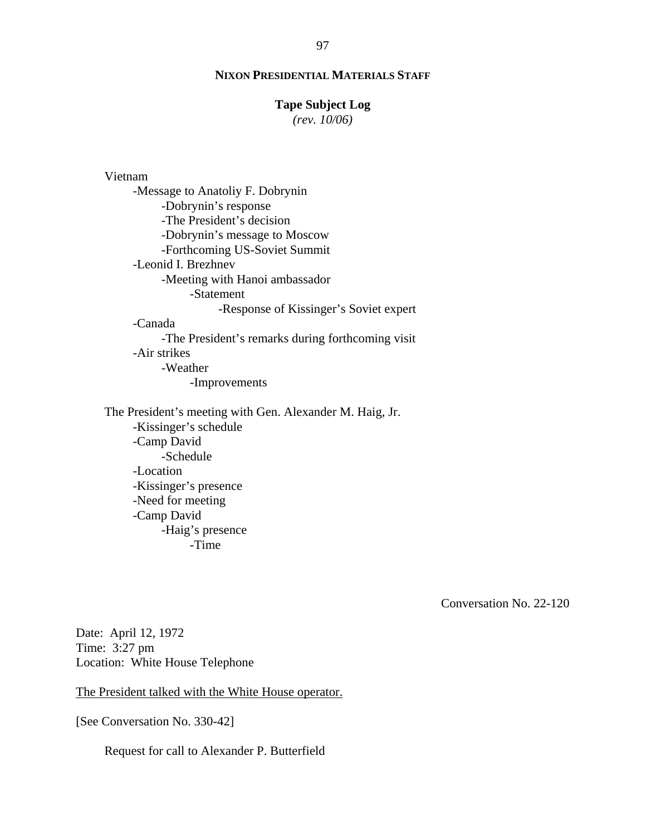#### **Tape Subject Log**

*(rev. 10/06)*

# Vietnam

-Message to Anatoliy F. Dobrynin -Dobrynin's response -The President's decision -Dobrynin's message to Moscow -Forthcoming US-Soviet Summit -Leonid I. Brezhnev -Meeting with Hanoi ambassador -Statement -Response of Kissinger's Soviet expert -Canada -The President's remarks during forthcoming visit -Air strikes -Weather -Improvements

The President's meeting with Gen. Alexander M. Haig, Jr. -Kissinger's schedule -Camp David -Schedule -Location -Kissinger's presence -Need for meeting -Camp David -Haig's presence -Time

Conversation No. 22-120

Date: April 12, 1972 Time: 3:27 pm Location: White House Telephone

The President talked with the White House operator.

[See Conversation No. 330-42]

Request for call to Alexander P. Butterfield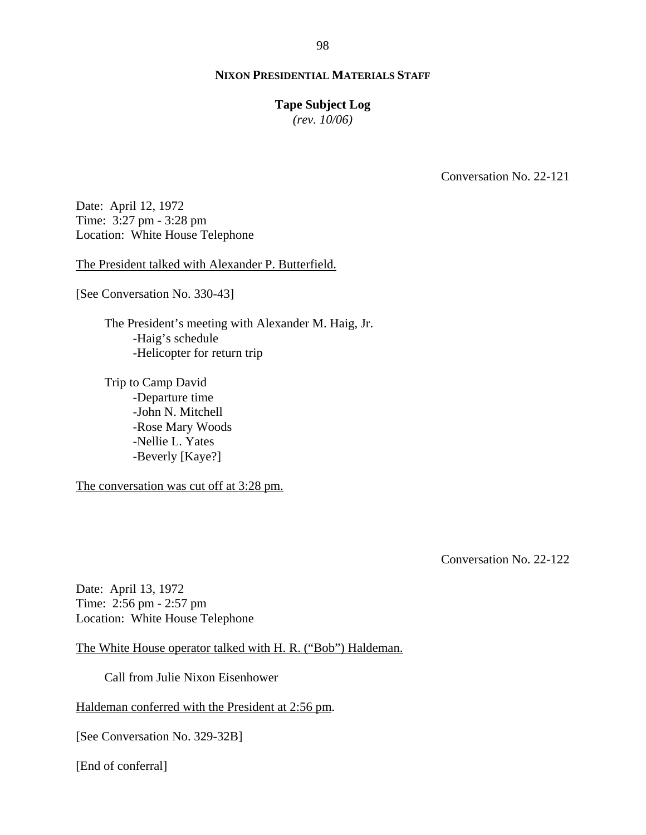#### **Tape Subject Log**

*(rev. 10/06)*

Conversation No. 22-121

Date: April 12, 1972 Time: 3:27 pm - 3:28 pm Location: White House Telephone

The President talked with Alexander P. Butterfield.

[See Conversation No. 330-43]

The President's meeting with Alexander M. Haig, Jr. -Haig's schedule -Helicopter for return trip

Trip to Camp David -Departure time -John N. Mitchell -Rose Mary Woods -Nellie L. Yates -Beverly [Kaye?]

The conversation was cut off at 3:28 pm.

Conversation No. 22-122

Date: April 13, 1972 Time: 2:56 pm - 2:57 pm Location: White House Telephone

The White House operator talked with H. R. ("Bob") Haldeman.

Call from Julie Nixon Eisenhower

Haldeman conferred with the President at 2:56 pm.

[See Conversation No. 329-32B]

[End of conferral]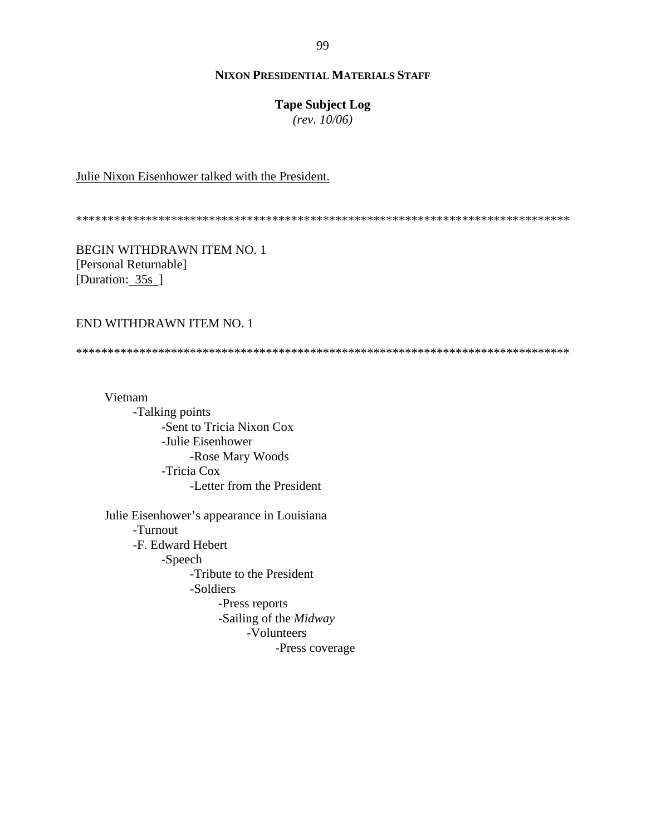#### **Tape Subject Log**

*(rev. 10/06)*

### Julie Nixon Eisenhower talked with the President.

\*\*\*\*\*\*\*\*\*\*\*\*\*\*\*\*\*\*\*\*\*\*\*\*\*\*\*\*\*\*\*\*\*\*\*\*\*\*\*\*\*\*\*\*\*\*\*\*\*\*\*\*\*\*\*\*\*\*\*\*\*\*\*\*\*\*\*\*\*\*\*\*\*\*\*\*\*\*

BEGIN WITHDRAWN ITEM NO. 1 [Personal Returnable] [Duration: 35s]

# END WITHDRAWN ITEM NO. 1

\*\*\*\*\*\*\*\*\*\*\*\*\*\*\*\*\*\*\*\*\*\*\*\*\*\*\*\*\*\*\*\*\*\*\*\*\*\*\*\*\*\*\*\*\*\*\*\*\*\*\*\*\*\*\*\*\*\*\*\*\*\*\*\*\*\*\*\*\*\*\*\*\*\*\*\*\*\*

Vietnam -Talking points -Sent to Tricia Nixon Cox -Julie Eisenhower -Rose Mary Woods -Tricia Cox -Letter from the President Julie Eisenhower's appearance in Louisiana

-Turnout -F. Edward Hebert -Speech -Tribute to the President -Soldiers -Press reports -Sailing of the *Midway* -Volunteers -Press coverage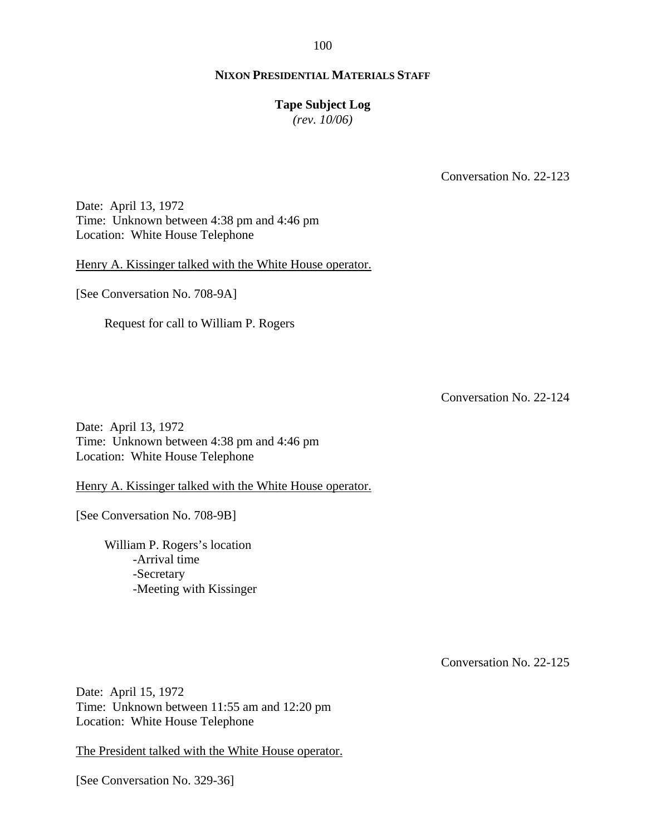#### **Tape Subject Log**

*(rev. 10/06)*

Conversation No. 22-123

Date: April 13, 1972 Time: Unknown between 4:38 pm and 4:46 pm Location: White House Telephone

Henry A. Kissinger talked with the White House operator.

[See Conversation No. 708-9A]

Request for call to William P. Rogers

Conversation No. 22-124

Date: April 13, 1972 Time: Unknown between 4:38 pm and 4:46 pm Location: White House Telephone

Henry A. Kissinger talked with the White House operator.

[See Conversation No. 708-9B]

William P. Rogers's location -Arrival time -Secretary -Meeting with Kissinger

Conversation No. 22-125

Date: April 15, 1972 Time: Unknown between 11:55 am and 12:20 pm Location: White House Telephone

The President talked with the White House operator.

[See Conversation No. 329-36]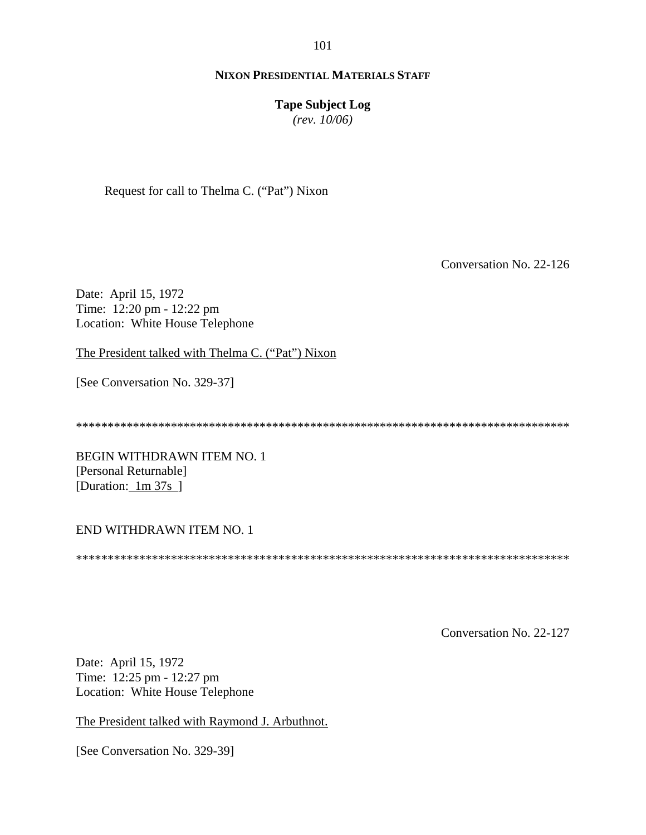101

# **NIXON PRESIDENTIAL MATERIALS STAFF**

# **Tape Subject Log**

*(rev. 10/06)*

Request for call to Thelma C. ("Pat") Nixon

Conversation No. 22-126

Date: April 15, 1972 Time: 12:20 pm - 12:22 pm Location: White House Telephone

The President talked with Thelma C. ("Pat") Nixon

[See Conversation No. 329-37]

\*\*\*\*\*\*\*\*\*\*\*\*\*\*\*\*\*\*\*\*\*\*\*\*\*\*\*\*\*\*\*\*\*\*\*\*\*\*\*\*\*\*\*\*\*\*\*\*\*\*\*\*\*\*\*\*\*\*\*\*\*\*\*\*\*\*\*\*\*\*\*\*\*\*\*\*\*\*

BEGIN WITHDRAWN ITEM NO. 1 [Personal Returnable] [Duration: 1m 37s]

# END WITHDRAWN ITEM NO. 1

\*\*\*\*\*\*\*\*\*\*\*\*\*\*\*\*\*\*\*\*\*\*\*\*\*\*\*\*\*\*\*\*\*\*\*\*\*\*\*\*\*\*\*\*\*\*\*\*\*\*\*\*\*\*\*\*\*\*\*\*\*\*\*\*\*\*\*\*\*\*\*\*\*\*\*\*\*\*

Conversation No. 22-127

Date: April 15, 1972 Time: 12:25 pm - 12:27 pm Location: White House Telephone

The President talked with Raymond J. Arbuthnot.

[See Conversation No. 329-39]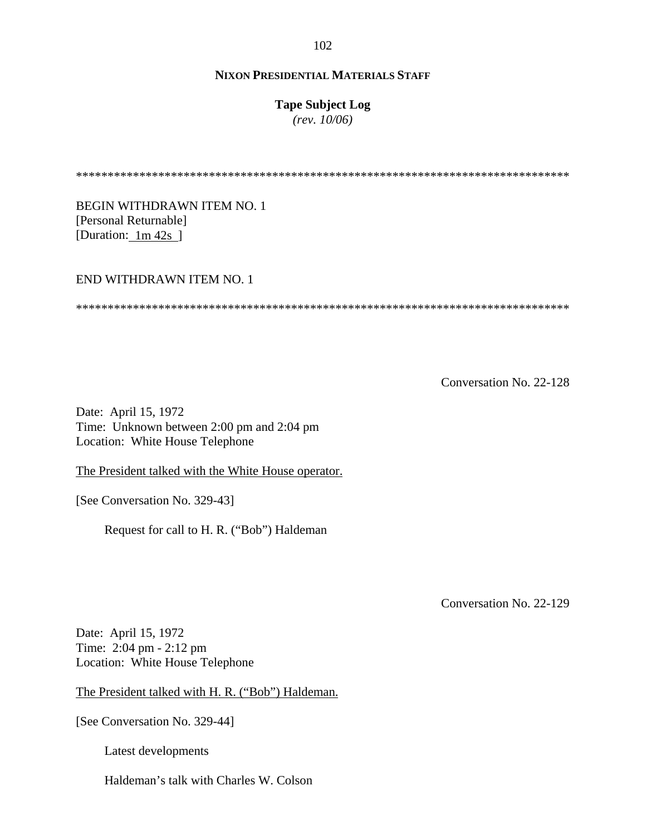**Tape Subject Log**

*(rev. 10/06)*

\*\*\*\*\*\*\*\*\*\*\*\*\*\*\*\*\*\*\*\*\*\*\*\*\*\*\*\*\*\*\*\*\*\*\*\*\*\*\*\*\*\*\*\*\*\*\*\*\*\*\*\*\*\*\*\*\*\*\*\*\*\*\*\*\*\*\*\*\*\*\*\*\*\*\*\*\*\*

BEGIN WITHDRAWN ITEM NO. 1 [Personal Returnable] [Duration:  $1m 42s$ ]

#### END WITHDRAWN ITEM NO. 1

\*\*\*\*\*\*\*\*\*\*\*\*\*\*\*\*\*\*\*\*\*\*\*\*\*\*\*\*\*\*\*\*\*\*\*\*\*\*\*\*\*\*\*\*\*\*\*\*\*\*\*\*\*\*\*\*\*\*\*\*\*\*\*\*\*\*\*\*\*\*\*\*\*\*\*\*\*\*

Conversation No. 22-128

Date: April 15, 1972 Time: Unknown between 2:00 pm and 2:04 pm Location: White House Telephone

The President talked with the White House operator.

[See Conversation No. 329-43]

Request for call to H. R. ("Bob") Haldeman

Conversation No. 22-129

Date: April 15, 1972 Time: 2:04 pm - 2:12 pm Location: White House Telephone

The President talked with H. R. ("Bob") Haldeman.

[See Conversation No. 329-44]

Latest developments

Haldeman's talk with Charles W. Colson

102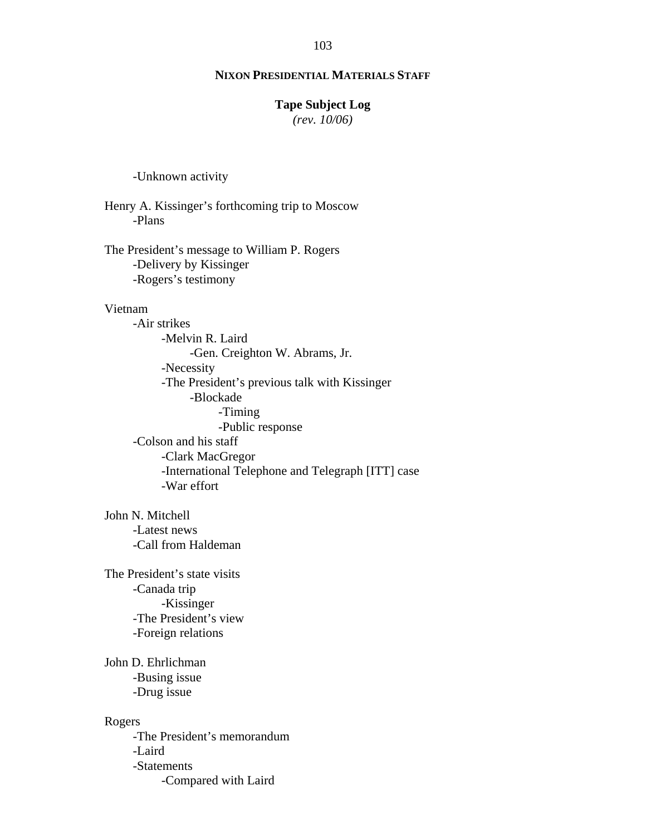#### 103

# **NIXON PRESIDENTIAL MATERIALS STAFF**

#### **Tape Subject Log**

*(rev. 10/06)*

-Unknown activity

Henry A. Kissinger's forthcoming trip to Moscow -Plans

The President's message to William P. Rogers -Delivery by Kissinger -Rogers's testimony

### Vietnam

-Air strikes -Melvin R. Laird -Gen. Creighton W. Abrams, Jr. -Necessity -The President's previous talk with Kissinger -Blockade -Timing -Public response -Colson and his staff -Clark MacGregor -International Telephone and Telegraph [ITT] case -War effort

John N. Mitchell -Latest news -Call from Haldeman

The President's state visits -Canada trip -Kissinger -The President's view -Foreign relations

John D. Ehrlichman -Busing issue -Drug issue

#### Rogers

-The President's memorandum -Laird -Statements -Compared with Laird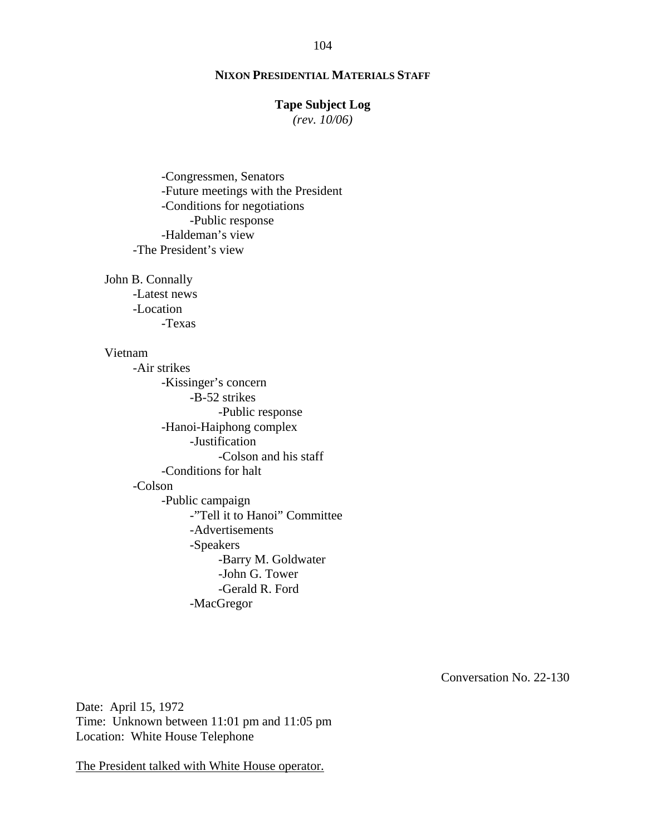#### **Tape Subject Log**

*(rev. 10/06)*

-Congressmen, Senators -Future meetings with the President -Conditions for negotiations -Public response -Haldeman's view -The President's view

John B. Connally -Latest news -Location -Texas

#### Vietnam

-Air strikes -Kissinger's concern -B-52 strikes -Public response -Hanoi-Haiphong complex -Justification -Colson and his staff -Conditions for halt -Colson -Public campaign -"Tell it to Hanoi" Committee -Advertisements -Speakers -Barry M. Goldwater -John G. Tower -Gerald R. Ford -MacGregor

Conversation No. 22-130

Date: April 15, 1972 Time: Unknown between 11:01 pm and 11:05 pm Location: White House Telephone

The President talked with White House operator.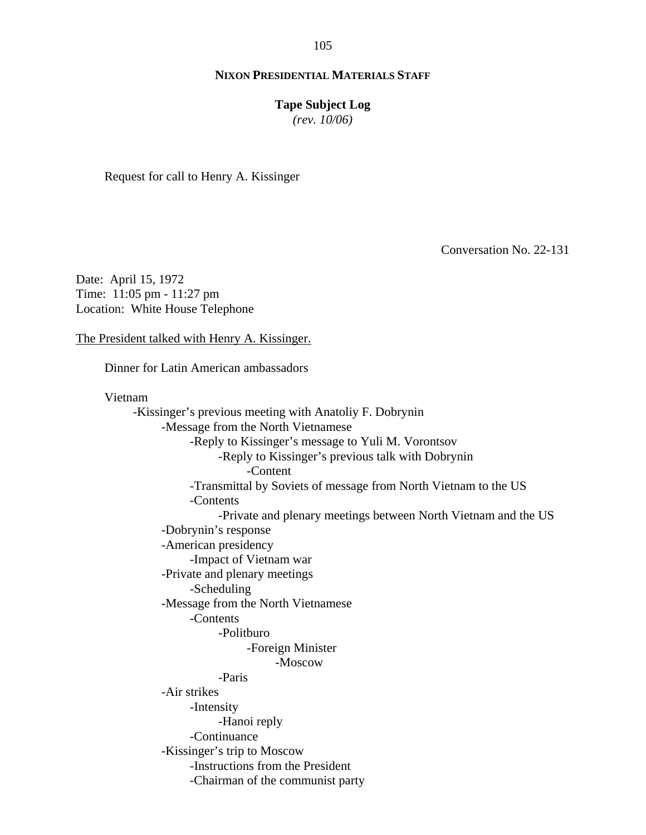#### **Tape Subject Log**

*(rev. 10/06)*

Request for call to Henry A. Kissinger

Conversation No. 22-131

Date: April 15, 1972 Time: 11:05 pm - 11:27 pm Location: White House Telephone

The President talked with Henry A. Kissinger.

Dinner for Latin American ambassadors

Vietnam

-Kissinger's previous meeting with Anatoliy F. Dobrynin -Message from the North Vietnamese -Reply to Kissinger's message to Yuli M. Vorontsov -Reply to Kissinger's previous talk with Dobrynin -Content -Transmittal by Soviets of message from North Vietnam to the US -Contents -Private and plenary meetings between North Vietnam and the US -Dobrynin's response -American presidency -Impact of Vietnam war -Private and plenary meetings -Scheduling -Message from the North Vietnamese -Contents -Politburo -Foreign Minister -Moscow -Paris -Air strikes -Intensity -Hanoi reply -Continuance -Kissinger's trip to Moscow -Instructions from the President -Chairman of the communist party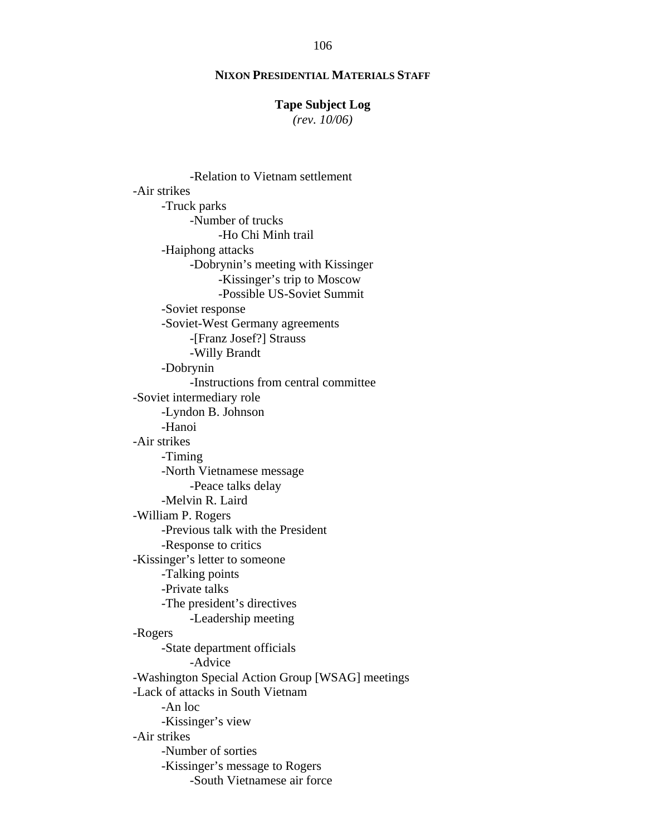# 106

# **NIXON PRESIDENTIAL MATERIALS STAFF**

### **Tape Subject Log**

*(rev. 10/06)*

-Relation to Vietnam settlement -Air strikes -Truck parks -Number of trucks -Ho Chi Minh trail -Haiphong attacks -Dobrynin's meeting with Kissinger -Kissinger's trip to Moscow -Possible US-Soviet Summit -Soviet response -Soviet-West Germany agreements -[Franz Josef?] Strauss -Willy Brandt -Dobrynin -Instructions from central committee -Soviet intermediary role -Lyndon B. Johnson -Hanoi -Air strikes -Timing -North Vietnamese message -Peace talks delay -Melvin R. Laird -William P. Rogers -Previous talk with the President -Response to critics -Kissinger's letter to someone -Talking points -Private talks -The president's directives -Leadership meeting -Rogers -State department officials -Advice -Washington Special Action Group [WSAG] meetings -Lack of attacks in South Vietnam -An loc -Kissinger's view -Air strikes -Number of sorties -Kissinger's message to Rogers -South Vietnamese air force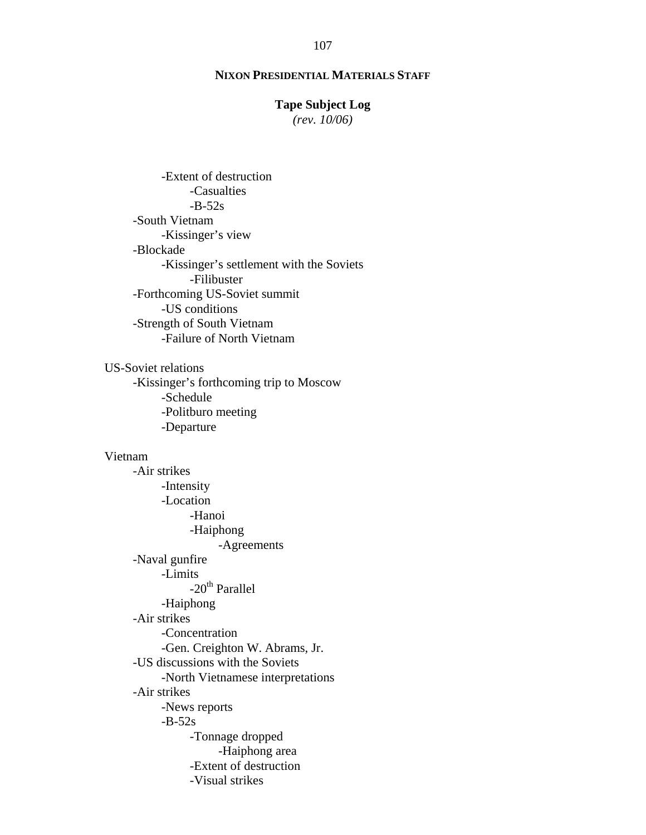#### **Tape Subject Log**

*(rev. 10/06)*

-Extent of destruction -Casualties  $-B-52s$ -South Vietnam -Kissinger's view -Blockade -Kissinger's settlement with the Soviets -Filibuster -Forthcoming US-Soviet summit -US conditions -Strength of South Vietnam -Failure of North Vietnam

US-Soviet relations -Kissinger's forthcoming trip to Moscow -Schedule -Politburo meeting -Departure

#### Vietnam

-Air strikes -Intensity -Location -Hanoi -Haiphong -Agreements -Naval gunfire -Limits -20<sup>th</sup> Parallel -Haiphong -Air strikes -Concentration -Gen. Creighton W. Abrams, Jr. -US discussions with the Soviets -North Vietnamese interpretations -Air strikes -News reports -B-52s -Tonnage dropped -Haiphong area -Extent of destruction -Visual strikes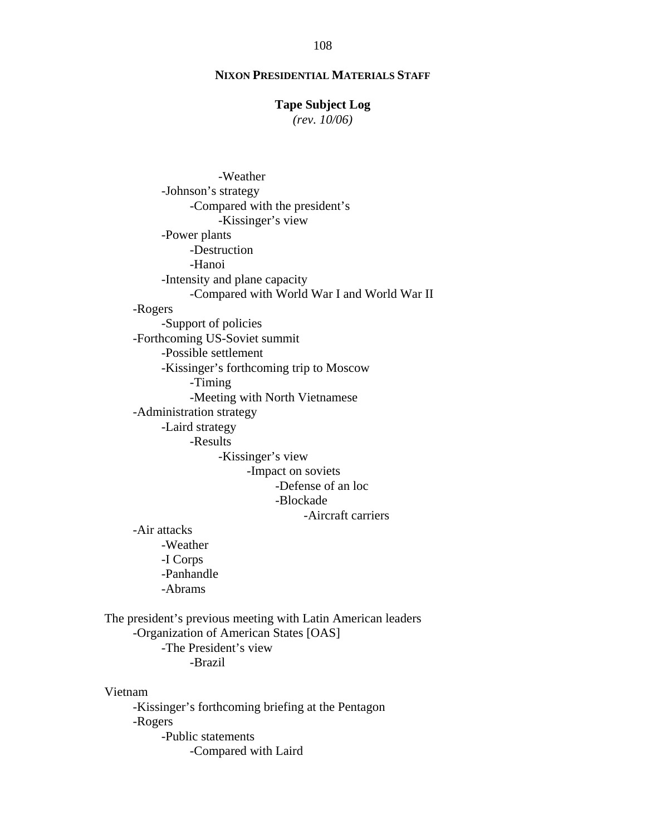### **Tape Subject Log**

*(rev. 10/06)*

-Weather -Johnson's strategy -Compared with the president's -Kissinger's view -Power plants -Destruction -Hanoi -Intensity and plane capacity -Compared with World War I and World War II -Rogers -Support of policies -Forthcoming US-Soviet summit -Possible settlement -Kissinger's forthcoming trip to Moscow -Timing -Meeting with North Vietnamese -Administration strategy -Laird strategy -Results -Kissinger's view -Impact on soviets -Defense of an loc -Blockade -Aircraft carriers -Air attacks -Weather -I Corps -Panhandle -Abrams The president's previous meeting with Latin American leaders -Organization of American States [OAS] -The President's view -Brazil Vietnam

-Kissinger's forthcoming briefing at the Pentagon -Rogers -Public statements -Compared with Laird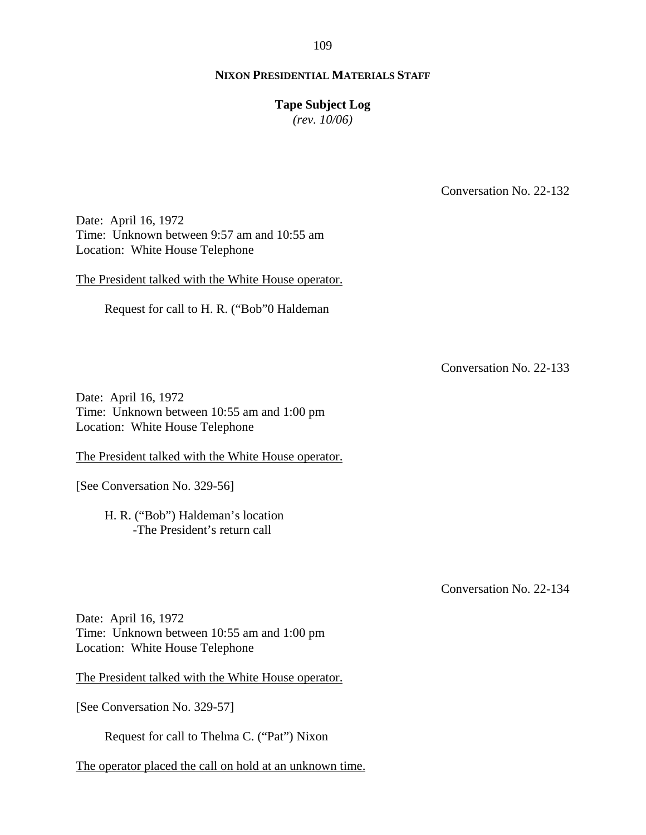### **NIXON PRESIDENTIAL MATERIALS STAFF**

#### **Tape Subject Log**

*(rev. 10/06)*

Conversation No. 22-132

Date: April 16, 1972 Time: Unknown between 9:57 am and 10:55 am Location: White House Telephone

The President talked with the White House operator.

Request for call to H. R. ("Bob"0 Haldeman

Conversation No. 22-133

Date: April 16, 1972 Time: Unknown between 10:55 am and 1:00 pm Location: White House Telephone

The President talked with the White House operator.

[See Conversation No. 329-56]

H. R. ("Bob") Haldeman's location -The President's return call

Conversation No. 22-134

Date: April 16, 1972 Time: Unknown between 10:55 am and 1:00 pm Location: White House Telephone

The President talked with the White House operator.

[See Conversation No. 329-57]

Request for call to Thelma C. ("Pat") Nixon

The operator placed the call on hold at an unknown time.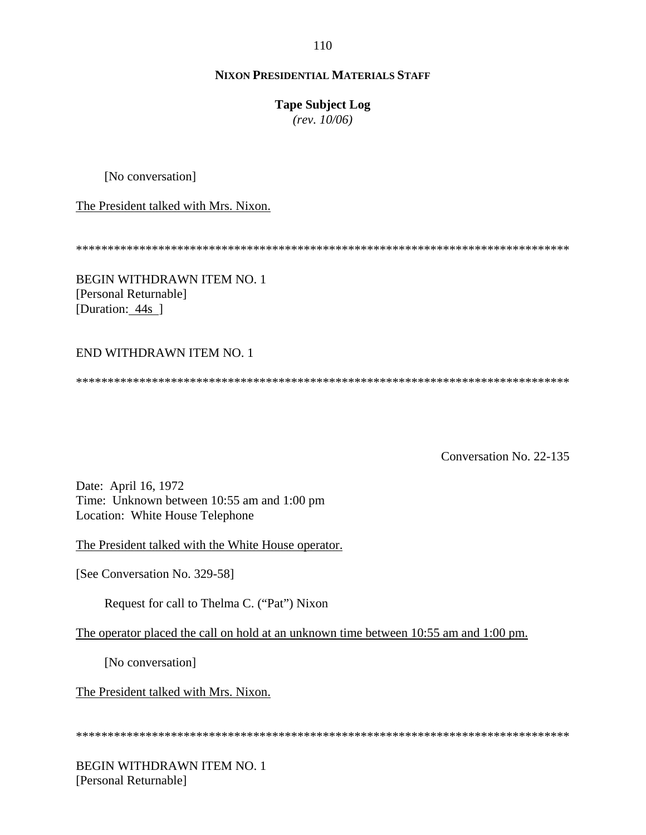## **Tape Subject Log**

*(rev. 10/06)*

[No conversation]

The President talked with Mrs. Nixon.

\*\*\*\*\*\*\*\*\*\*\*\*\*\*\*\*\*\*\*\*\*\*\*\*\*\*\*\*\*\*\*\*\*\*\*\*\*\*\*\*\*\*\*\*\*\*\*\*\*\*\*\*\*\*\*\*\*\*\*\*\*\*\*\*\*\*\*\*\*\*\*\*\*\*\*\*\*\*

BEGIN WITHDRAWN ITEM NO. 1 [Personal Returnable] [Duration: 44s ]

# END WITHDRAWN ITEM NO. 1

\*\*\*\*\*\*\*\*\*\*\*\*\*\*\*\*\*\*\*\*\*\*\*\*\*\*\*\*\*\*\*\*\*\*\*\*\*\*\*\*\*\*\*\*\*\*\*\*\*\*\*\*\*\*\*\*\*\*\*\*\*\*\*\*\*\*\*\*\*\*\*\*\*\*\*\*\*\*

Conversation No. 22-135

Date: April 16, 1972 Time: Unknown between 10:55 am and 1:00 pm Location: White House Telephone

The President talked with the White House operator.

[See Conversation No. 329-58]

Request for call to Thelma C. ("Pat") Nixon

The operator placed the call on hold at an unknown time between 10:55 am and 1:00 pm.

[No conversation]

The President talked with Mrs. Nixon.

\*\*\*\*\*\*\*\*\*\*\*\*\*\*\*\*\*\*\*\*\*\*\*\*\*\*\*\*\*\*\*\*\*\*\*\*\*\*\*\*\*\*\*\*\*\*\*\*\*\*\*\*\*\*\*\*\*\*\*\*\*\*\*\*\*\*\*\*\*\*\*\*\*\*\*\*\*\*

BEGIN WITHDRAWN ITEM NO. 1 [Personal Returnable]

110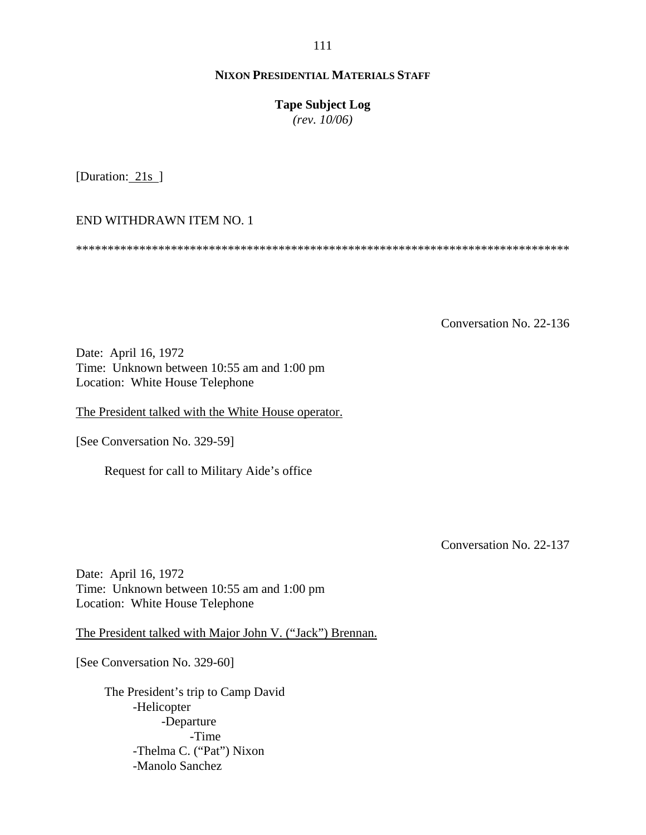**Tape Subject Log**

*(rev. 10/06)*

[Duration: 21s ]

END WITHDRAWN ITEM NO. 1

\*\*\*\*\*\*\*\*\*\*\*\*\*\*\*\*\*\*\*\*\*\*\*\*\*\*\*\*\*\*\*\*\*\*\*\*\*\*\*\*\*\*\*\*\*\*\*\*\*\*\*\*\*\*\*\*\*\*\*\*\*\*\*\*\*\*\*\*\*\*\*\*\*\*\*\*\*\*

Conversation No. 22-136

Date: April 16, 1972 Time: Unknown between 10:55 am and 1:00 pm Location: White House Telephone

The President talked with the White House operator.

[See Conversation No. 329-59]

Request for call to Military Aide's office

Conversation No. 22-137

Date: April 16, 1972 Time: Unknown between 10:55 am and 1:00 pm Location: White House Telephone

The President talked with Major John V. ("Jack") Brennan.

[See Conversation No. 329-60]

The President's trip to Camp David -Helicopter -Departure -Time -Thelma C. ("Pat") Nixon -Manolo Sanchez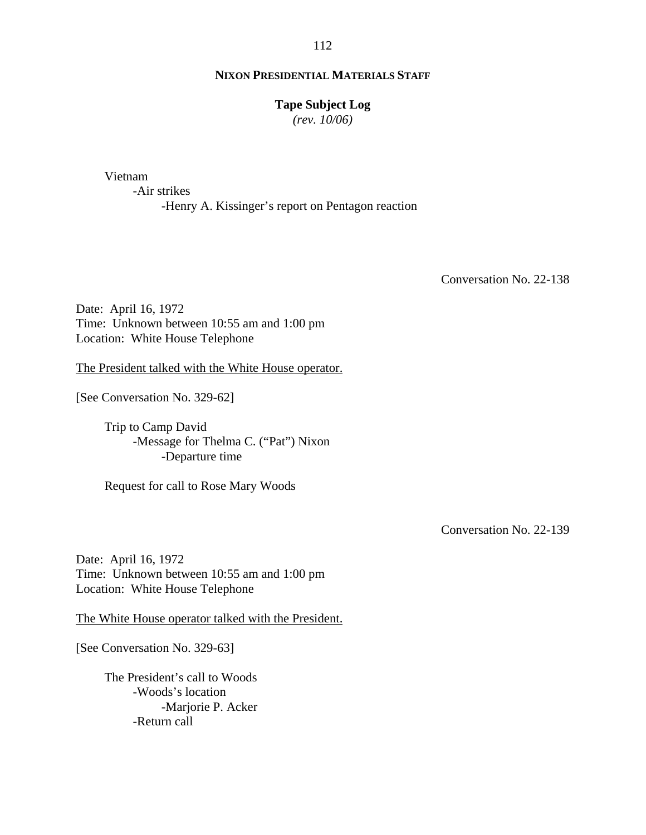#### **NIXON PRESIDENTIAL MATERIALS STAFF**

### **Tape Subject Log**

*(rev. 10/06)*

Vietnam

-Air strikes -Henry A. Kissinger's report on Pentagon reaction

Conversation No. 22-138

Date: April 16, 1972 Time: Unknown between 10:55 am and 1:00 pm Location: White House Telephone

The President talked with the White House operator.

[See Conversation No. 329-62]

Trip to Camp David -Message for Thelma C. ("Pat") Nixon -Departure time

Request for call to Rose Mary Woods

Conversation No. 22-139

Date: April 16, 1972 Time: Unknown between 10:55 am and 1:00 pm Location: White House Telephone

The White House operator talked with the President.

[See Conversation No. 329-63]

The President's call to Woods -Woods's location -Marjorie P. Acker -Return call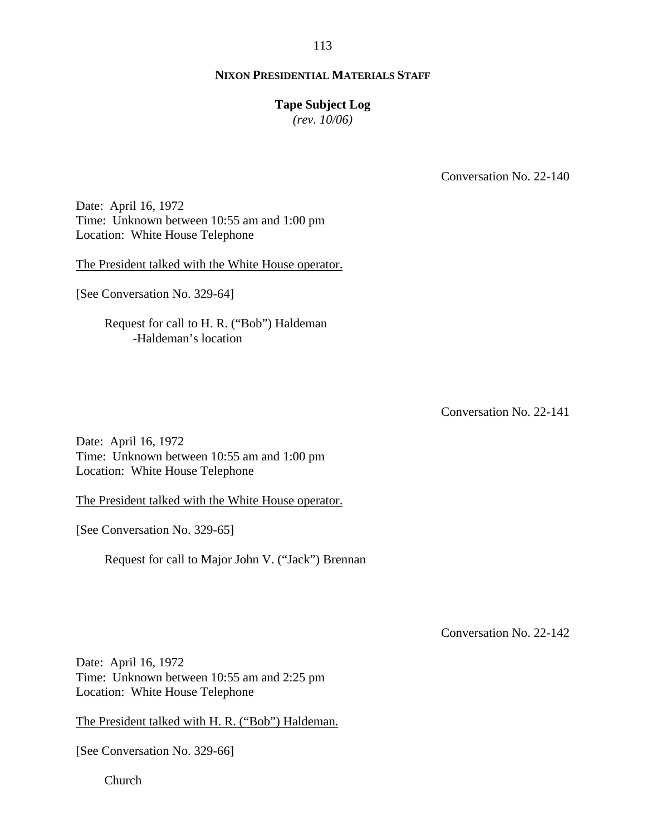#### **Tape Subject Log**

*(rev. 10/06)*

Conversation No. 22-140

Date: April 16, 1972 Time: Unknown between 10:55 am and 1:00 pm Location: White House Telephone

The President talked with the White House operator.

[See Conversation No. 329-64]

Request for call to H. R. ("Bob") Haldeman -Haldeman's location

Conversation No. 22-141

Date: April 16, 1972 Time: Unknown between 10:55 am and 1:00 pm Location: White House Telephone

The President talked with the White House operator.

[See Conversation No. 329-65]

Request for call to Major John V. ("Jack") Brennan

Conversation No. 22-142

Date: April 16, 1972 Time: Unknown between 10:55 am and 2:25 pm Location: White House Telephone

The President talked with H. R. ("Bob") Haldeman.

[See Conversation No. 329-66]

Church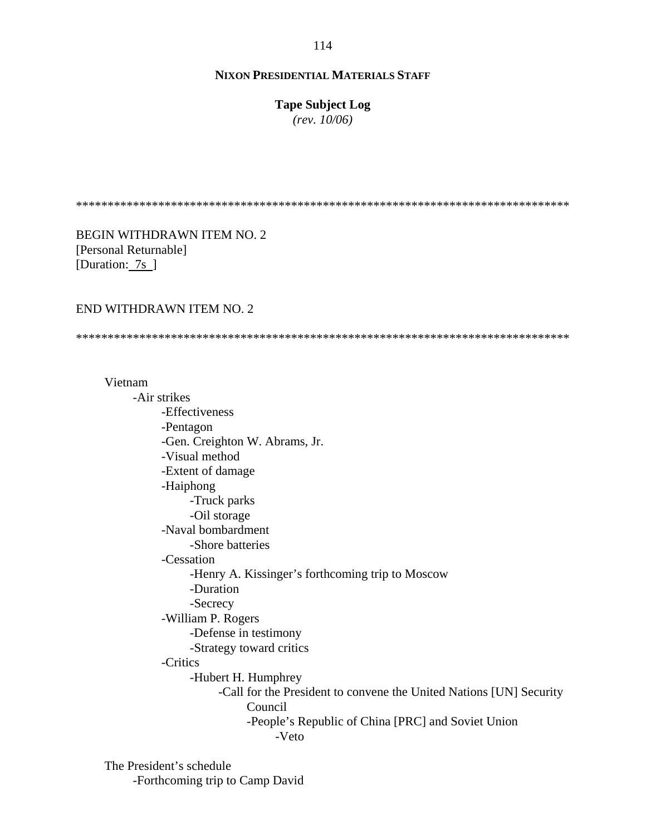**Tape Subject Log**

*(rev. 10/06)*

\*\*\*\*\*\*\*\*\*\*\*\*\*\*\*\*\*\*\*\*\*\*\*\*\*\*\*\*\*\*\*\*\*\*\*\*\*\*\*\*\*\*\*\*\*\*\*\*\*\*\*\*\*\*\*\*\*\*\*\*\*\*\*\*\*\*\*\*\*\*\*\*\*\*\*\*\*\*

BEGIN WITHDRAWN ITEM NO. 2 [Personal Returnable] [Duration: 7s ]

#### END WITHDRAWN ITEM NO. 2

\*\*\*\*\*\*\*\*\*\*\*\*\*\*\*\*\*\*\*\*\*\*\*\*\*\*\*\*\*\*\*\*\*\*\*\*\*\*\*\*\*\*\*\*\*\*\*\*\*\*\*\*\*\*\*\*\*\*\*\*\*\*\*\*\*\*\*\*\*\*\*\*\*\*\*\*\*\*

#### Vietnam

-Air strikes -Effectiveness -Pentagon -Gen. Creighton W. Abrams, Jr. -Visual method -Extent of damage -Haiphong -Truck parks -Oil storage -Naval bombardment -Shore batteries -Cessation -Henry A. Kissinger's forthcoming trip to Moscow -Duration -Secrecy -William P. Rogers -Defense in testimony -Strategy toward critics -Critics -Hubert H. Humphrey -Call for the President to convene the United Nations [UN] Security Council -People's Republic of China [PRC] and Soviet Union -Veto

The President's schedule -Forthcoming trip to Camp David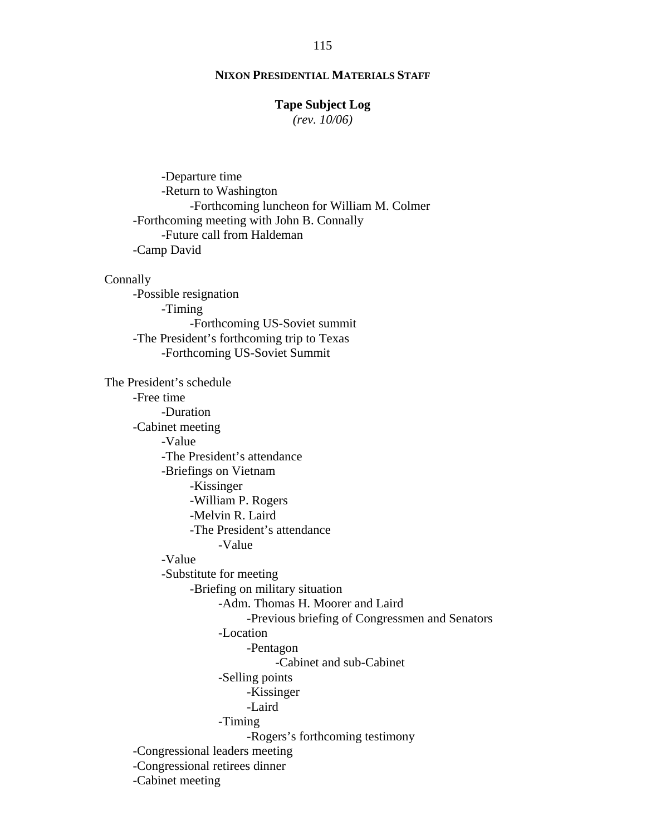### **Tape Subject Log**

*(rev. 10/06)*

 -Departure time -Return to Washington -Forthcoming luncheon for William M. Colmer -Forthcoming meeting with John B. Connally -Future call from Haldeman -Camp David Connally -Possible resignation -Timing -Forthcoming US-Soviet summit -The President's forthcoming trip to Texas -Forthcoming US-Soviet Summit The President's schedule -Free time -Duration -Cabinet meeting -Value -The President's attendance -Briefings on Vietnam -Kissinger -William P. Rogers -Melvin R. Laird -The President's attendance -Value -Value -Substitute for meeting -Briefing on military situation -Adm. Thomas H. Moorer and Laird -Previous briefing of Congressmen and Senators -Location -Pentagon -Cabinet and sub-Cabinet -Selling points -Kissinger -Laird -Timing -Rogers's forthcoming testimony -Congressional leaders meeting -Congressional retirees dinner -Cabinet meeting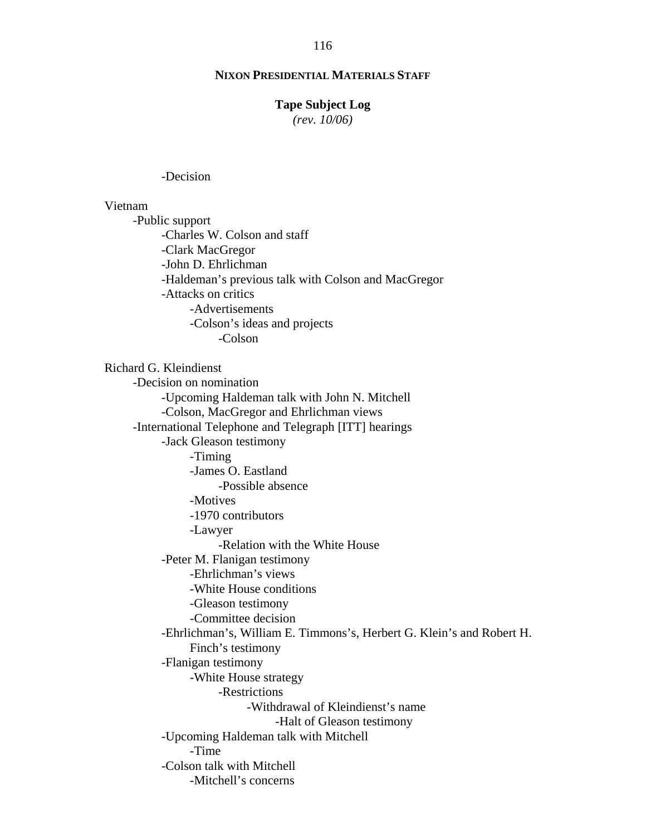### **NIXON PRESIDENTIAL MATERIALS STAFF**

#### **Tape Subject Log**

*(rev. 10/06)*

-Decision

#### Vietnam

-Public support -Charles W. Colson and staff -Clark MacGregor -John D. Ehrlichman -Haldeman's previous talk with Colson and MacGregor -Attacks on critics -Advertisements -Colson's ideas and projects -Colson

Richard G. Kleindienst

-Decision on nomination -Upcoming Haldeman talk with John N. Mitchell -Colson, MacGregor and Ehrlichman views -International Telephone and Telegraph [ITT] hearings -Jack Gleason testimony -Timing -James O. Eastland -Possible absence -Motives -1970 contributors -Lawyer -Relation with the White House -Peter M. Flanigan testimony -Ehrlichman's views -White House conditions -Gleason testimony -Committee decision -Ehrlichman's, William E. Timmons's, Herbert G. Klein's and Robert H. Finch's testimony -Flanigan testimony -White House strategy -Restrictions -Withdrawal of Kleindienst's name -Halt of Gleason testimony -Upcoming Haldeman talk with Mitchell -Time -Colson talk with Mitchell -Mitchell's concerns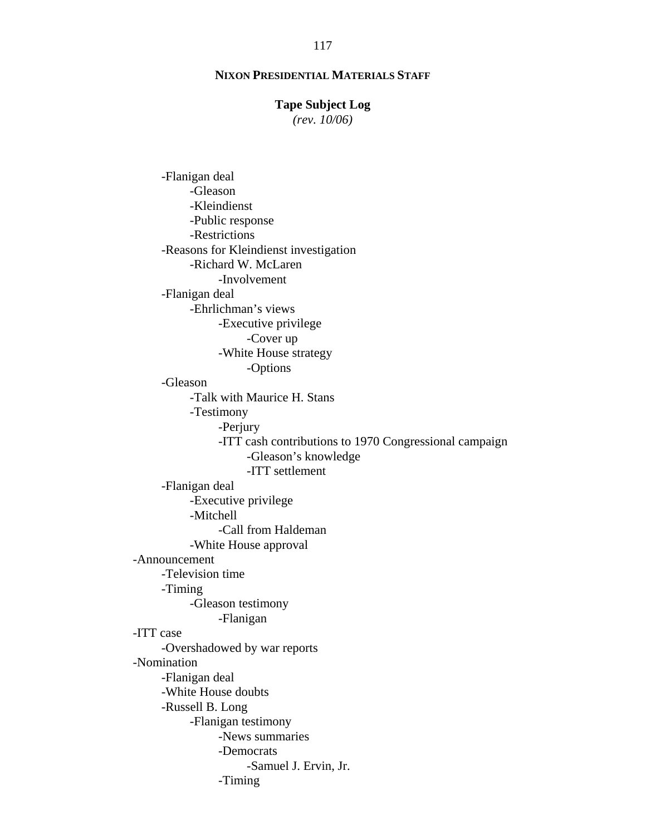#### **Tape Subject Log**

*(rev. 10/06)*

-Flanigan deal -Gleason -Kleindienst -Public response -Restrictions -Reasons for Kleindienst investigation -Richard W. McLaren -Involvement -Flanigan deal -Ehrlichman's views -Executive privilege -Cover up -White House strategy -Options -Gleason -Talk with Maurice H. Stans -Testimony -Perjury -ITT cash contributions to 1970 Congressional campaign -Gleason's knowledge -ITT settlement -Flanigan deal -Executive privilege -Mitchell -Call from Haldeman -White House approval -Announcement -Television time -Timing -Gleason testimony -Flanigan -ITT case -Overshadowed by war reports -Nomination -Flanigan deal -White House doubts -Russell B. Long -Flanigan testimony -News summaries -Democrats -Samuel J. Ervin, Jr. -Timing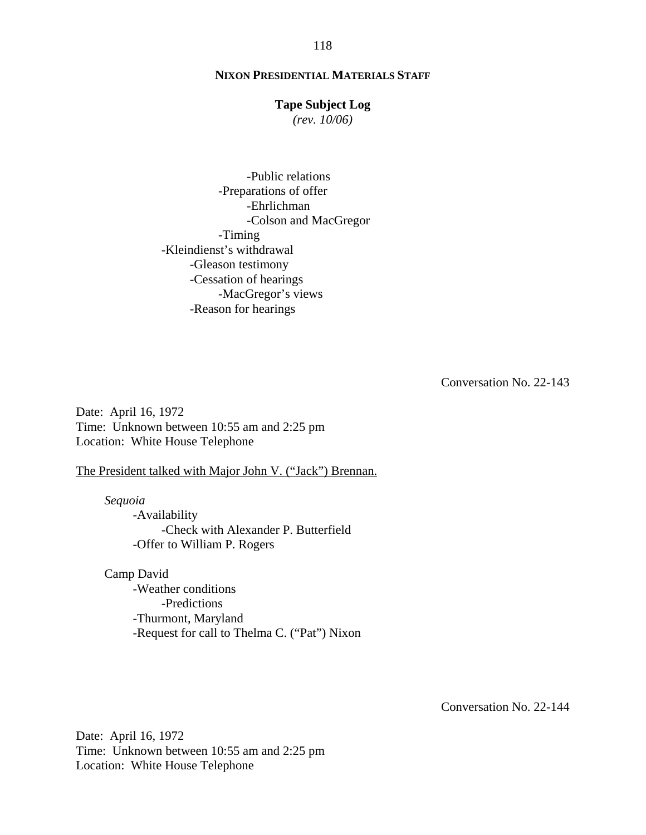#### **Tape Subject Log**

*(rev. 10/06)*

-Public relations -Preparations of offer -Ehrlichman -Colson and MacGregor -Timing -Kleindienst's withdrawal -Gleason testimony -Cessation of hearings -MacGregor's views -Reason for hearings

Conversation No. 22-143

Date: April 16, 1972 Time: Unknown between 10:55 am and 2:25 pm Location: White House Telephone

The President talked with Major John V. ("Jack") Brennan.

*Sequoia*  -Availability -Check with Alexander P. Butterfield -Offer to William P. Rogers

Camp David -Weather conditions -Predictions -Thurmont, Maryland -Request for call to Thelma C. ("Pat") Nixon

Conversation No. 22-144

Date: April 16, 1972 Time: Unknown between 10:55 am and 2:25 pm Location: White House Telephone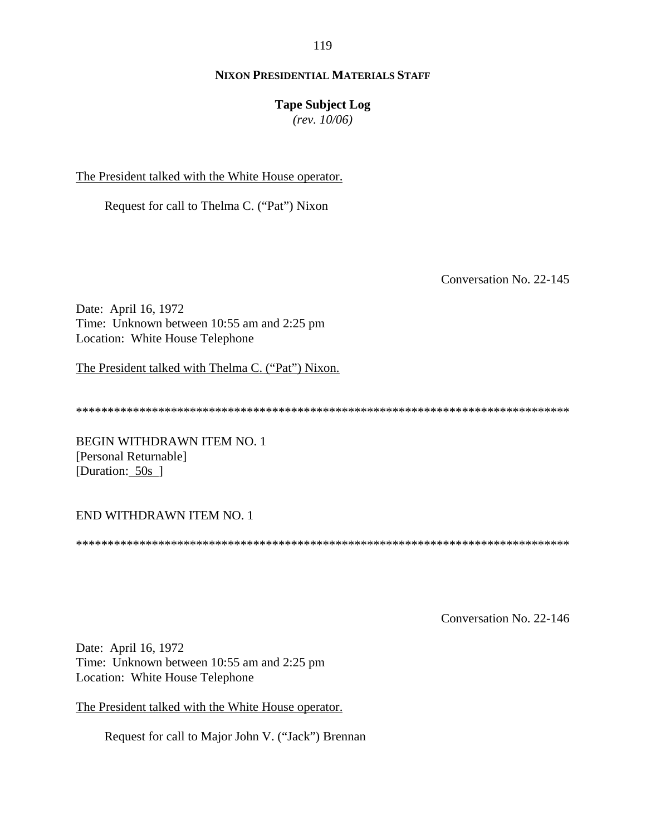### **NIXON PRESIDENTIAL MATERIALS STAFF**

### **Tape Subject Log**

*(rev. 10/06)*

The President talked with the White House operator.

Request for call to Thelma C. ("Pat") Nixon

Conversation No. 22-145

Date: April 16, 1972 Time: Unknown between 10:55 am and 2:25 pm Location: White House Telephone

The President talked with Thelma C. ("Pat") Nixon.

\*\*\*\*\*\*\*\*\*\*\*\*\*\*\*\*\*\*\*\*\*\*\*\*\*\*\*\*\*\*\*\*\*\*\*\*\*\*\*\*\*\*\*\*\*\*\*\*\*\*\*\*\*\*\*\*\*\*\*\*\*\*\*\*\*\*\*\*\*\*\*\*\*\*\*\*\*\*

BEGIN WITHDRAWN ITEM NO. 1 [Personal Returnable] [Duration: 50s]

#### END WITHDRAWN ITEM NO. 1

\*\*\*\*\*\*\*\*\*\*\*\*\*\*\*\*\*\*\*\*\*\*\*\*\*\*\*\*\*\*\*\*\*\*\*\*\*\*\*\*\*\*\*\*\*\*\*\*\*\*\*\*\*\*\*\*\*\*\*\*\*\*\*\*\*\*\*\*\*\*\*\*\*\*\*\*\*\*

Conversation No. 22-146

Date: April 16, 1972 Time: Unknown between 10:55 am and 2:25 pm Location: White House Telephone

The President talked with the White House operator.

Request for call to Major John V. ("Jack") Brennan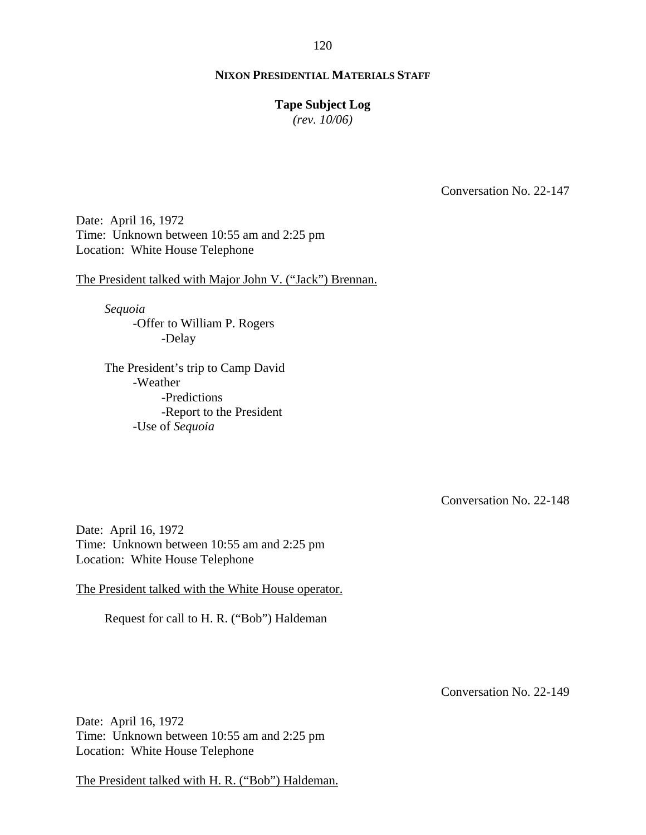### **NIXON PRESIDENTIAL MATERIALS STAFF**

#### **Tape Subject Log**

*(rev. 10/06)*

Conversation No. 22-147

Date: April 16, 1972 Time: Unknown between 10:55 am and 2:25 pm Location: White House Telephone

The President talked with Major John V. ("Jack") Brennan.

*Sequoia*  -Offer to William P. Rogers -Delay

The President's trip to Camp David -Weather -Predictions -Report to the President -Use of *Sequoia*

Conversation No. 22-148

Date: April 16, 1972 Time: Unknown between 10:55 am and 2:25 pm Location: White House Telephone

The President talked with the White House operator.

Request for call to H. R. ("Bob") Haldeman

Conversation No. 22-149

Date: April 16, 1972 Time: Unknown between 10:55 am and 2:25 pm Location: White House Telephone

The President talked with H. R. ("Bob") Haldeman.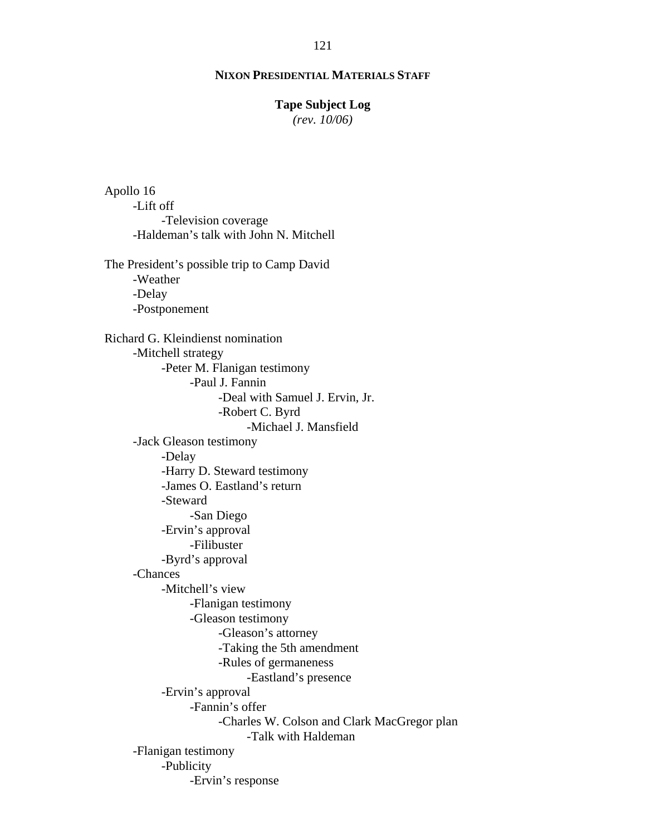#### **Tape Subject Log**

*(rev. 10/06)*

-Robert C. Byrd Apollo 16 -Lift off -Television coverage -Haldeman's talk with John N. Mitchell The President's possible trip to Camp David -Weather -Delay -Postponement Richard G. Kleindienst nomination -Mitchell strategy -Peter M. Flanigan testimony -Paul J. Fannin -Deal with Samuel J. Ervin, Jr. -Michael J. Mansfield -Jack Gleason testimony -Delay -Harry D. Steward testimony -James O. Eastland's return -Steward -San Diego -Ervin's approval -Filibuster -Byrd's approval -Chances -Mitchell's view -Flanigan testimony -Gleason testimony -Gleason's attorney -Taking the 5th amendment -Rules of germaneness -Eastland's presence -Ervin's approval -Fannin's offer -Charles W. Colson and Clark MacGregor plan -Talk with Haldeman -Flanigan testimony -Publicity -Ervin's response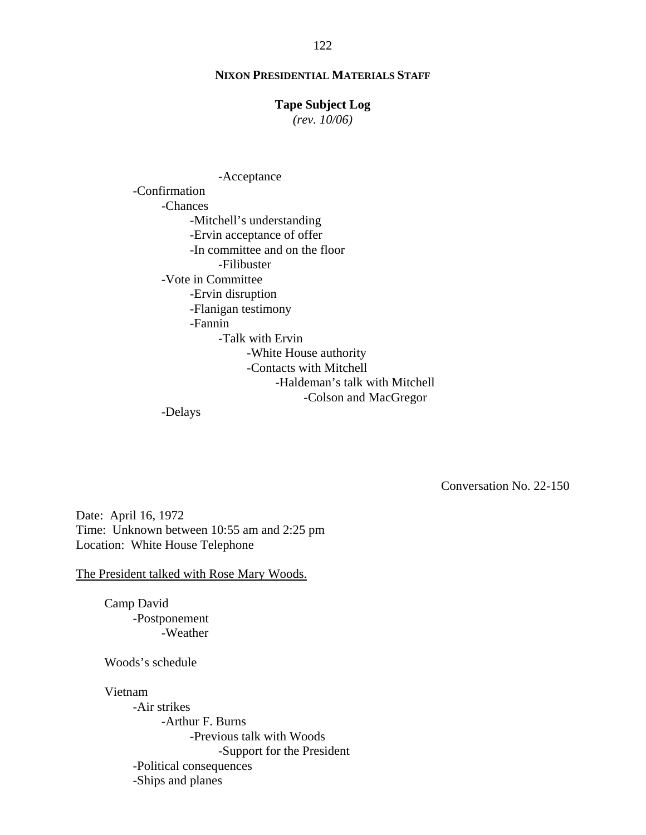#### **Tape Subject Log**

*(rev. 10/06)*

-Acceptance -Confirmation -Chances -Mitchell's understanding -Ervin acceptance of offer -In committee and on the floor -Filibuster -Vote in Committee -Ervin disruption -Flanigan testimony -Fannin -Talk with Ervin -White House authority -Contacts with Mitchell -Haldeman's talk with Mitchell -Colson and MacGregor

-Delays

Conversation No. 22-150

Date: April 16, 1972 Time: Unknown between 10:55 am and 2:25 pm Location: White House Telephone

The President talked with Rose Mary Woods.

Camp David -Postponement -Weather

Woods's schedule

Vietnam

-Air strikes -Arthur F. Burns -Previous talk with Woods -Support for the President -Political consequences -Ships and planes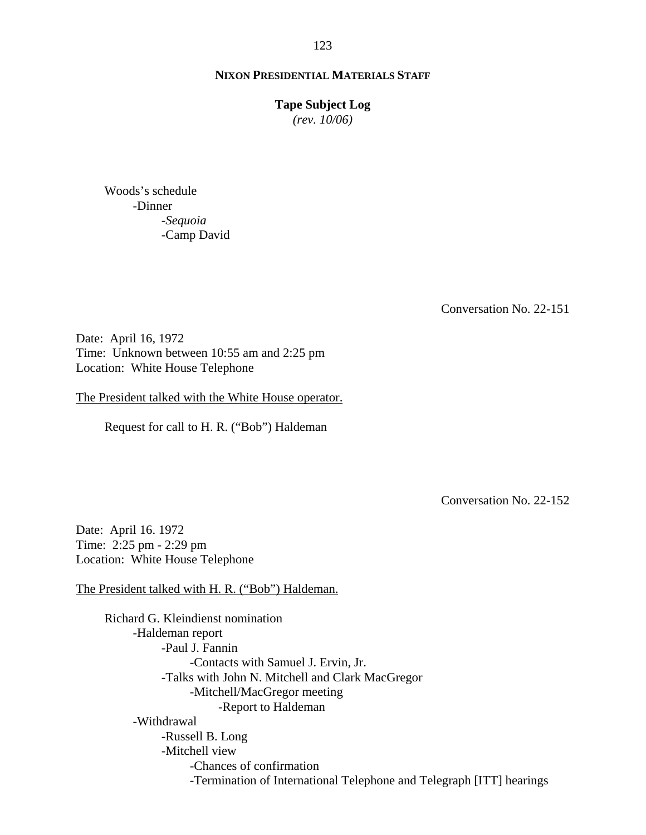#### **Tape Subject Log**

*(rev. 10/06)*

Woods's schedule -Dinner -*Sequoia* -Camp David

Conversation No. 22-151

Date: April 16, 1972 Time: Unknown between 10:55 am and 2:25 pm Location: White House Telephone

The President talked with the White House operator.

Request for call to H. R. ("Bob") Haldeman

Conversation No. 22-152

Date: April 16. 1972 Time: 2:25 pm - 2:29 pm Location: White House Telephone

The President talked with H. R. ("Bob") Haldeman.

Richard G. Kleindienst nomination -Haldeman report -Paul J. Fannin -Contacts with Samuel J. Ervin, Jr. -Talks with John N. Mitchell and Clark MacGregor -Mitchell/MacGregor meeting -Report to Haldeman -Withdrawal -Russell B. Long -Mitchell view -Chances of confirmation -Termination of International Telephone and Telegraph [ITT] hearings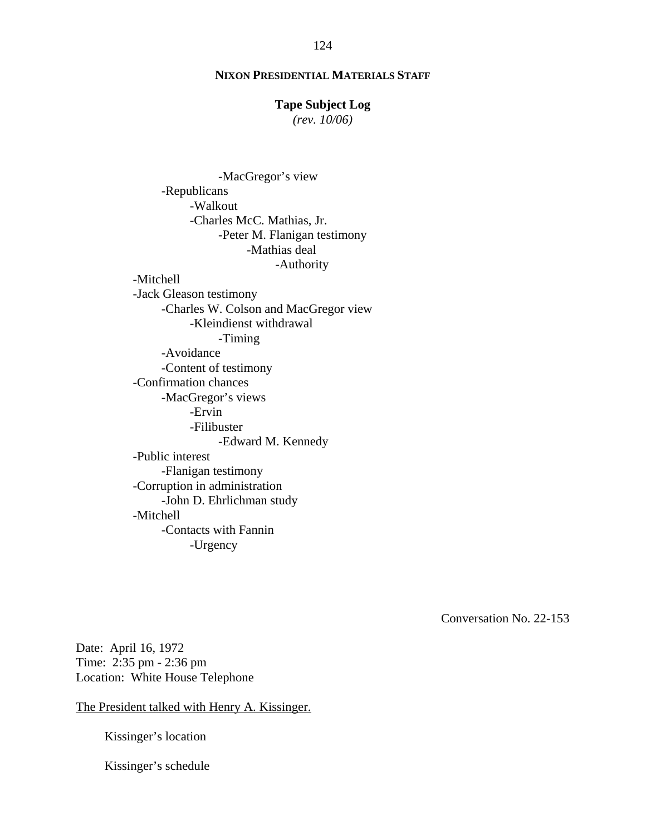#### **Tape Subject Log**

*(rev. 10/06)*

-MacGregor's view -Republicans -Walkout -Charles McC. Mathias, Jr. -Peter M. Flanigan testimony -Mathias deal -Authority -Mitchell -Jack Gleason testimony -Charles W. Colson and MacGregor view -Kleindienst withdrawal -Timing -Avoidance -Content of testimony -Confirmation chances -MacGregor's views -Ervin -Filibuster -Edward M. Kennedy -Public interest -Flanigan testimony -Corruption in administration -John D. Ehrlichman study -Mitchell -Contacts with Fannin -Urgency

Conversation No. 22-153

Date: April 16, 1972 Time: 2:35 pm - 2:36 pm Location: White House Telephone

The President talked with Henry A. Kissinger.

Kissinger's location

Kissinger's schedule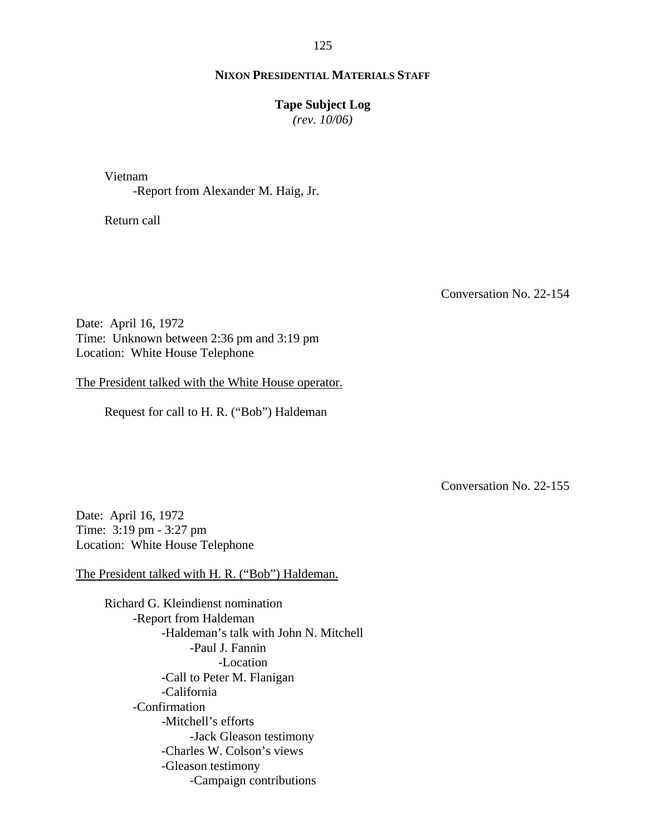#### **NIXON PRESIDENTIAL MATERIALS STAFF**

#### **Tape Subject Log**

*(rev. 10/06)*

Vietnam

-Report from Alexander M. Haig, Jr.

Return call

Conversation No. 22-154

Date: April 16, 1972 Time: Unknown between 2:36 pm and 3:19 pm Location: White House Telephone

The President talked with the White House operator.

Request for call to H. R. ("Bob") Haldeman

Conversation No. 22-155

Date: April 16, 1972 Time: 3:19 pm - 3:27 pm Location: White House Telephone

The President talked with H. R. ("Bob") Haldeman.

Richard G. Kleindienst nomination -Report from Haldeman -Haldeman's talk with John N. Mitchell -Paul J. Fannin -Location -Call to Peter M. Flanigan -California -Confirmation -Mitchell's efforts -Jack Gleason testimony -Charles W. Colson's views -Gleason testimony -Campaign contributions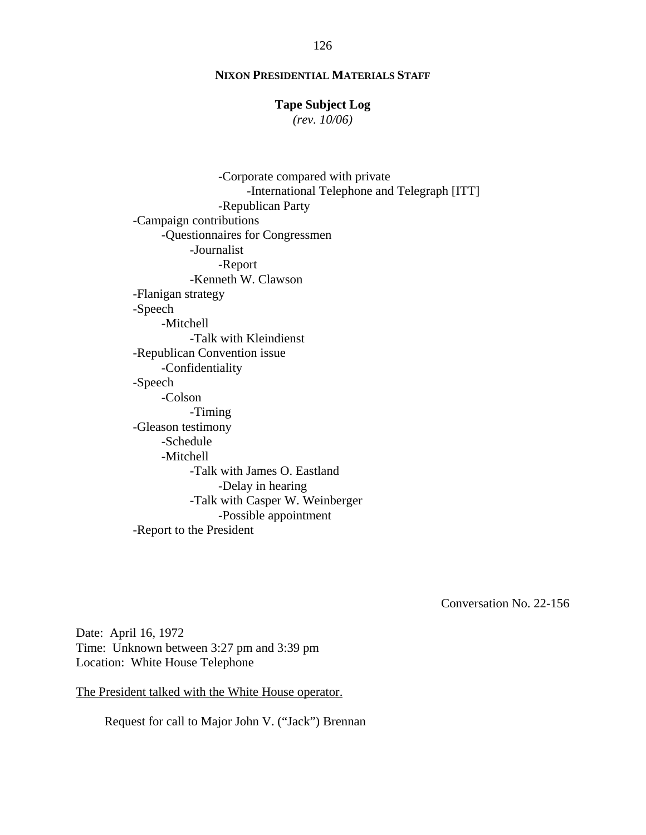### **Tape Subject Log**

*(rev. 10/06)*

-Corporate compared with private -International Telephone and Telegraph [ITT] -Republican Party -Campaign contributions -Questionnaires for Congressmen -Journalist -Report -Kenneth W. Clawson -Flanigan strategy -Speech -Mitchell -Talk with Kleindienst -Republican Convention issue -Confidentiality -Speech -Colson -Timing -Gleason testimony -Schedule -Mitchell -Talk with James O. Eastland -Delay in hearing -Talk with Casper W. Weinberger -Possible appointment -Report to the President

Conversation No. 22-156

Date: April 16, 1972 Time: Unknown between 3:27 pm and 3:39 pm Location: White House Telephone

The President talked with the White House operator.

Request for call to Major John V. ("Jack") Brennan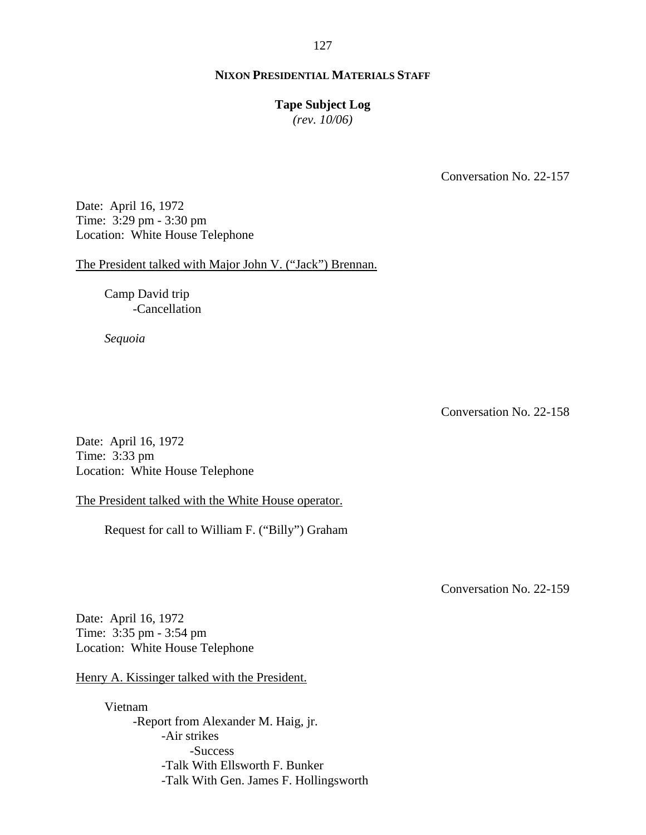#### **Tape Subject Log**

*(rev. 10/06)*

Conversation No. 22-157

Date: April 16, 1972 Time: 3:29 pm - 3:30 pm Location: White House Telephone

The President talked with Major John V. ("Jack") Brennan.

Camp David trip -Cancellation

*Sequoia* 

Conversation No. 22-158

Date: April 16, 1972 Time: 3:33 pm Location: White House Telephone

The President talked with the White House operator.

Request for call to William F. ("Billy") Graham

Conversation No. 22-159

Date: April 16, 1972 Time: 3:35 pm - 3:54 pm Location: White House Telephone

Henry A. Kissinger talked with the President.

Vietnam -Report from Alexander M. Haig, jr. -Air strikes -Success -Talk With Ellsworth F. Bunker -Talk With Gen. James F. Hollingsworth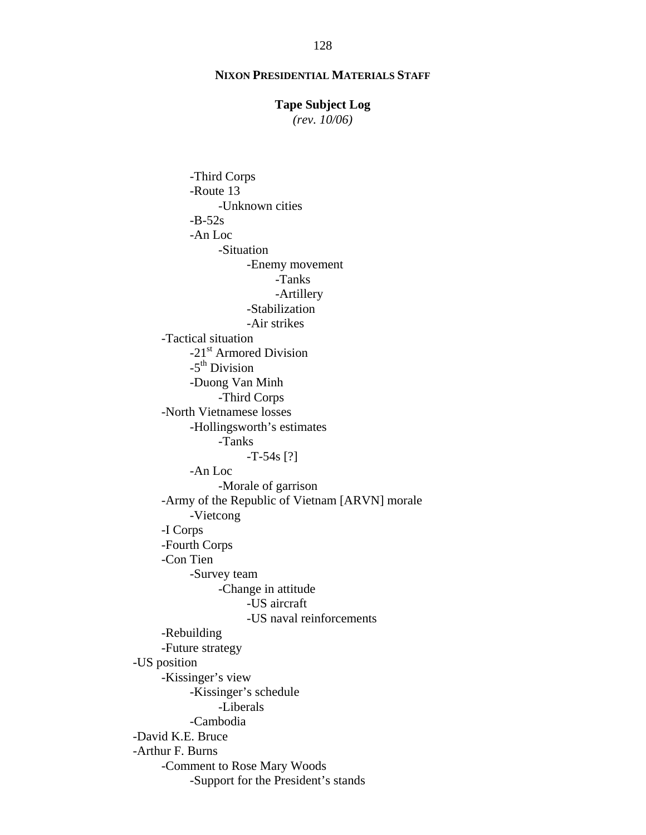#### **Tape Subject Log**

*(rev. 10/06)*

-Third Corps -Route 13 -Unknown cities  $-B-52s$  -An Loc -Situation -Enemy movement -Tanks -Artillery -Stabilization -Air strikes -Tactical situation -21<sup>st</sup> Armored Division  $-5<sup>th</sup>$  Division -Duong Van Minh -Third Corps -North Vietnamese losses -Hollingsworth's estimates -Tanks  $-T-54s$  [?] -An Loc -Morale of garrison -Army of the Republic of Vietnam [ARVN] morale -Vietcong -I Corps -Fourth Corps -Con Tien -Survey team -Change in attitude -US aircraft -US naval reinforcements -Rebuilding -Future strategy -US position -Kissinger's view -Kissinger's schedule -Liberals -Cambodia -David K.E. Bruce -Arthur F. Burns -Comment to Rose Mary Woods -Support for the President's stands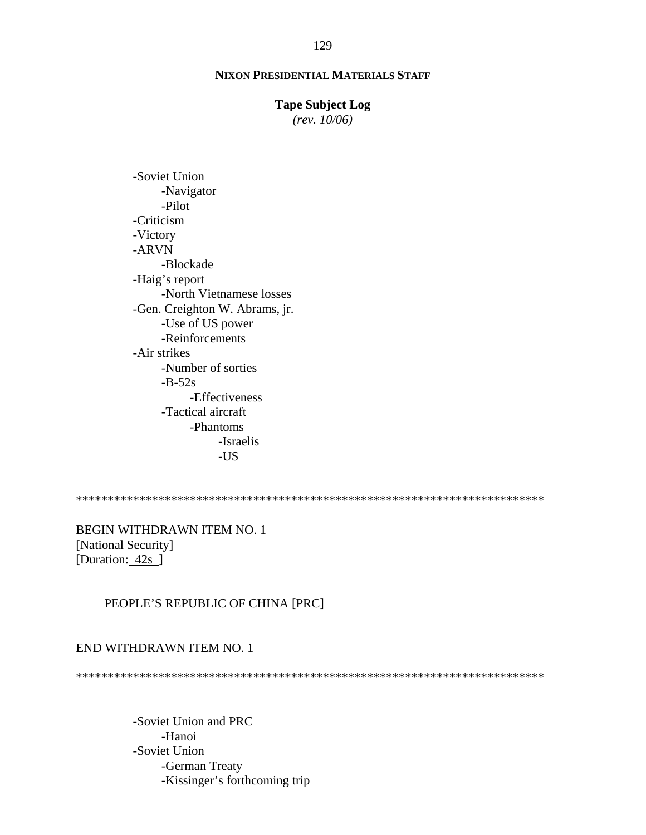#### **Tape Subject Log**

*(rev. 10/06)*

-Soviet Union -Navigator -Pilot -Criticism -Victory -ARVN -Blockade -Haig's report -North Vietnamese losses -Gen. Creighton W. Abrams, jr. -Use of US power -Reinforcements -Air strikes -Number of sorties  $-B-52s$ -Effectiveness -Tactical aircraft -Phantoms -Israelis -US

\*\*\*\*\*\*\*\*\*\*\*\*\*\*\*\*\*\*\*\*\*\*\*\*\*\*\*\*\*\*\*\*\*\*\*\*\*\*\*\*\*\*\*\*\*\*\*\*\*\*\*\*\*\*\*\*\*\*\*\*\*\*\*\*\*\*\*\*\*\*\*\*\*\*

BEGIN WITHDRAWN ITEM NO. 1 [National Security] [Duration: 42s]

### PEOPLE'S REPUBLIC OF CHINA [PRC]

#### END WITHDRAWN ITEM NO. 1

\*\*\*\*\*\*\*\*\*\*\*\*\*\*\*\*\*\*\*\*\*\*\*\*\*\*\*\*\*\*\*\*\*\*\*\*\*\*\*\*\*\*\*\*\*\*\*\*\*\*\*\*\*\*\*\*\*\*\*\*\*\*\*\*\*\*\*\*\*\*\*\*\*\*

-Soviet Union and PRC -Hanoi -Soviet Union -German Treaty -Kissinger's forthcoming trip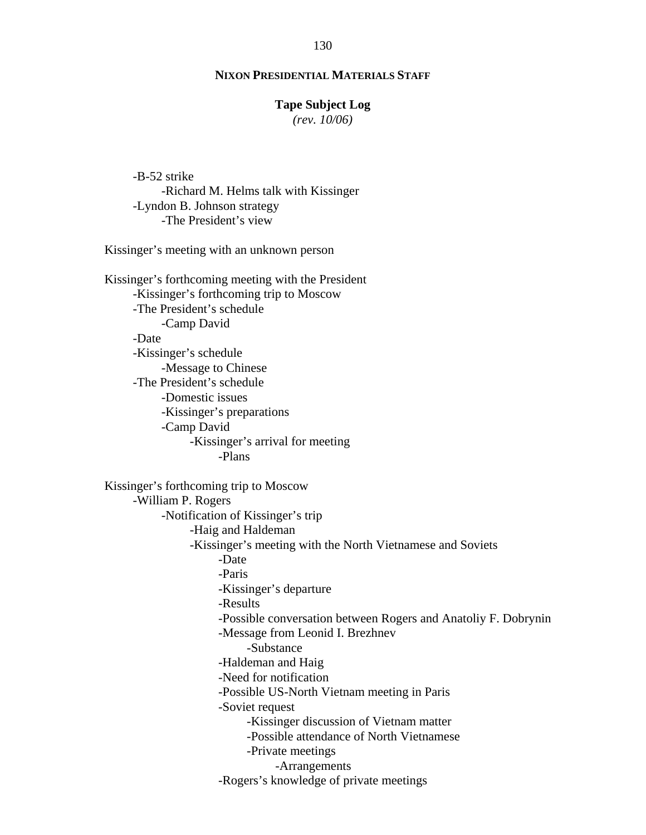#### **Tape Subject Log**

*(rev. 10/06)*

-B-52 strike -Richard M. Helms talk with Kissinger -Lyndon B. Johnson strategy -The President's view

Kissinger's meeting with an unknown person

Kissinger's forthcoming meeting with the President -Kissinger's forthcoming trip to Moscow -The President's schedule -Camp David -Date -Kissinger's schedule -Message to Chinese -The President's schedule -Domestic issues -Kissinger's preparations -Camp David -Kissinger's arrival for meeting -Plans Kissinger's forthcoming trip to Moscow -William P. Rogers -Notification of Kissinger's trip -Haig and Haldeman -Kissinger's meeting with the North Vietnamese and Soviets

 -Date -Paris

-Kissinger's departure

-Results

- -Possible conversation between Rogers and Anatoliy F. Dobrynin
- -Message from Leonid I. Brezhnev

#### -Substance

-Haldeman and Haig

-Need for notification

-Possible US-North Vietnam meeting in Paris

-Soviet request

-Kissinger discussion of Vietnam matter

-Possible attendance of North Vietnamese

-Private meetings

-Arrangements

-Rogers's knowledge of private meetings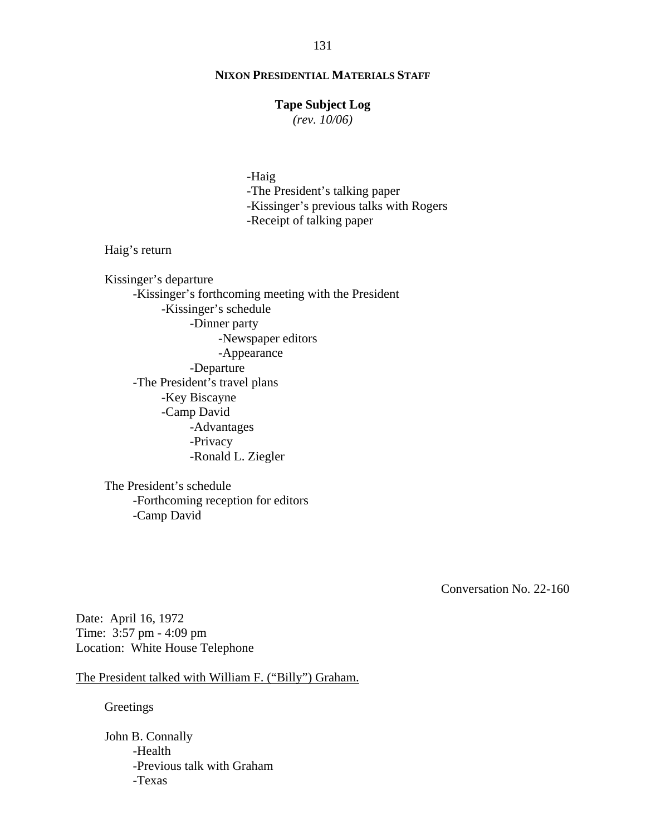### **Tape Subject Log**

*(rev. 10/06)*

-Haig

-The President's talking paper -Kissinger's previous talks with Rogers -Receipt of talking paper

Haig's return

Kissinger's departure -Kissinger's forthcoming meeting with the President -Kissinger's schedule -Dinner party -Newspaper editors -Appearance -Departure -The President's travel plans -Key Biscayne -Camp David -Advantages -Privacy -Ronald L. Ziegler

The President's schedule -Forthcoming reception for editors -Camp David

Conversation No. 22-160

Date: April 16, 1972 Time: 3:57 pm - 4:09 pm Location: White House Telephone

The President talked with William F. ("Billy") Graham.

Greetings

John B. Connally -Health -Previous talk with Graham -Texas